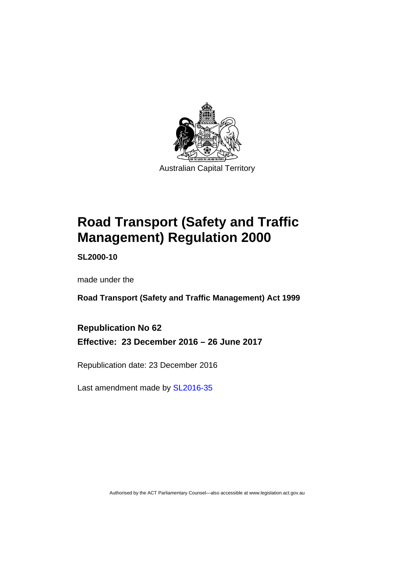

# **Road Transport (Safety and Traffic Management) Regulation 2000**

**SL2000-10** 

made under the

**Road Transport (Safety and Traffic Management) Act 1999** 

**Republication No 62 Effective: 23 December 2016 – 26 June 2017** 

Republication date: 23 December 2016

Last amendment made by [SL2016-35](http://www.legislation.act.gov.au/sl/2016-35/default.asp)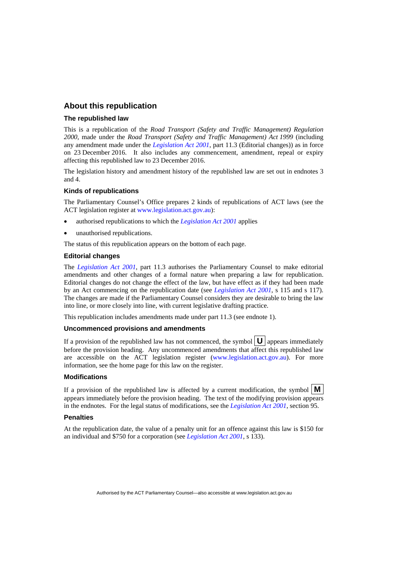#### **About this republication**

#### **The republished law**

This is a republication of the *Road Transport (Safety and Traffic Management) Regulation 2000*, made under the *Road Transport (Safety and Traffic Management) Act 1999* (including any amendment made under the *[Legislation Act 2001](http://www.legislation.act.gov.au/a/2001-14)*, part 11.3 (Editorial changes)) as in force on 23 December 2016*.* It also includes any commencement, amendment, repeal or expiry affecting this republished law to 23 December 2016.

The legislation history and amendment history of the republished law are set out in endnotes 3 and 4.

#### **Kinds of republications**

The Parliamentary Counsel's Office prepares 2 kinds of republications of ACT laws (see the ACT legislation register at [www.legislation.act.gov.au](http://www.legislation.act.gov.au/)):

- authorised republications to which the *[Legislation Act 2001](http://www.legislation.act.gov.au/a/2001-14)* applies
- unauthorised republications.

The status of this republication appears on the bottom of each page.

#### **Editorial changes**

The *[Legislation Act 2001](http://www.legislation.act.gov.au/a/2001-14)*, part 11.3 authorises the Parliamentary Counsel to make editorial amendments and other changes of a formal nature when preparing a law for republication. Editorial changes do not change the effect of the law, but have effect as if they had been made by an Act commencing on the republication date (see *[Legislation Act 2001](http://www.legislation.act.gov.au/a/2001-14)*, s 115 and s 117). The changes are made if the Parliamentary Counsel considers they are desirable to bring the law into line, or more closely into line, with current legislative drafting practice.

This republication includes amendments made under part 11.3 (see endnote 1).

#### **Uncommenced provisions and amendments**

If a provision of the republished law has not commenced, the symbol  $\mathbf{U}$  appears immediately before the provision heading. Any uncommenced amendments that affect this republished law are accessible on the ACT legislation register [\(www.legislation.act.gov.au](http://www.legislation.act.gov.au/)). For more information, see the home page for this law on the register.

#### **Modifications**

If a provision of the republished law is affected by a current modification, the symbol  $\mathbf{M}$ appears immediately before the provision heading. The text of the modifying provision appears in the endnotes. For the legal status of modifications, see the *[Legislation Act 2001](http://www.legislation.act.gov.au/a/2001-14)*, section 95.

#### **Penalties**

At the republication date, the value of a penalty unit for an offence against this law is \$150 for an individual and \$750 for a corporation (see *[Legislation Act 2001](http://www.legislation.act.gov.au/a/2001-14)*, s 133).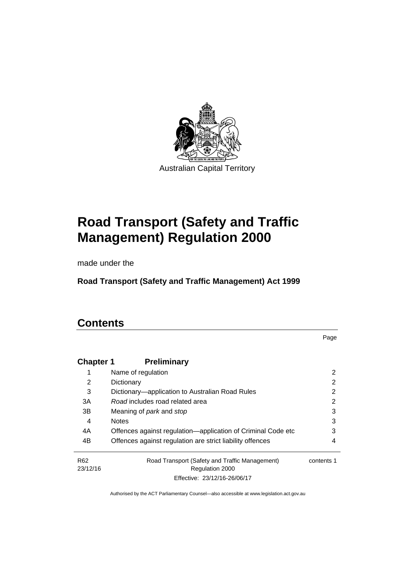

# **Road Transport (Safety and Traffic Management) Regulation 2000**

made under the

**Road Transport (Safety and Traffic Management) Act 1999** 

# **Contents**

Page

| <b>Chapter 1</b> | <b>Preliminary</b>                                           |            |
|------------------|--------------------------------------------------------------|------------|
|                  | Name of regulation                                           | 2          |
| 2                | Dictionary                                                   | 2          |
| 3                | Dictionary—application to Australian Road Rules              | 2          |
| 3A               | Road includes road related area                              | 2          |
| 3B               | Meaning of <i>park</i> and <i>stop</i>                       | 3          |
| 4                | <b>Notes</b>                                                 | 3          |
| 4A               | Offences against regulation—application of Criminal Code etc | 3          |
| 4B               | Offences against regulation are strict liability offences    | 4          |
| R <sub>62</sub>  | Road Transport (Safety and Traffic Management)               | contents 1 |
| 23/12/16         | <b>Regulation 2000</b>                                       |            |
|                  | Effective: 23/12/16-26/06/17                                 |            |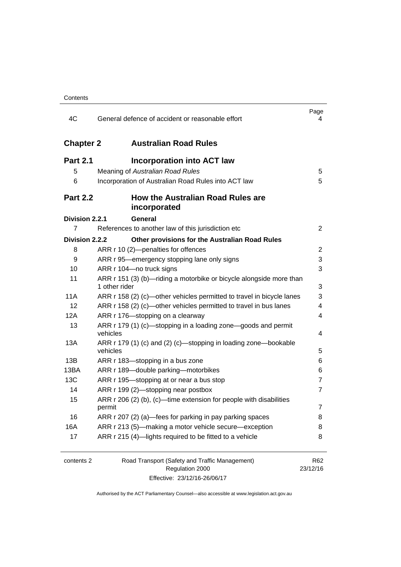| 4C               | General defence of accident or reasonable effort                                     | Page<br>4       |
|------------------|--------------------------------------------------------------------------------------|-----------------|
| <b>Chapter 2</b> | <b>Australian Road Rules</b>                                                         |                 |
| <b>Part 2.1</b>  | <b>Incorporation into ACT law</b>                                                    |                 |
| 5                | Meaning of Australian Road Rules                                                     | 5               |
| 6                | Incorporation of Australian Road Rules into ACT law                                  | 5               |
| <b>Part 2.2</b>  | How the Australian Road Rules are<br>incorporated                                    |                 |
| Division 2.2.1   | General                                                                              |                 |
| 7                | References to another law of this jurisdiction etc                                   | $\overline{2}$  |
| Division 2.2.2   | Other provisions for the Australian Road Rules                                       |                 |
| 8                | ARR r 10 (2)-penalties for offences                                                  | 2               |
| 9                | ARR r 95—emergency stopping lane only signs                                          | 3               |
| 10               | ARR r 104-no truck signs                                                             | 3               |
| 11               | ARR r 151 (3) (b)—riding a motorbike or bicycle alongside more than<br>1 other rider | 3               |
| 11A              | ARR r 158 (2) (c)—other vehicles permitted to travel in bicycle lanes                | 3               |
| 12               | ARR r 158 (2) (c)-other vehicles permitted to travel in bus lanes                    | 4               |
| 12A              | ARR r 176-stopping on a clearway                                                     | 4               |
| 13               | ARR r 179 (1) (c)-stopping in a loading zone-goods and permit<br>vehicles            | 4               |
| 13A              | ARR r 179 (1) (c) and (2) (c)—stopping in loading zone—bookable<br>vehicles          | 5               |
| 13B              | ARR r 183—stopping in a bus zone                                                     | 6               |
| 13BA             | ARR r 189-double parking-motorbikes                                                  | 6               |
| 13C              | ARR r 195-stopping at or near a bus stop                                             | $\overline{7}$  |
| 14               | ARR r 199 (2)-stopping near postbox                                                  | $\overline{7}$  |
| 15               | ARR $r$ 206 (2) (b), (c)—time extension for people with disabilities<br>permit       | 7               |
| 16               | ARR r 207 (2) (a)—fees for parking in pay parking spaces                             | 8               |
| 16A              | ARR r 213 (5)—making a motor vehicle secure—exception                                | 8               |
| 17               | ARR r 215 (4)-lights required to be fitted to a vehicle                              | 8               |
| contents 2       | Road Transport (Safety and Traffic Management)<br>Regulation 2000                    | R62<br>23/12/16 |

Effective: 23/12/16-26/06/17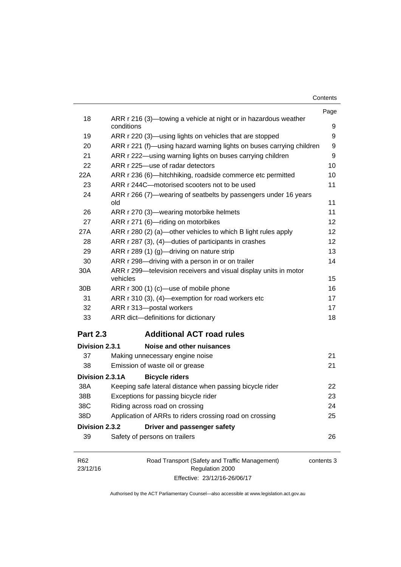| Contents |  |
|----------|--|
|----------|--|

|                 |                                                                               | Page       |
|-----------------|-------------------------------------------------------------------------------|------------|
| 18              | ARR r 216 (3)—towing a vehicle at night or in hazardous weather<br>conditions | 9          |
| 19              | ARR r 220 (3)—using lights on vehicles that are stopped                       | 9          |
| 20              | ARR r 221 (f)—using hazard warning lights on buses carrying children          | 9          |
| 21              | ARR r 222—using warning lights on buses carrying children                     | 9          |
| 22              | ARR r 225-use of radar detectors                                              | 10         |
| 22A             | ARR r 236 (6)-hitchhiking, roadside commerce etc permitted                    | 10         |
| 23              | ARR r 244C-motorised scooters not to be used                                  | 11         |
| 24              | ARR r 266 (7)—wearing of seatbelts by passengers under 16 years<br>old        | 11         |
| 26              | ARR r 270 (3)—wearing motorbike helmets                                       | 11         |
| 27              | ARR r 271 (6)-riding on motorbikes                                            | 12         |
| 27A             | ARR r 280 (2) (a)—other vehicles to which B light rules apply                 | 12         |
| 28              | ARR r 287 (3), (4)—duties of participants in crashes                          | 12         |
| 29              | ARR r 289 (1) (g)-driving on nature strip                                     | 13         |
| 30              | ARR r 298-driving with a person in or on trailer                              | 14         |
| 30A             | ARR r 299-television receivers and visual display units in motor<br>vehicles  | 15         |
| 30 <sub>B</sub> | ARR r 300 (1) (c)-use of mobile phone                                         | 16         |
| 31              | ARR r 310 (3), (4)-exemption for road workers etc                             | 17         |
| 32              | ARR r 313-postal workers                                                      | 17         |
| 33              | ARR dict-definitions for dictionary                                           | 18         |
| <b>Part 2.3</b> | <b>Additional ACT road rules</b>                                              |            |
| Division 2.3.1  | Noise and other nuisances                                                     |            |
| 37              | Making unnecessary engine noise                                               | 21         |
| 38              | Emission of waste oil or grease                                               | 21         |
| Division 2.3.1A | <b>Bicycle riders</b>                                                         |            |
| 38A             | Keeping safe lateral distance when passing bicycle rider                      | 22         |
| 38B             | Exceptions for passing bicycle rider                                          | 23         |
| 38C             | Riding across road on crossing                                                | 24         |
| 38D             | Application of ARRs to riders crossing road on crossing                       | 25         |
| Division 2.3.2  | Driver and passenger safety                                                   |            |
| 39              | Safety of persons on trailers                                                 | 26         |
| R <sub>62</sub> | Road Transport (Safety and Traffic Management)                                | contents 3 |

23/12/16 Regulation 2000 Effective: 23/12/16-26/06/17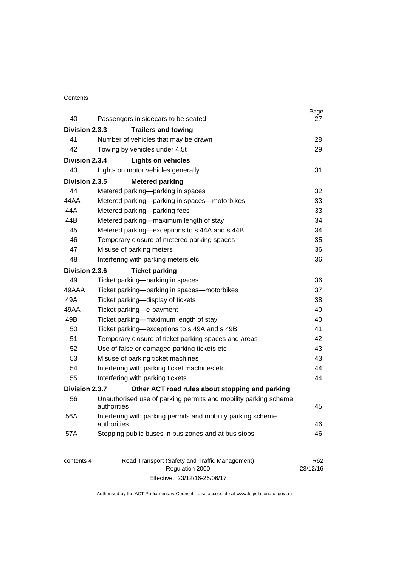#### **Contents**

| 40             | Passengers in sidecars to be seated                                             | Page<br>27                  |
|----------------|---------------------------------------------------------------------------------|-----------------------------|
| Division 2.3.3 | <b>Trailers and towing</b>                                                      |                             |
| 41             | Number of vehicles that may be drawn                                            | 28                          |
| 42             | Towing by vehicles under 4.5t                                                   | 29                          |
| Division 2.3.4 | <b>Lights on vehicles</b>                                                       |                             |
| 43             | Lights on motor vehicles generally                                              | 31                          |
| Division 2.3.5 | <b>Metered parking</b>                                                          |                             |
| 44             | Metered parking-parking in spaces                                               | 32                          |
| 44 A A         | Metered parking-parking in spaces-motorbikes                                    | 33                          |
| 44A            | Metered parking-parking fees                                                    | 33                          |
| 44B            | Metered parking-maximum length of stay                                          | 34                          |
| 45             | Metered parking-exceptions to s 44A and s 44B                                   | 34                          |
| 46             | Temporary closure of metered parking spaces                                     | 35                          |
| 47             | Misuse of parking meters                                                        | 36                          |
| 48             | Interfering with parking meters etc                                             | 36                          |
| Division 2.3.6 | <b>Ticket parking</b>                                                           |                             |
| 49             |                                                                                 | 36                          |
| 49AAA          | Ticket parking-parking in spaces<br>Ticket parking-parking in spaces-motorbikes | 37                          |
| 49A            | Ticket parking-display of tickets                                               | 38                          |
| 49AA           |                                                                                 |                             |
|                | Ticket parking-e-payment                                                        | 40                          |
| 49B            | Ticket parking-maximum length of stay                                           | 40                          |
| 50             | Ticket parking-exceptions to s 49A and s 49B                                    | 41                          |
| 51             | Temporary closure of ticket parking spaces and areas                            | 42                          |
| 52             | Use of false or damaged parking tickets etc                                     | 43                          |
| 53             | Misuse of parking ticket machines                                               | 43                          |
| 54             | Interfering with parking ticket machines etc                                    | 44                          |
| 55             | Interfering with parking tickets                                                | 44                          |
| Division 2.3.7 | Other ACT road rules about stopping and parking                                 |                             |
| 56             | Unauthorised use of parking permits and mobility parking scheme<br>authorities  | 45                          |
| 56A            | Interfering with parking permits and mobility parking scheme<br>authorities     | 46                          |
| 57A            | Stopping public buses in bus zones and at bus stops                             | 46                          |
| contents 4     | Road Transport (Safety and Traffic Management)<br>Regulation 2000               | R <sub>62</sub><br>23/12/16 |

Effective: 23/12/16-26/06/17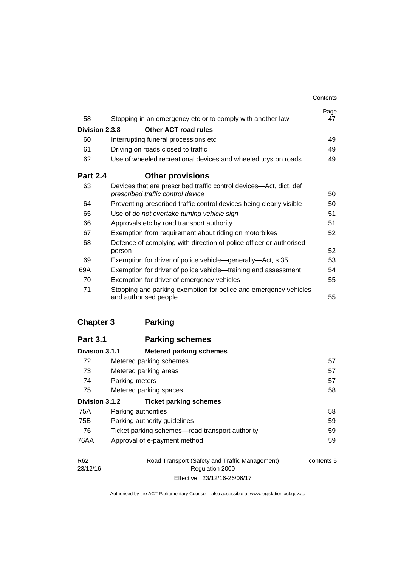|                 |                                                                                                         | Contents   |
|-----------------|---------------------------------------------------------------------------------------------------------|------------|
| 58              | Stopping in an emergency etc or to comply with another law                                              | Page<br>47 |
| Division 2.3.8  | Other ACT road rules                                                                                    |            |
| 60              | Interrupting funeral processions etc                                                                    | 49         |
| 61              | Driving on roads closed to traffic                                                                      | 49         |
| 62              | Use of wheeled recreational devices and wheeled toys on roads                                           | 49         |
| <b>Part 2.4</b> | <b>Other provisions</b>                                                                                 |            |
| 63              | Devices that are prescribed traffic control devices—Act, dict, def<br>prescribed traffic control device | 50         |
| 64              | Preventing prescribed traffic control devices being clearly visible                                     | 50         |
| 65              | Use of do not overtake turning vehicle sign                                                             | 51         |
| 66              | Approvals etc by road transport authority                                                               | 51         |
| 67              | Exemption from requirement about riding on motorbikes                                                   | 52         |
| 68              | Defence of complying with direction of police officer or authorised                                     |            |
|                 | person                                                                                                  | 52         |
| 69              | Exemption for driver of police vehicle-generally-Act, s 35                                              | 53         |
| 69A             | Exemption for driver of police vehicle—training and assessment                                          | 54         |
| 70              | Exemption for driver of emergency vehicles                                                              | 55         |
| 71              | Stopping and parking exemption for police and emergency vehicles<br>and authorised people               | 55         |

## **[Chapter 3](#page-73-0) Parking**

| <b>Part 3.1</b> | <b>Parking schemes</b>                          |            |
|-----------------|-------------------------------------------------|------------|
| Division 3.1.1  | <b>Metered parking schemes</b>                  |            |
| 72              | Metered parking schemes                         | 57         |
| 73              | Metered parking areas                           | 57         |
| 74              | Parking meters                                  | 57         |
| 75              | Metered parking spaces                          | 58         |
| Division 3.1.2  | <b>Ticket parking schemes</b>                   |            |
| 75A             | Parking authorities                             | 58         |
| 75B             | Parking authority guidelines                    | 59         |
| 76              | Ticket parking schemes—road transport authority | 59         |
| 76AA            | Approval of e-payment method                    | 59         |
| R <sub>62</sub> | Road Transport (Safety and Traffic Management)  | contents 5 |
| 23/12/16        | <b>Regulation 2000</b>                          |            |

Effective: 23/12/16-26/06/17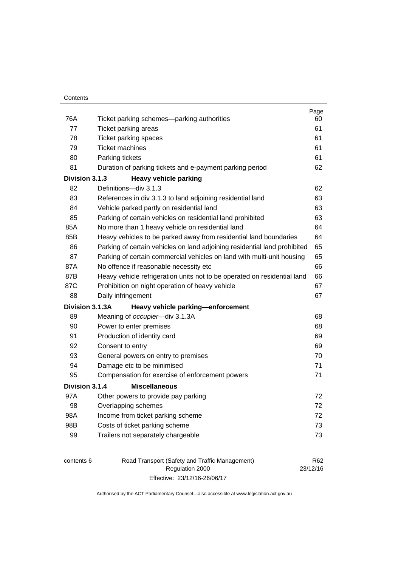| 76A | Ticket parking schemes-parking authorities                                | Page<br>60 |
|-----|---------------------------------------------------------------------------|------------|
| 77  | Ticket parking areas                                                      | 61         |
| 78  | Ticket parking spaces                                                     | 61         |
| 79  | <b>Ticket machines</b>                                                    | 61         |
| 80  | Parking tickets                                                           | 61         |
| 81  | Duration of parking tickets and e-payment parking period                  | 62         |
|     | Division 3.1.3<br><b>Heavy vehicle parking</b>                            |            |
| 82  | Definitions-div 3.1.3                                                     | 62         |
| 83  | References in div 3.1.3 to land adjoining residential land                | 63         |
| 84  | Vehicle parked partly on residential land                                 | 63         |
| 85  | Parking of certain vehicles on residential land prohibited                | 63         |
| 85A | No more than 1 heavy vehicle on residential land                          | 64         |
| 85B | Heavy vehicles to be parked away from residential land boundaries         | 64         |
| 86  | Parking of certain vehicles on land adjoining residential land prohibited | 65         |
| 87  | Parking of certain commercial vehicles on land with multi-unit housing    | 65         |
| 87A | No offence if reasonable necessity etc                                    | 66         |
| 87B | Heavy vehicle refrigeration units not to be operated on residential land  | 66         |
| 87C | Prohibition on night operation of heavy vehicle                           | 67         |
| 88  | Daily infringement                                                        | 67         |
|     | Division 3.1.3A<br>Heavy vehicle parking-enforcement                      |            |
| 89  | Meaning of occupier-div 3.1.3A                                            | 68         |
| 90  | Power to enter premises                                                   | 68         |
| 91  | Production of identity card                                               | 69         |
| 92  | Consent to entry                                                          | 69         |
| 93  | General powers on entry to premises                                       | 70         |
| 94  | Damage etc to be minimised                                                | 71         |
| 95  | Compensation for exercise of enforcement powers                           | 71         |
|     | <b>Miscellaneous</b><br>Division 3.1.4                                    |            |
| 97A | Other powers to provide pay parking                                       | 72         |
| 98  | Overlapping schemes                                                       | 72         |
| 98A | Income from ticket parking scheme                                         | 72         |
| 98B | Costs of ticket parking scheme                                            | 73         |
| 99  | Trailers not separately chargeable                                        | 73         |
|     |                                                                           |            |
|     |                                                                           |            |

| contents 6 | Road Transport (Safety and Traffic Management) | R62      |
|------------|------------------------------------------------|----------|
|            | Regulation 2000                                | 23/12/16 |
|            | Effective: 23/12/16-26/06/17                   |          |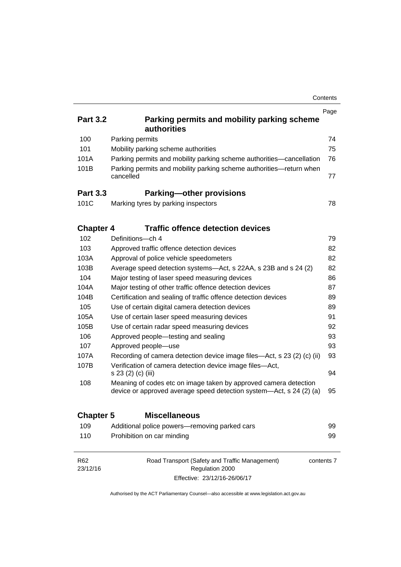|                             |                                                                                                                                         | Contents   |
|-----------------------------|-----------------------------------------------------------------------------------------------------------------------------------------|------------|
| <b>Part 3.2</b>             | Parking permits and mobility parking scheme<br>authorities                                                                              | Page       |
| 100                         | Parking permits                                                                                                                         | 74         |
| 101                         | Mobility parking scheme authorities                                                                                                     | 75         |
| 101A                        | Parking permits and mobility parking scheme authorities-cancellation                                                                    | 76         |
| 101B                        | Parking permits and mobility parking scheme authorities-return when<br>cancelled                                                        | 77         |
| <b>Part 3.3</b>             | <b>Parking-other provisions</b>                                                                                                         |            |
| 101C                        | Marking tyres by parking inspectors                                                                                                     | 78         |
| <b>Chapter 4</b>            | <b>Traffic offence detection devices</b>                                                                                                |            |
| 102                         | Definitions-ch 4                                                                                                                        | 79         |
| 103                         | Approved traffic offence detection devices                                                                                              | 82         |
| 103A                        | Approval of police vehicle speedometers                                                                                                 | 82         |
| 103B                        | Average speed detection systems—Act, s 22AA, s 23B and s 24 (2)                                                                         | 82         |
| 104                         | Major testing of laser speed measuring devices                                                                                          | 86         |
| 104A                        | Major testing of other traffic offence detection devices                                                                                | 87         |
| 104B                        | Certification and sealing of traffic offence detection devices                                                                          | 89         |
| 105                         | Use of certain digital camera detection devices                                                                                         | 89         |
| 105A                        | Use of certain laser speed measuring devices                                                                                            | 91         |
| 105B                        | Use of certain radar speed measuring devices                                                                                            | 92         |
| 106                         | Approved people—testing and sealing                                                                                                     | 93         |
| 107                         | Approved people-use                                                                                                                     | 93         |
| 107A                        | Recording of camera detection device image files—Act, s 23 (2) (c) (ii)                                                                 | 93         |
| 107B                        | Verification of camera detection device image files-Act,<br>s 23 (2) (c) (iii)                                                          | 94         |
| 108                         | Meaning of codes etc on image taken by approved camera detection<br>device or approved average speed detection system-Act, s 24 (2) (a) | 95         |
| <b>Chapter 5</b>            | <b>Miscellaneous</b>                                                                                                                    |            |
| 109                         | Additional police powers-removing parked cars                                                                                           | 99         |
| 110                         | Prohibition on car minding                                                                                                              | 99         |
| R <sub>62</sub><br>23/12/16 | Road Transport (Safety and Traffic Management)<br>Regulation 2000                                                                       | contents 7 |

Authorised by the ACT Parliamentary Counsel—also accessible at www.legislation.act.gov.au

Effective: 23/12/16-26/06/17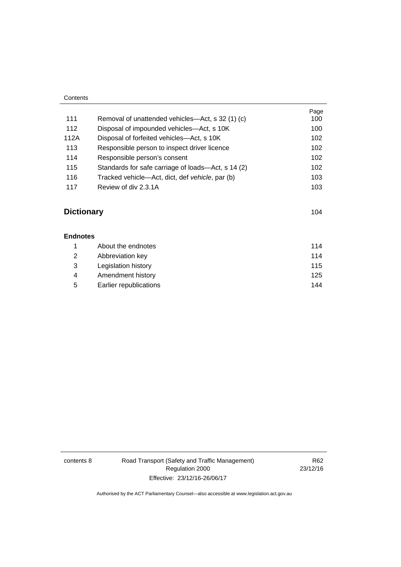| Contents |                                                    |      |
|----------|----------------------------------------------------|------|
|          |                                                    | Page |
| 111      | Removal of unattended vehicles—Act, s 32 (1) (c)   | 100  |
| 112      | Disposal of impounded vehicles—Act, s 10K          | 100  |
| 112A     | Disposal of forfeited vehicles—Act, s 10K          | 102  |
| 113      | Responsible person to inspect driver licence       | 102  |
| 114      | Responsible person's consent                       | 102  |
| 115      | Standards for safe carriage of loads—Act, s 14 (2) | 102  |
| 116      | Tracked vehicle—Act, dict, def vehicle, par (b)    | 103  |
| 117      | Review of div 2.3.1A                               | 103  |

# **[Dictionary](#page-120-0)** [104](#page-120-0)

| <b>Endnotes</b> |                        |     |
|-----------------|------------------------|-----|
|                 | About the endnotes     | 114 |
| 2               | Abbreviation key       | 114 |
| 3               | Legislation history    | 115 |
| 4               | Amendment history      | 125 |
| 5               | Earlier republications | 144 |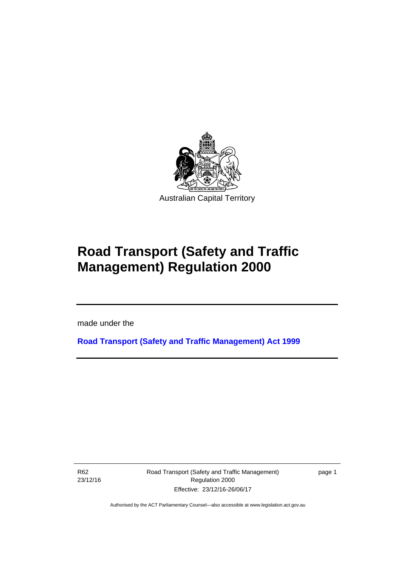

# **Road Transport (Safety and Traffic Management) Regulation 2000**

made under the

**[Road Transport \(Safety and Traffic Management\) Act 1999](http://www.legislation.act.gov.au/a/1999-80)**

R62 23/12/16

l

Road Transport (Safety and Traffic Management) Regulation 2000 Effective: 23/12/16-26/06/17

page 1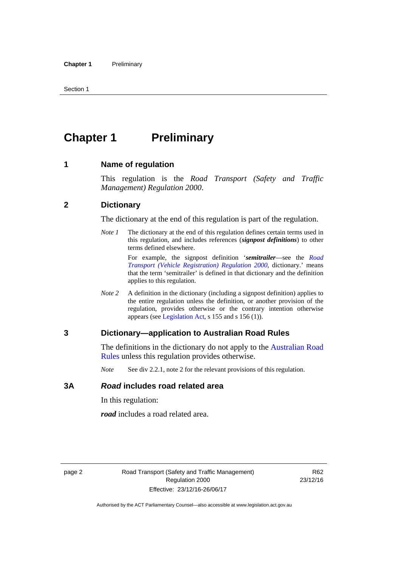# <span id="page-11-0"></span>**Chapter 1** Preliminary

#### <span id="page-11-1"></span>**1 Name of regulation**

This regulation is the *Road Transport (Safety and Traffic Management) Regulation 2000*.

#### <span id="page-11-2"></span>**2 Dictionary**

The dictionary at the end of this regulation is part of the regulation.

*Note 1* The dictionary at the end of this regulation defines certain terms used in this regulation, and includes references (*signpost definitions*) to other terms defined elsewhere.

> For example, the signpost definition '*semitrailer*—see the *[Road](http://www.legislation.act.gov.au/sl/2000-12)  [Transport \(Vehicle Registration\) Regulation 2000](http://www.legislation.act.gov.au/sl/2000-12)*, dictionary.' means that the term 'semitrailer' is defined in that dictionary and the definition applies to this regulation.

*Note 2* A definition in the dictionary (including a signpost definition) applies to the entire regulation unless the definition, or another provision of the regulation, provides otherwise or the contrary intention otherwise appears (see [Legislation Act,](http://www.legislation.act.gov.au/a/2001-14) s 155 and s 156 (1)).

#### <span id="page-11-3"></span>**3 Dictionary—application to Australian Road Rules**

The definitions in the dictionary do not apply to the Australian Road [Rules](http://www.legislation.act.gov.au//ni/db_37271/default.asp) unless this regulation provides otherwise.

*Note* See div 2.2.1, note 2 for the relevant provisions of this regulation.

#### <span id="page-11-4"></span>**3A** *Road* **includes road related area**

In this regulation:

*road* includes a road related area.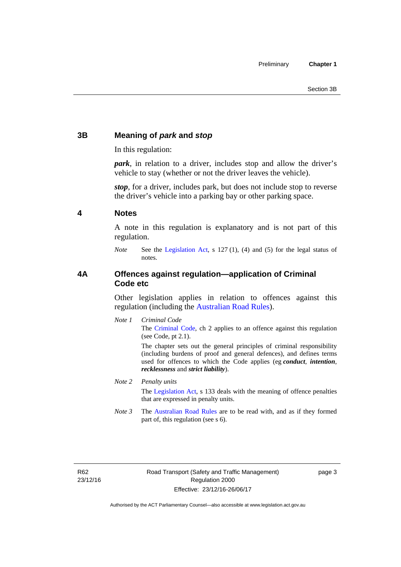### <span id="page-12-0"></span>**3B Meaning of** *park* **and** *stop*

In this regulation:

*park*, in relation to a driver, includes stop and allow the driver's vehicle to stay (whether or not the driver leaves the vehicle).

*stop*, for a driver, includes park, but does not include stop to reverse the driver's vehicle into a parking bay or other parking space.

#### <span id="page-12-1"></span>**4 Notes**

A note in this regulation is explanatory and is not part of this regulation.

*Note* See the [Legislation Act,](http://www.legislation.act.gov.au/a/2001-14) s 127 (1), (4) and (5) for the legal status of notes.

#### <span id="page-12-2"></span>**4A Offences against regulation—application of Criminal Code etc**

Other legislation applies in relation to offences against this regulation (including the [Australian Road Rules](http://www.legislation.act.gov.au//ni/db_37271/default.asp)).

*Note 1 Criminal Code* The [Criminal Code,](http://www.legislation.act.gov.au/a/2002-51) ch 2 applies to an offence against this regulation (see Code, pt 2.1).

> The chapter sets out the general principles of criminal responsibility (including burdens of proof and general defences), and defines terms used for offences to which the Code applies (eg *conduct*, *intention*, *recklessness* and *strict liability*).

#### *Note 2 Penalty units*

The [Legislation Act](http://www.legislation.act.gov.au/a/2001-14), s 133 deals with the meaning of offence penalties that are expressed in penalty units.

*Note 3* The [Australian Road Rules](http://www.legislation.act.gov.au//ni/db_37271/default.asp) are to be read with, and as if they formed part of, this regulation (see s 6).

R62 23/12/16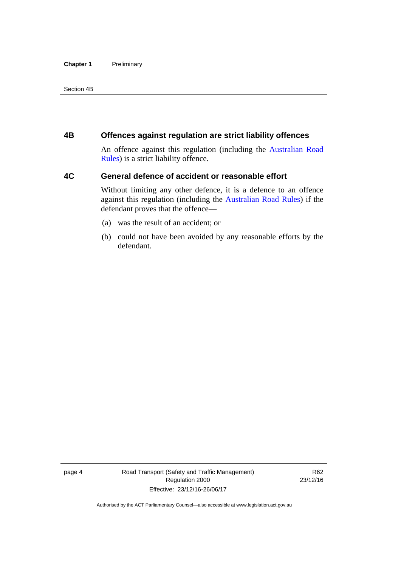#### **Chapter 1** Preliminary

Section 4B

#### <span id="page-13-0"></span>**4B Offences against regulation are strict liability offences**

An offence against this regulation (including the [Australian Road](http://www.legislation.act.gov.au//ni/db_37271/default.asp)  [Rules](http://www.legislation.act.gov.au//ni/db_37271/default.asp)) is a strict liability offence.

#### <span id="page-13-1"></span>**4C General defence of accident or reasonable effort**

Without limiting any other defence, it is a defence to an offence against this regulation (including the [Australian Road Rules\)](http://www.legislation.act.gov.au//ni/db_37271/default.asp) if the defendant proves that the offence—

- (a) was the result of an accident; or
- (b) could not have been avoided by any reasonable efforts by the defendant.

page 4 Road Transport (Safety and Traffic Management) Regulation 2000 Effective: 23/12/16-26/06/17

R62 23/12/16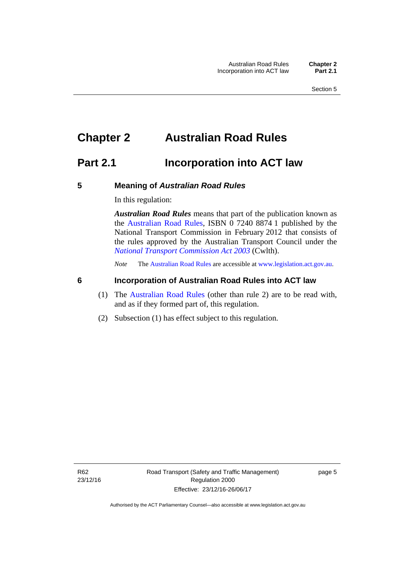# <span id="page-14-0"></span>**Chapter 2 Australian Road Rules**

## <span id="page-14-1"></span>**Part 2.1 Incorporation into ACT law**

#### <span id="page-14-2"></span>**5 Meaning of** *Australian Road Rules*

In this regulation:

*Australian Road Rules* means that part of the publication known as the [Australian Road Rules](http://www.legislation.act.gov.au//ni/db_37271/default.asp), ISBN 0 7240 8874 1 published by the National Transport Commission in February 2012 that consists of the rules approved by the Australian Transport Council under the *[National Transport Commission Act 2003](http://www.comlaw.gov.au/Series/C2004A01166)* (Cwlth).

*Note* The [Australian Road Rules](http://www.legislation.act.gov.au//ni/db_37271/default.asp) are accessible at [www.legislation.act.gov.au](http://www.legislation.act.gov.au/).

#### <span id="page-14-3"></span>**6 Incorporation of Australian Road Rules into ACT law**

- (1) The [Australian Road Rules](http://www.legislation.act.gov.au//ni/db_37271/default.asp) (other than rule 2) are to be read with, and as if they formed part of, this regulation.
- (2) Subsection (1) has effect subject to this regulation.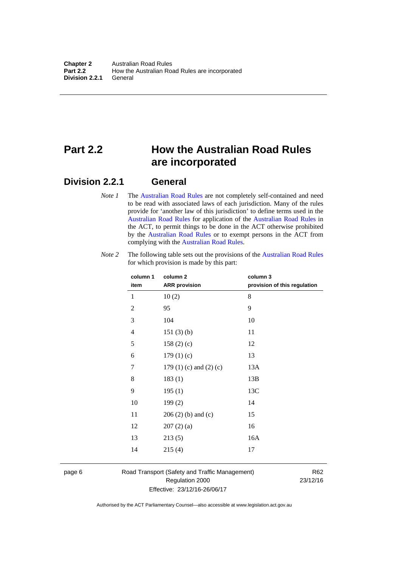# <span id="page-15-0"></span>**Part 2.2 How the Australian Road Rules are incorporated**

#### <span id="page-15-1"></span>**Division 2.2.1 General**

*Note 1* The [Australian Road Rules](http://www.legislation.act.gov.au//ni/db_37271/default.asp) are not completely self-contained and need to be read with associated laws of each jurisdiction. Many of the rules provide for 'another law of this jurisdiction' to define terms used in the [Australian Road Rules](http://www.legislation.act.gov.au//ni/db_37271/default.asp) for application of the [Australian Road Rules](http://www.legislation.act.gov.au//ni/db_37271/default.asp) in the ACT, to permit things to be done in the ACT otherwise prohibited by the [Australian Road Rules](http://www.legislation.act.gov.au//ni/db_37271/default.asp) or to exempt persons in the ACT from complying with the [Australian Road Rules.](http://www.legislation.act.gov.au//ni/db_37271/default.asp)

| column 1<br>item | column 2<br><b>ARR</b> provision | column 3<br>provision of this regulation |
|------------------|----------------------------------|------------------------------------------|
| 1                | 10(2)                            | 8                                        |
| $\overline{c}$   | 95                               | 9                                        |
| 3                | 104                              | 10                                       |
| 4                | 151(3)(b)                        | 11                                       |
| 5                | 158(2)(c)                        | 12                                       |
| 6                | 179(1)(c)                        | 13                                       |
| 7                | 179 $(1)$ $(c)$ and $(2)$ $(c)$  | 13A                                      |
| 8                | 183(1)                           | 13B                                      |
| 9                | 195(1)                           | 13C                                      |
| 10               | 199(2)                           | 14                                       |
| 11               | $206(2)$ (b) and (c)             | 15                                       |
| 12               | 207(2)(a)                        | 16                                       |
| 13               | 213(5)                           | 16A                                      |
| 14               | 215(4)                           | 17                                       |

*Note 2* The following table sets out the provisions of the [Australian Road Rules](http://www.legislation.act.gov.au//ni/db_37271/default.asp) for which provision is made by this part:

page 6 Road Transport (Safety and Traffic Management) Regulation 2000 Effective: 23/12/16-26/06/17

R62 23/12/16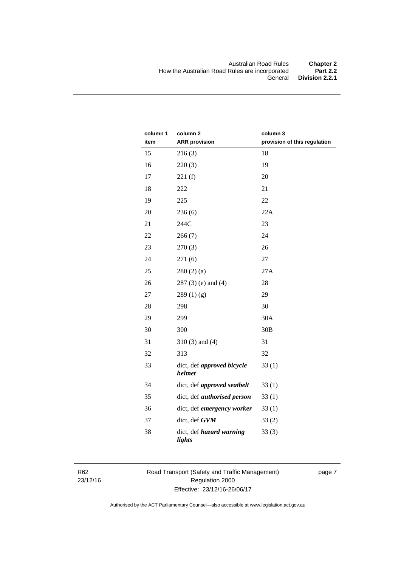| column 1<br>item | column <sub>2</sub><br><b>ARR</b> provision | column 3<br>provision of this regulation |
|------------------|---------------------------------------------|------------------------------------------|
| 15               | 216(3)                                      | 18                                       |
| 16               | 220(3)                                      | 19                                       |
| 17               | 221(f)                                      | 20                                       |
| 18               | 222                                         | 21                                       |
| 19               | 225                                         | 22                                       |
| 20               | 236(6)                                      | 22A                                      |
| 21               | 244C                                        | 23                                       |
| 22               | 266(7)                                      | 24                                       |
| 23               | 270(3)                                      | 26                                       |
| 24               | 271(6)                                      | 27                                       |
| 25               | 280(2)(a)                                   | 27A                                      |
| 26               | $287(3)$ (e) and (4)                        | 28                                       |
| 27               | 289(1)(g)                                   | 29                                       |
| 28               | 298                                         | 30                                       |
| 29               | 299                                         | 30A                                      |
| 30               | 300                                         | 30B                                      |
| 31               | $310(3)$ and $(4)$                          | 31                                       |
| 32               | 313                                         | 32                                       |
| 33               | dict, def approved bicycle<br>helmet        | 33(1)                                    |
| 34               | dict, def approved seatbelt                 | 33(1)                                    |
| 35               | dict, def <i>authorised</i> person          | 33(1)                                    |
| 36               | dict, def emergency worker                  | 33(1)                                    |
| 37               | dict, def GVM                               | 33(2)                                    |
| 38               | dict, def hazard warning<br>lights          | 33(3)                                    |

R62 23/12/16 Road Transport (Safety and Traffic Management) Regulation 2000 Effective: 23/12/16-26/06/17

page 7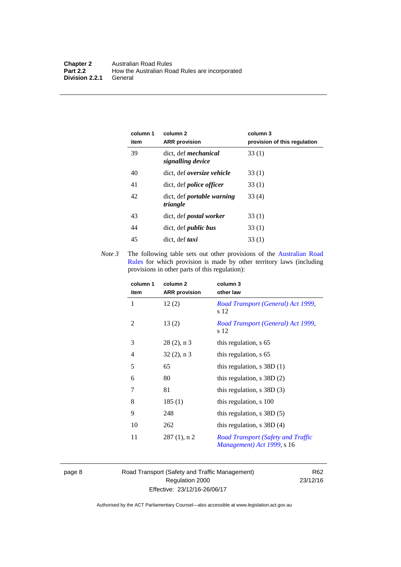| column 1<br>item | column 2<br><b>ARR</b> provision                 | column 3<br>provision of this regulation |
|------------------|--------------------------------------------------|------------------------------------------|
| 39               | dict. def <i>mechanical</i><br>signalling device | 33(1)                                    |
| 40               | dict, def oversize vehicle                       | 33(1)                                    |
| 41               | dict, def <i>police</i> officer                  | 33(1)                                    |
| 42               | dict, def portable warning<br>triangle           | 33(4)                                    |
| 43               | dict, def <i>postal</i> worker                   | 33(1)                                    |
| 44               | dict, def <i>public</i> bus                      | 33(1)                                    |
| 45               | dict, def taxi                                   | 33(1)                                    |

*Note 3* The following table sets out other provisions of the Australian Road [Rules](http://www.legislation.act.gov.au//ni/db_37271/default.asp) for which provision is made by other territory laws (including provisions in other parts of this regulation):

| column 1<br>item | column 2<br><b>ARR</b> provision | column 3<br>other law                                                   |
|------------------|----------------------------------|-------------------------------------------------------------------------|
| 1                | 12(2)                            | Road Transport (General) Act 1999,<br>s 12                              |
| 2                | 13(2)                            | Road Transport (General) Act 1999,<br>s 12                              |
| 3                | $28(2)$ , n 3                    | this regulation, s 65                                                   |
| 4                | $32(2)$ , n 3                    | this regulation, s 65                                                   |
| 5                | 65                               | this regulation, $s$ 38D (1)                                            |
| 6                | 80                               | this regulation, $s$ 38D $(2)$                                          |
| 7                | 81                               | this regulation, $s$ 38D $(3)$                                          |
| 8                | 185(1)                           | this regulation, s 100                                                  |
| 9                | 248                              | this regulation, $s$ 38D $(5)$                                          |
| 10               | 262                              | this regulation, $s$ 38D $(4)$                                          |
| 11               | $287(1)$ , n 2                   | <b>Road Transport (Safety and Traffic</b><br>Management) Act 1999, s 16 |

page 8 Road Transport (Safety and Traffic Management) Regulation 2000 Effective: 23/12/16-26/06/17

R62 23/12/16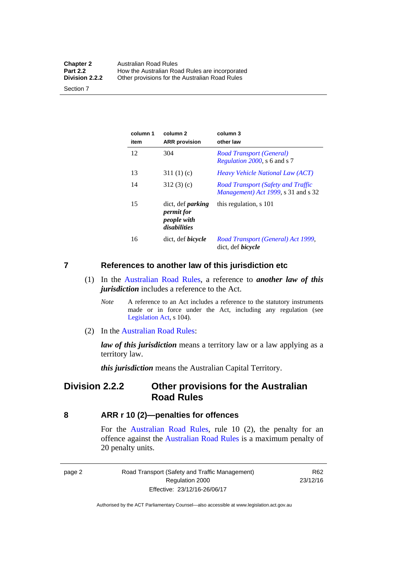| <b>Chapter 2</b> | <b>Australian Road Rules</b>                   |
|------------------|------------------------------------------------|
| <b>Part 2.2</b>  | How the Australian Road Rules are incorporated |
| Division 2.2.2   | Other provisions for the Australian Road Rules |

Section 7

| column 1<br>item | column 2<br><b>ARR</b> provision                                      | column 3<br>other law                                                                    |
|------------------|-----------------------------------------------------------------------|------------------------------------------------------------------------------------------|
| 12               | 304                                                                   | Road Transport (General)<br><i>Regulation 2000</i> , s 6 and s 7                         |
| 13               | 311(1)(c)                                                             | <i>Heavy Vehicle National Law (ACT)</i>                                                  |
| 14               | 312(3)(c)                                                             | <b>Road Transport (Safety and Traffic</b><br><i>Management</i> ) Act 1999, s 31 and s 32 |
| 15               | dict, def <i>parking</i><br>permit for<br>people with<br>disabilities | this regulation, s 101                                                                   |
| 16               | dict, def <i>bicycle</i>                                              | Road Transport (General) Act 1999,<br>dict, def <i>bicycle</i>                           |

#### <span id="page-18-0"></span>**7 References to another law of this jurisdiction etc**

- (1) In the [Australian Road Rules,](http://www.legislation.act.gov.au//ni/db_37271/default.asp) a reference to *another law of this jurisdiction* includes a reference to the Act.
	- *Note* A reference to an Act includes a reference to the statutory instruments made or in force under the Act, including any regulation (see [Legislation Act,](http://www.legislation.act.gov.au/a/2001-14) s 104).
- (2) In the [Australian Road Rules](http://www.legislation.act.gov.au//ni/db_37271/default.asp):

*law of this jurisdiction* means a territory law or a law applying as a territory law.

*this jurisdiction* means the Australian Capital Territory.

### <span id="page-18-1"></span>**Division 2.2.2 Other provisions for the Australian Road Rules**

#### <span id="page-18-2"></span>**8 ARR r 10 (2)—penalties for offences**

For the [Australian Road Rules,](http://www.legislation.act.gov.au//ni/db_37271/default.asp) rule 10 (2), the penalty for an offence against the [Australian Road Rules](http://www.legislation.act.gov.au//ni/db_37271/default.asp) is a maximum penalty of 20 penalty units.

|--|--|

Road Transport (Safety and Traffic Management) Regulation 2000 Effective: 23/12/16-26/06/17

R62 23/12/16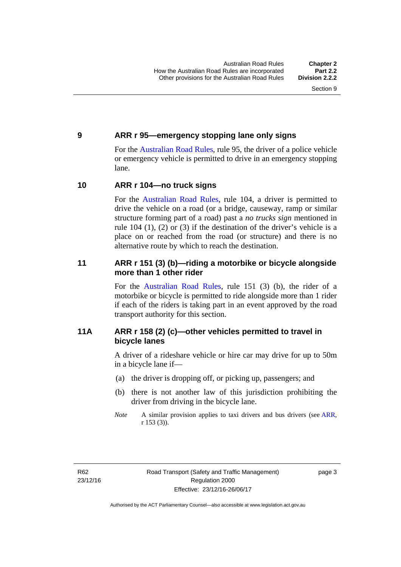#### <span id="page-19-0"></span>**9 ARR r 95—emergency stopping lane only signs**

For the [Australian Road Rules,](http://www.legislation.act.gov.au//ni/db_37271/default.asp) rule 95, the driver of a police vehicle or emergency vehicle is permitted to drive in an emergency stopping lane.

#### <span id="page-19-1"></span>**10 ARR r 104—no truck signs**

For the [Australian Road Rules,](http://www.legislation.act.gov.au//ni/db_37271/default.asp) rule 104, a driver is permitted to drive the vehicle on a road (or a bridge, causeway, ramp or similar structure forming part of a road) past a *no trucks sign* mentioned in rule 104 (1), (2) or (3) if the destination of the driver's vehicle is a place on or reached from the road (or structure) and there is no alternative route by which to reach the destination.

#### <span id="page-19-2"></span>**11 ARR r 151 (3) (b)—riding a motorbike or bicycle alongside more than 1 other rider**

For the [Australian Road Rules](http://www.legislation.act.gov.au//ni/db_37271/default.asp), rule 151 (3) (b), the rider of a motorbike or bicycle is permitted to ride alongside more than 1 rider if each of the riders is taking part in an event approved by the road transport authority for this section.

#### <span id="page-19-3"></span>**11A ARR r 158 (2) (c)—other vehicles permitted to travel in bicycle lanes**

A driver of a rideshare vehicle or hire car may drive for up to 50m in a bicycle lane if—

- (a) the driver is dropping off, or picking up, passengers; and
- (b) there is not another law of this jurisdiction prohibiting the driver from driving in the bicycle lane.
- *Note* A similar provision applies to taxi drivers and bus drivers (see [ARR,](http://www.legislation.act.gov.au//ni/db_37271/default.asp) r 153 (3)).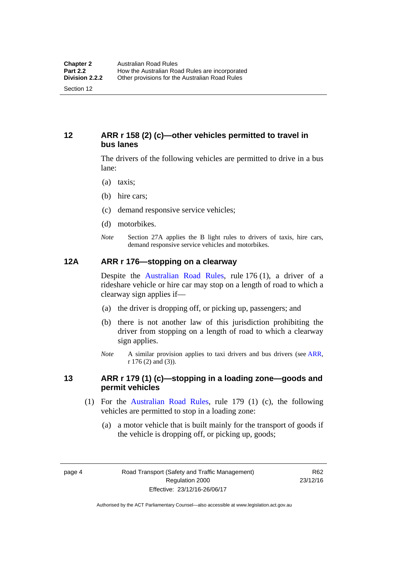#### <span id="page-20-0"></span>**12 ARR r 158 (2) (c)—other vehicles permitted to travel in bus lanes**

The drivers of the following vehicles are permitted to drive in a bus lane:

- (a) taxis;
- (b) hire cars;
- (c) demand responsive service vehicles;
- (d) motorbikes.
- *Note* Section 27A applies the B light rules to drivers of taxis, hire cars, demand responsive service vehicles and motorbikes.

#### <span id="page-20-1"></span>**12A ARR r 176—stopping on a clearway**

Despite the [Australian Road Rules,](http://www.legislation.act.gov.au//ni/db_37271/default.asp) rule 176 (1), a driver of a rideshare vehicle or hire car may stop on a length of road to which a clearway sign applies if—

- (a) the driver is dropping off, or picking up, passengers; and
- (b) there is not another law of this jurisdiction prohibiting the driver from stopping on a length of road to which a clearway sign applies.
- *Note* A similar provision applies to taxi drivers and bus drivers (see [ARR,](http://www.legislation.act.gov.au//ni/db_37271/default.asp) r 176 (2) and (3)).

#### <span id="page-20-2"></span>**13 ARR r 179 (1) (c)—stopping in a loading zone—goods and permit vehicles**

- (1) For the [Australian Road Rules,](http://www.legislation.act.gov.au//ni/db_37271/default.asp) rule 179 (1) (c), the following vehicles are permitted to stop in a loading zone:
	- (a) a motor vehicle that is built mainly for the transport of goods if the vehicle is dropping off, or picking up, goods;

page 4 Road Transport (Safety and Traffic Management) Regulation 2000 Effective: 23/12/16-26/06/17

R62 23/12/16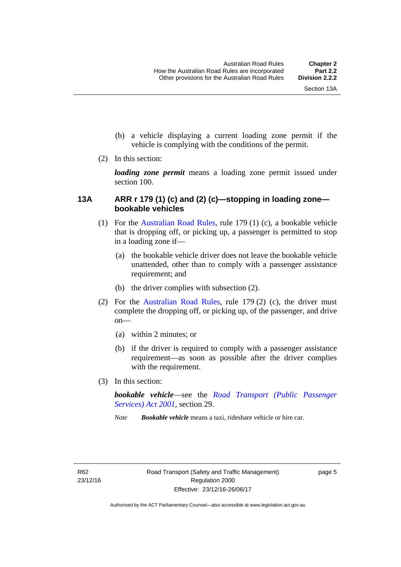- (b) a vehicle displaying a current loading zone permit if the vehicle is complying with the conditions of the permit.
- (2) In this section:

*loading zone permit* means a loading zone permit issued under section 100.

#### <span id="page-21-0"></span>**13A ARR r 179 (1) (c) and (2) (c)—stopping in loading zone bookable vehicles**

- (1) For the [Australian Road Rules,](http://www.legislation.act.gov.au//ni/db_37271/default.asp) rule 179 (1) (c), a bookable vehicle that is dropping off, or picking up, a passenger is permitted to stop in a loading zone if—
	- (a) the bookable vehicle driver does not leave the bookable vehicle unattended, other than to comply with a passenger assistance requirement; and
	- (b) the driver complies with subsection (2).
- (2) For the [Australian Road Rules,](http://www.legislation.act.gov.au//ni/db_37271/default.asp) rule 179 (2) (c), the driver must complete the dropping off, or picking up, of the passenger, and drive on—
	- (a) within 2 minutes; or
	- (b) if the driver is required to comply with a passenger assistance requirement—as soon as possible after the driver complies with the requirement.
- (3) In this section:

*bookable vehicle*—see the *[Road Transport \(Public Passenger](http://www.legislation.act.gov.au/a/2001-62)  [Services\) Act 2001](http://www.legislation.act.gov.au/a/2001-62)*, section 29.

*Note Bookable vehicle* means a taxi, rideshare vehicle or hire car.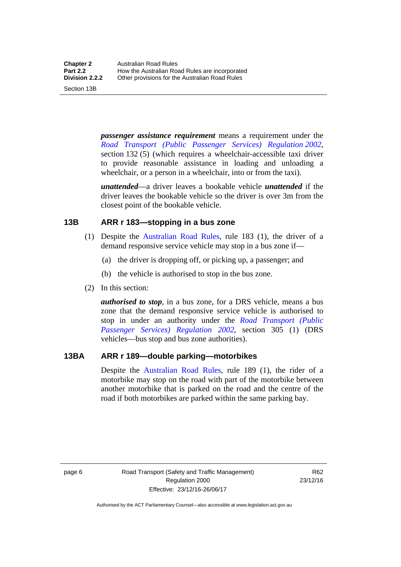Section 13B

*passenger assistance requirement* means a requirement under the *[Road Transport \(Public Passenger Services\) Regulation 2002](http://www.legislation.act.gov.au/sl/2002-3)*, section 132 (5) (which requires a wheelchair-accessible taxi driver to provide reasonable assistance in loading and unloading a wheelchair, or a person in a wheelchair, into or from the taxi).

*unattended*—a driver leaves a bookable vehicle *unattended* if the driver leaves the bookable vehicle so the driver is over 3m from the closest point of the bookable vehicle.

#### <span id="page-22-0"></span>**13B ARR r 183—stopping in a bus zone**

- (1) Despite the [Australian Road Rules](http://www.legislation.act.gov.au//ni/db_37271/default.asp), rule 183 (1), the driver of a demand responsive service vehicle may stop in a bus zone if—
	- (a) the driver is dropping off, or picking up, a passenger; and
	- (b) the vehicle is authorised to stop in the bus zone.
- (2) In this section:

*authorised to stop*, in a bus zone, for a DRS vehicle, means a bus zone that the demand responsive service vehicle is authorised to stop in under an authority under the *[Road Transport \(Public](http://www.legislation.act.gov.au/sl/2002-3)  [Passenger Services\) Regulation 2002](http://www.legislation.act.gov.au/sl/2002-3)*, section 305 (1) (DRS vehicles—bus stop and bus zone authorities).

#### <span id="page-22-1"></span>**13BA ARR r 189—double parking—motorbikes**

Despite the [Australian Road Rules](http://www.legislation.act.gov.au//ni/db_37271/default.asp), rule 189 (1), the rider of a motorbike may stop on the road with part of the motorbike between another motorbike that is parked on the road and the centre of the road if both motorbikes are parked within the same parking bay.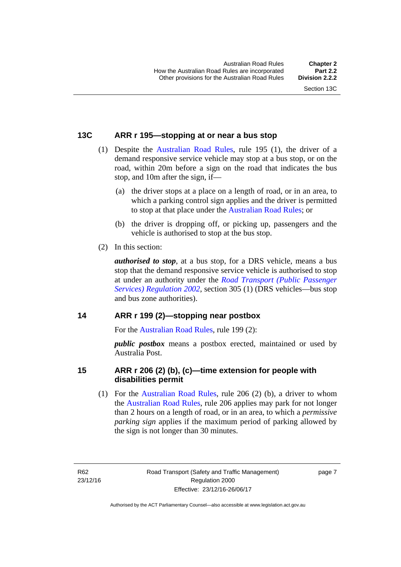#### <span id="page-23-0"></span>**13C ARR r 195—stopping at or near a bus stop**

- (1) Despite the [Australian Road Rules](http://www.legislation.act.gov.au//ni/db_37271/default.asp), rule 195 (1), the driver of a demand responsive service vehicle may stop at a bus stop, or on the road, within 20m before a sign on the road that indicates the bus stop, and 10m after the sign, if—
	- (a) the driver stops at a place on a length of road, or in an area, to which a parking control sign applies and the driver is permitted to stop at that place under the [Australian Road Rules](http://www.legislation.act.gov.au//ni/db_37271/default.asp); or
	- (b) the driver is dropping off, or picking up, passengers and the vehicle is authorised to stop at the bus stop.
- (2) In this section:

*authorised to stop*, at a bus stop, for a DRS vehicle, means a bus stop that the demand responsive service vehicle is authorised to stop at under an authority under the *[Road Transport \(Public Passenger](http://www.legislation.act.gov.au/sl/2002-3)  [Services\) Regulation 2002](http://www.legislation.act.gov.au/sl/2002-3)*, section 305 (1) (DRS vehicles—bus stop and bus zone authorities).

#### <span id="page-23-1"></span>**14 ARR r 199 (2)—stopping near postbox**

For the [Australian Road Rules](http://www.legislation.act.gov.au//ni/db_37271/default.asp), rule 199 (2):

*public postbox* means a postbox erected, maintained or used by Australia Post.

#### <span id="page-23-2"></span>**15 ARR r 206 (2) (b), (c)—time extension for people with disabilities permit**

 (1) For the [Australian Road Rules,](http://www.legislation.act.gov.au//ni/db_37271/default.asp) rule 206 (2) (b), a driver to whom the [Australian Road Rules,](http://www.legislation.act.gov.au//ni/db_37271/default.asp) rule 206 applies may park for not longer than 2 hours on a length of road, or in an area, to which a *permissive parking sign* applies if the maximum period of parking allowed by the sign is not longer than 30 minutes.

R62 23/12/16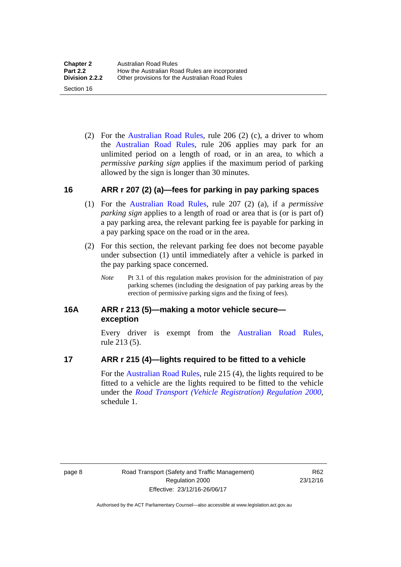(2) For the [Australian Road Rules,](http://www.legislation.act.gov.au//ni/db_37271/default.asp) rule 206 (2) (c), a driver to whom the [Australian Road Rules,](http://www.legislation.act.gov.au//ni/db_37271/default.asp) rule 206 applies may park for an unlimited period on a length of road, or in an area, to which a *permissive parking sign* applies if the maximum period of parking allowed by the sign is longer than 30 minutes.

#### <span id="page-24-0"></span>**16 ARR r 207 (2) (a)—fees for parking in pay parking spaces**

- (1) For the [Australian Road Rules,](http://www.legislation.act.gov.au//ni/db_37271/default.asp) rule 207 (2) (a), if a *permissive parking sign* applies to a length of road or area that is (or is part of) a pay parking area, the relevant parking fee is payable for parking in a pay parking space on the road or in the area.
- (2) For this section, the relevant parking fee does not become payable under subsection (1) until immediately after a vehicle is parked in the pay parking space concerned.
	- *Note* Pt 3.1 of this regulation makes provision for the administration of pay parking schemes (including the designation of pay parking areas by the erection of permissive parking signs and the fixing of fees).

#### <span id="page-24-1"></span>**16A ARR r 213 (5)—making a motor vehicle secure exception**

Every driver is exempt from the [Australian Road Rules](http://www.legislation.act.gov.au//ni/db_37271/default.asp), rule 213 (5).

#### <span id="page-24-2"></span>**17 ARR r 215 (4)—lights required to be fitted to a vehicle**

For the [Australian Road Rules,](http://www.legislation.act.gov.au//ni/db_37271/default.asp) rule 215 (4), the lights required to be fitted to a vehicle are the lights required to be fitted to the vehicle under the *[Road Transport \(Vehicle Registration\) Regulation 2000](http://www.legislation.act.gov.au/sl/2000-12),*  schedule 1.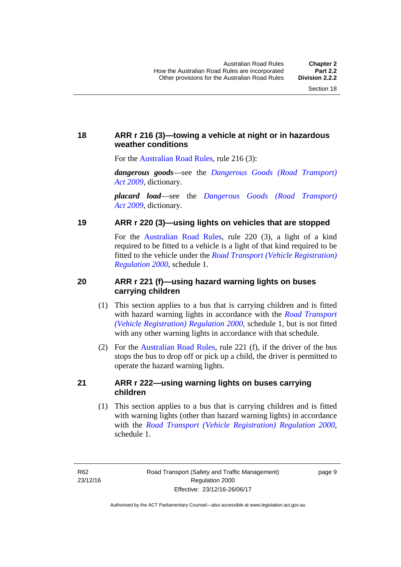### <span id="page-25-0"></span>**18 ARR r 216 (3)—towing a vehicle at night or in hazardous weather conditions**

For the [Australian Road Rules](http://www.legislation.act.gov.au//ni/db_37271/default.asp), rule 216 (3):

*dangerous goods*—see the *[Dangerous Goods \(Road Transport\)](http://www.legislation.act.gov.au/a/2009-34)  [Act 2009](http://www.legislation.act.gov.au/a/2009-34)*, dictionary.

*placard load*—see the *[Dangerous Goods \(Road Transport\)](http://www.legislation.act.gov.au/a/2009-34)  [Act 2009](http://www.legislation.act.gov.au/a/2009-34)*, dictionary.

#### <span id="page-25-1"></span>**19 ARR r 220 (3)—using lights on vehicles that are stopped**

For the [Australian Road Rules](http://www.legislation.act.gov.au//ni/db_37271/default.asp), rule 220 (3), a light of a kind required to be fitted to a vehicle is a light of that kind required to be fitted to the vehicle under the *[Road Transport \(Vehicle Registration\)](http://www.legislation.act.gov.au/sl/2000-12)  [Regulation 2000](http://www.legislation.act.gov.au/sl/2000-12)*, schedule 1.

#### <span id="page-25-2"></span>**20 ARR r 221 (f)—using hazard warning lights on buses carrying children**

- (1) This section applies to a bus that is carrying children and is fitted with hazard warning lights in accordance with the *[Road Transport](http://www.legislation.act.gov.au/sl/2000-12)  [\(Vehicle Registration\) Regulation 2000](http://www.legislation.act.gov.au/sl/2000-12)*, schedule 1, but is not fitted with any other warning lights in accordance with that schedule.
- (2) For the [Australian Road Rules](http://www.legislation.act.gov.au//ni/db_37271/default.asp), rule 221 (f), if the driver of the bus stops the bus to drop off or pick up a child, the driver is permitted to operate the hazard warning lights.

#### <span id="page-25-3"></span>**21 ARR r 222—using warning lights on buses carrying children**

(1) This section applies to a bus that is carrying children and is fitted with warning lights (other than hazard warning lights) in accordance with the *[Road Transport \(Vehicle Registration\) Regulation 2000](http://www.legislation.act.gov.au/sl/2000-12)*, schedule 1.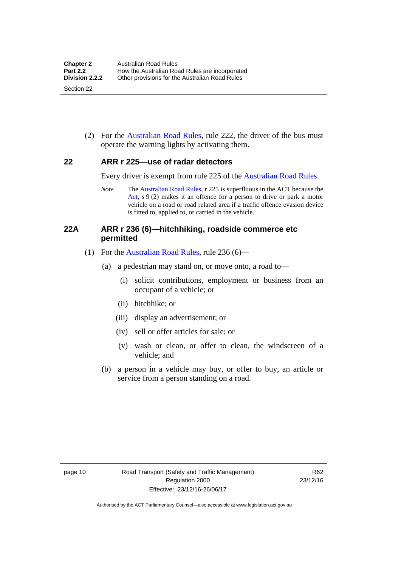(2) For the [Australian Road Rules](http://www.legislation.act.gov.au//ni/db_37271/default.asp), rule 222, the driver of the bus must operate the warning lights by activating them.

#### <span id="page-26-0"></span>**22 ARR r 225—use of radar detectors**

Every driver is exempt from rule 225 of the [Australian Road Rules.](http://www.legislation.act.gov.au//ni/db_37271/default.asp)

*Note* The [Australian Road Rules,](http://www.legislation.act.gov.au//ni/db_37271/default.asp) r 225 is superfluous in the ACT because the [Act](http://www.legislation.act.gov.au/a/1999-80/default.asp), s 9 (2) makes it an offence for a person to drive or park a motor vehicle on a road or road related area if a traffic offence evasion device is fitted to, applied to, or carried in the vehicle.

#### <span id="page-26-1"></span>**22A ARR r 236 (6)—hitchhiking, roadside commerce etc permitted**

- (1) For the [Australian Road Rules,](http://www.legislation.act.gov.au//ni/db_37271/default.asp) rule 236 (6)—
	- (a) a pedestrian may stand on, or move onto, a road to—
		- (i) solicit contributions, employment or business from an occupant of a vehicle; or
		- (ii) hitchhike; or
		- (iii) display an advertisement; or
		- (iv) sell or offer articles for sale; or
		- (v) wash or clean, or offer to clean, the windscreen of a vehicle; and
	- (b) a person in a vehicle may buy, or offer to buy, an article or service from a person standing on a road.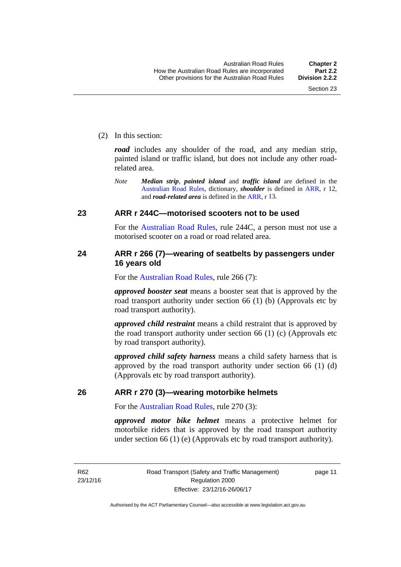(2) In this section:

*road* includes any shoulder of the road, and any median strip, painted island or traffic island, but does not include any other roadrelated area.

*Note Median strip*, *painted island* and *traffic island* are defined in the [Australian Road Rules,](http://www.legislation.act.gov.au//ni/db_37271/default.asp) dictionary, *shoulder* is defined in [ARR](http://www.legislation.act.gov.au//ni/db_37271/default.asp), r 12, and *road-related area* is defined in the [ARR](http://www.legislation.act.gov.au//ni/db_37271/default.asp), r 13.

#### <span id="page-27-0"></span>**23 ARR r 244C—motorised scooters not to be used**

For the [Australian Road Rules](http://www.legislation.act.gov.au//ni/db_37271/default.asp), rule 244C, a person must not use a motorised scooter on a road or road related area.

#### <span id="page-27-1"></span>**24 ARR r 266 (7)—wearing of seatbelts by passengers under 16 years old**

For the [Australian Road Rules](http://www.legislation.act.gov.au//ni/db_37271/default.asp), rule 266 (7):

*approved booster seat* means a booster seat that is approved by the road transport authority under section 66 (1) (b) (Approvals etc by road transport authority).

*approved child restraint* means a child restraint that is approved by the road transport authority under section 66 (1) (c) (Approvals etc by road transport authority).

*approved child safety harness* means a child safety harness that is approved by the road transport authority under section 66 (1) (d) (Approvals etc by road transport authority).

#### <span id="page-27-2"></span>**26 ARR r 270 (3)—wearing motorbike helmets**

For the [Australian Road Rules](http://www.legislation.act.gov.au//ni/db_37271/default.asp), rule 270 (3):

*approved motor bike helmet* means a protective helmet for motorbike riders that is approved by the road transport authority under section 66 (1) (e) (Approvals etc by road transport authority).

R62 23/12/16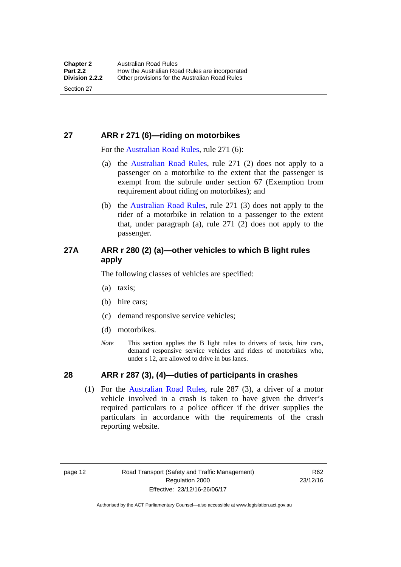### <span id="page-28-0"></span>**27 ARR r 271 (6)—riding on motorbikes**

For the [Australian Road Rules,](http://www.legislation.act.gov.au//ni/db_37271/default.asp) rule 271 (6):

- (a) the [Australian Road Rules](http://www.legislation.act.gov.au//ni/db_37271/default.asp), rule 271 (2) does not apply to a passenger on a motorbike to the extent that the passenger is exempt from the subrule under section 67 (Exemption from requirement about riding on motorbikes); and
- (b) the [Australian Road Rules,](http://www.legislation.act.gov.au//ni/db_37271/default.asp) rule 271 (3) does not apply to the rider of a motorbike in relation to a passenger to the extent that, under paragraph (a), rule 271 (2) does not apply to the passenger.

#### <span id="page-28-1"></span>**27A ARR r 280 (2) (a)—other vehicles to which B light rules apply**

The following classes of vehicles are specified:

- (a) taxis;
- (b) hire cars;
- (c) demand responsive service vehicles;
- (d) motorbikes.
- *Note* This section applies the B light rules to drivers of taxis, hire cars, demand responsive service vehicles and riders of motorbikes who, under s 12, are allowed to drive in bus lanes.

#### <span id="page-28-2"></span>**28 ARR r 287 (3), (4)—duties of participants in crashes**

 (1) For the [Australian Road Rules,](http://www.legislation.act.gov.au//ni/db_37271/default.asp) rule 287 (3), a driver of a motor vehicle involved in a crash is taken to have given the driver's required particulars to a police officer if the driver supplies the particulars in accordance with the requirements of the crash reporting website.

page 12 Road Transport (Safety and Traffic Management) Regulation 2000 Effective: 23/12/16-26/06/17

R62 23/12/16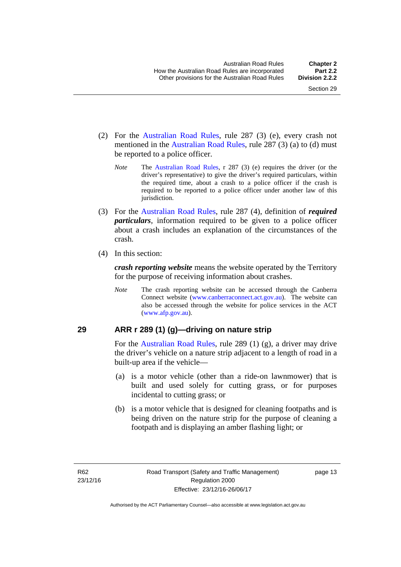- (2) For the [Australian Road Rules,](http://www.legislation.act.gov.au//ni/db_37271/default.asp) rule 287 (3) (e), every crash not mentioned in the [Australian Road Rules,](http://www.legislation.act.gov.au//ni/db_37271/default.asp) rule 287 (3) (a) to (d) must be reported to a police officer.
	- *Note* The [Australian Road Rules,](http://www.legislation.act.gov.au//ni/db_37271/default.asp) r 287 (3) (e) requires the driver (or the driver's representative) to give the driver's required particulars, within the required time, about a crash to a police officer if the crash is required to be reported to a police officer under another law of this jurisdiction.
- (3) For the [Australian Road Rules](http://www.legislation.act.gov.au//ni/db_37271/default.asp), rule 287 (4), definition of *required particulars*, information required to be given to a police officer about a crash includes an explanation of the circumstances of the crash.
- (4) In this section:

*crash reporting website* means the website operated by the Territory for the purpose of receiving information about crashes.

*Note* The crash reporting website can be accessed through the Canberra Connect website [\(www.canberraconnect.act.gov.au\)](http://www.canberraconnect.act.gov.au/). The website can also be accessed through the website for police services in the ACT [\(www.afp.gov.au\)](http://www.afp.gov.au/).

#### <span id="page-29-0"></span>**29 ARR r 289 (1) (g)—driving on nature strip**

For the [Australian Road Rules,](http://www.legislation.act.gov.au//ni/db_37271/default.asp) rule 289 (1) (g), a driver may drive the driver's vehicle on a nature strip adjacent to a length of road in a built-up area if the vehicle—

- (a) is a motor vehicle (other than a ride-on lawnmower) that is built and used solely for cutting grass, or for purposes incidental to cutting grass; or
- (b) is a motor vehicle that is designed for cleaning footpaths and is being driven on the nature strip for the purpose of cleaning a footpath and is displaying an amber flashing light; or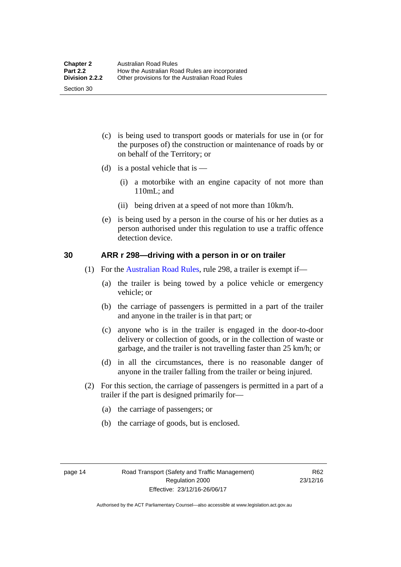(c) is being used to transport goods or materials for use in (or for the purposes of) the construction or maintenance of roads by or on behalf of the Territory; or

- (d) is a postal vehicle that is  $-$ 
	- (i) a motorbike with an engine capacity of not more than 110mL; and
	- (ii) being driven at a speed of not more than 10km/h.
- (e) is being used by a person in the course of his or her duties as a person authorised under this regulation to use a traffic offence detection device.

#### <span id="page-30-0"></span>**30 ARR r 298—driving with a person in or on trailer**

- (1) For the [Australian Road Rules,](http://www.legislation.act.gov.au//ni/db_37271/default.asp) rule 298, a trailer is exempt if—
	- (a) the trailer is being towed by a police vehicle or emergency vehicle; or
	- (b) the carriage of passengers is permitted in a part of the trailer and anyone in the trailer is in that part; or
	- (c) anyone who is in the trailer is engaged in the door-to-door delivery or collection of goods, or in the collection of waste or garbage, and the trailer is not travelling faster than 25 km/h; or
	- (d) in all the circumstances, there is no reasonable danger of anyone in the trailer falling from the trailer or being injured.
- (2) For this section, the carriage of passengers is permitted in a part of a trailer if the part is designed primarily for—
	- (a) the carriage of passengers; or
	- (b) the carriage of goods, but is enclosed.

Section 30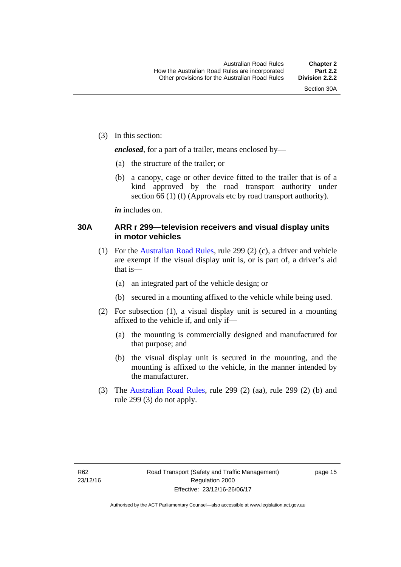(3) In this section:

*enclosed*, for a part of a trailer, means enclosed by—

- (a) the structure of the trailer; or
- (b) a canopy, cage or other device fitted to the trailer that is of a kind approved by the road transport authority under section 66 (1) (f) (Approvals etc by road transport authority).

*in* includes on.

#### <span id="page-31-0"></span>**30A ARR r 299—television receivers and visual display units in motor vehicles**

- (1) For the [Australian Road Rules,](http://www.legislation.act.gov.au//ni/db_37271/default.asp) rule 299 (2) (c), a driver and vehicle are exempt if the visual display unit is, or is part of, a driver's aid that is—
	- (a) an integrated part of the vehicle design; or
	- (b) secured in a mounting affixed to the vehicle while being used.
- (2) For subsection (1), a visual display unit is secured in a mounting affixed to the vehicle if, and only if—
	- (a) the mounting is commercially designed and manufactured for that purpose; and
	- (b) the visual display unit is secured in the mounting, and the mounting is affixed to the vehicle, in the manner intended by the manufacturer.
- (3) The [Australian Road Rules](http://www.legislation.act.gov.au//ni/db_37271/default.asp), rule 299 (2) (aa), rule 299 (2) (b) and rule 299 (3) do not apply.

page 15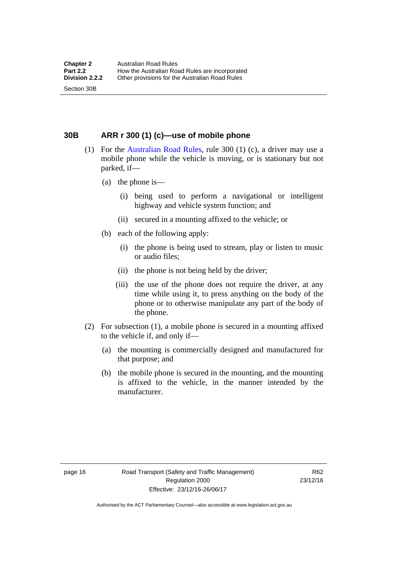<span id="page-32-0"></span>**30B ARR r 300 (1) (c)—use of mobile phone** 

- (1) For the [Australian Road Rules,](http://www.legislation.act.gov.au//ni/db_37271/default.asp) rule 300 (1) (c), a driver may use a mobile phone while the vehicle is moving, or is stationary but not parked, if—
	- (a) the phone is—

Section 30B

- (i) being used to perform a navigational or intelligent highway and vehicle system function; and
- (ii) secured in a mounting affixed to the vehicle; or
- (b) each of the following apply:
	- (i) the phone is being used to stream, play or listen to music or audio files;
	- (ii) the phone is not being held by the driver;
	- (iii) the use of the phone does not require the driver, at any time while using it, to press anything on the body of the phone or to otherwise manipulate any part of the body of the phone.
- (2) For subsection (1), a mobile phone is secured in a mounting affixed to the vehicle if, and only if—
	- (a) the mounting is commercially designed and manufactured for that purpose; and
	- (b) the mobile phone is secured in the mounting, and the mounting is affixed to the vehicle, in the manner intended by the manufacturer.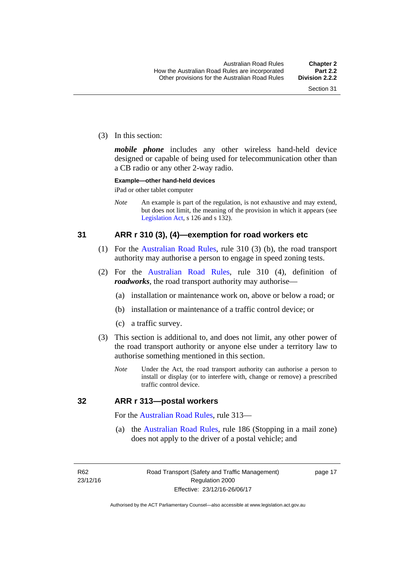(3) In this section:

*mobile phone* includes any other wireless hand-held device designed or capable of being used for telecommunication other than a CB radio or any other 2-way radio.

#### **Example—other hand-held devices**

iPad or other tablet computer

*Note* An example is part of the regulation, is not exhaustive and may extend, but does not limit, the meaning of the provision in which it appears (see [Legislation Act,](http://www.legislation.act.gov.au/a/2001-14) s 126 and s 132).

#### <span id="page-33-0"></span>**31 ARR r 310 (3), (4)—exemption for road workers etc**

- (1) For the [Australian Road Rules](http://www.legislation.act.gov.au//ni/db_37271/default.asp), rule 310 (3) (b), the road transport authority may authorise a person to engage in speed zoning tests.
- (2) For the [Australian Road Rules](http://www.legislation.act.gov.au//ni/db_37271/default.asp), rule 310 (4), definition of *roadworks*, the road transport authority may authorise—
	- (a) installation or maintenance work on, above or below a road; or
	- (b) installation or maintenance of a traffic control device; or
	- (c) a traffic survey.
- (3) This section is additional to, and does not limit, any other power of the road transport authority or anyone else under a territory law to authorise something mentioned in this section.
	- *Note* Under the Act, the road transport authority can authorise a person to install or display (or to interfere with, change or remove) a prescribed traffic control device.

#### <span id="page-33-1"></span>**32 ARR r 313—postal workers**

For the [Australian Road Rules](http://www.legislation.act.gov.au//ni/db_37271/default.asp), rule 313—

 (a) the [Australian Road Rules,](http://www.legislation.act.gov.au//ni/db_37271/default.asp) rule 186 (Stopping in a mail zone) does not apply to the driver of a postal vehicle; and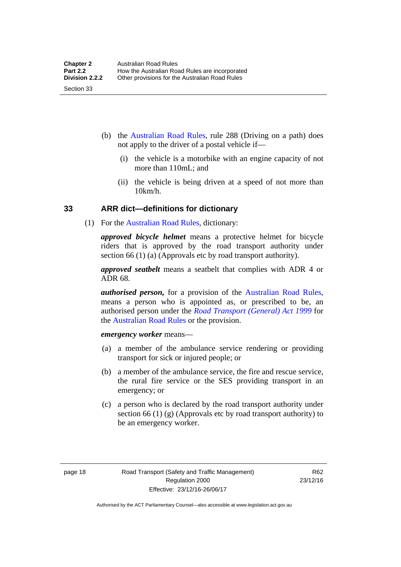- (b) the [Australian Road Rules](http://www.legislation.act.gov.au//ni/db_37271/default.asp), rule 288 (Driving on a path) does not apply to the driver of a postal vehicle if—
	- (i) the vehicle is a motorbike with an engine capacity of not more than 110mL; and
	- (ii) the vehicle is being driven at a speed of not more than 10km/h.

#### <span id="page-34-0"></span>**33 ARR dict—definitions for dictionary**

(1) For the [Australian Road Rules,](http://www.legislation.act.gov.au//ni/db_37271/default.asp) dictionary:

*approved bicycle helmet* means a protective helmet for bicycle riders that is approved by the road transport authority under section 66 (1) (a) (Approvals etc by road transport authority).

*approved seatbelt* means a seatbelt that complies with ADR 4 or ADR 68.

*authorised person,* for a provision of the [Australian Road Rules](http://www.legislation.act.gov.au//ni/db_37271/default.asp), means a person who is appointed as, or prescribed to be, an authorised person under the *[Road Transport \(General\) Act 1999](http://www.legislation.act.gov.au/a/1999-77)* for the [Australian Road Rules](http://www.legislation.act.gov.au//ni/db_37271/default.asp) or the provision.

*emergency worker* means—

- (a) a member of the ambulance service rendering or providing transport for sick or injured people; or
- (b) a member of the ambulance service, the fire and rescue service, the rural fire service or the SES providing transport in an emergency; or
- (c) a person who is declared by the road transport authority under section 66 (1) (g) (Approvals etc by road transport authority) to be an emergency worker.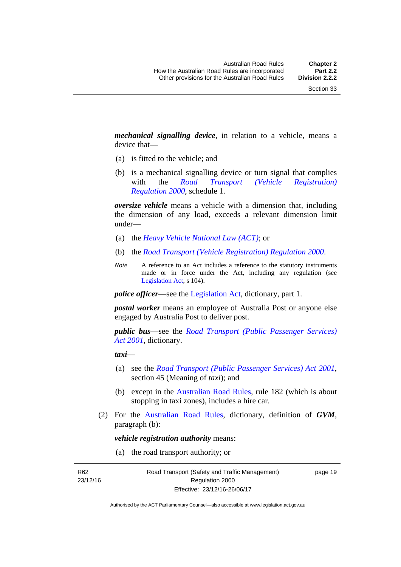*mechanical signalling device*, in relation to a vehicle, means a device that—

- (a) is fitted to the vehicle; and
- (b) is a mechanical signalling device or turn signal that complies with the *[Road Transport \(Vehicle Registration\)](http://www.legislation.act.gov.au/sl/2000-12)  [Regulation 2000](http://www.legislation.act.gov.au/sl/2000-12)*, schedule 1.

*oversize vehicle* means a vehicle with a dimension that, including the dimension of any load, exceeds a relevant dimension limit under—

- (a) the *[Heavy Vehicle National Law \(ACT\)](http://www.legislation.act.gov.au/a/db_49155/default.asp)*; or
- (b) the *[Road Transport \(Vehicle Registration\) Regulation 2000](http://www.legislation.act.gov.au/sl/2000-12)*.
- *Note* A reference to an Act includes a reference to the statutory instruments made or in force under the Act, including any regulation (see [Legislation Act,](http://www.legislation.act.gov.au/a/2001-14) s 104).

*police officer*—see the [Legislation Act](http://www.legislation.act.gov.au/a/2001-14), dictionary, part 1.

*postal worker* means an employee of Australia Post or anyone else engaged by Australia Post to deliver post.

*public bus*—see the *[Road Transport \(Public Passenger Services\)](http://www.legislation.act.gov.au/a/2001-62)  [Act 2001](http://www.legislation.act.gov.au/a/2001-62)*, dictionary.

*taxi*—

- (a) see the *[Road Transport \(Public Passenger Services\) Act 2001](http://www.legislation.act.gov.au/a/2001-62)*, section 45 (Meaning of *taxi*); and
- (b) except in the [Australian Road Rules,](http://www.legislation.act.gov.au//ni/db_37271/default.asp) rule 182 (which is about stopping in taxi zones), includes a hire car.
- (2) For the [Australian Road Rules](http://www.legislation.act.gov.au//ni/db_37271/default.asp), dictionary, definition of *GVM*, paragraph (b):

*vehicle registration authority* means:

(a) the road transport authority; or

R62 23/12/16 page 19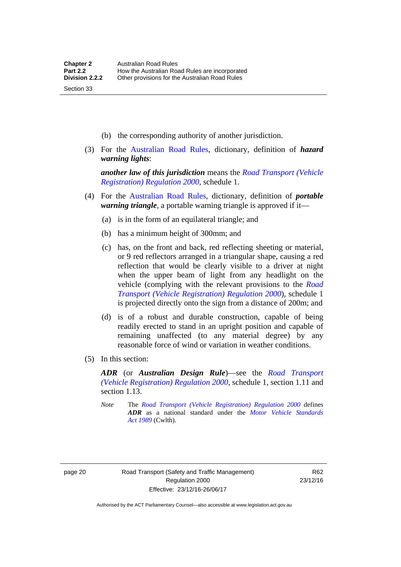- (b) the corresponding authority of another jurisdiction.
- (3) For the [Australian Road Rules](http://www.legislation.act.gov.au//ni/db_37271/default.asp), dictionary, definition of *hazard warning lights*:

*another law of this jurisdiction* means the *[Road Transport \(Vehicle](http://www.legislation.act.gov.au/sl/2000-12)  [Registration\) Regulation 2000](http://www.legislation.act.gov.au/sl/2000-12)*, schedule 1.

- (4) For the [Australian Road Rules](http://www.legislation.act.gov.au//ni/db_37271/default.asp), dictionary, definition of *portable warning triangle*, a portable warning triangle is approved if it—
	- (a) is in the form of an equilateral triangle; and
	- (b) has a minimum height of 300mm; and
	- (c) has, on the front and back, red reflecting sheeting or material, or 9 red reflectors arranged in a triangular shape, causing a red reflection that would be clearly visible to a driver at night when the upper beam of light from any headlight on the vehicle (complying with the relevant provisions to the *[Road](http://www.legislation.act.gov.au/sl/2000-12)  [Transport \(Vehicle Registration\) Regulation 2000](http://www.legislation.act.gov.au/sl/2000-12)*), schedule 1 is projected directly onto the sign from a distance of 200m; and
	- (d) is of a robust and durable construction, capable of being readily erected to stand in an upright position and capable of remaining unaffected (to any material degree) by any reasonable force of wind or variation in weather conditions.
- (5) In this section:

*ADR* (or *Australian Design Rule*)—see the *[Road Transport](http://www.legislation.act.gov.au/sl/2000-12)  [\(Vehicle Registration\) Regulation 2000](http://www.legislation.act.gov.au/sl/2000-12)*, schedule 1, section 1.11 and section 1.13.

*Note* The *[Road Transport \(Vehicle Registration\) Regulation 2000](http://www.legislation.act.gov.au/sl/2000-12)* defines *ADR* as a national standard under the *[Motor Vehicle Standards](http://www.comlaw.gov.au/Series/C2004A03813)  [Act 1989](http://www.comlaw.gov.au/Series/C2004A03813)* (Cwlth).

Section 33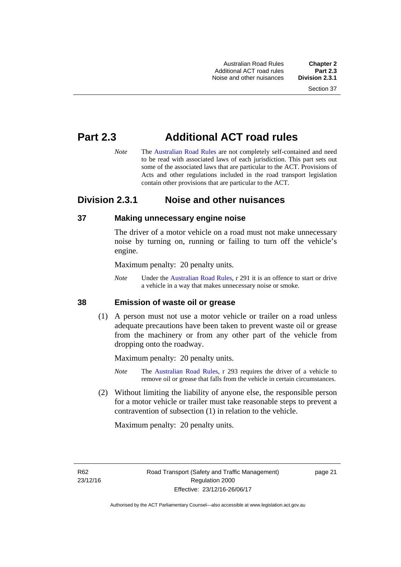Australian Road Rules **Chapter 2** Additional ACT road rules **Part 2.3** Noise and other nuisances

# **Part 2.3 Additional ACT road rules**

*Note* The [Australian Road Rules](http://www.legislation.act.gov.au//ni/db_37271/default.asp) are not completely self-contained and need to be read with associated laws of each jurisdiction. This part sets out some of the associated laws that are particular to the ACT. Provisions of Acts and other regulations included in the road transport legislation contain other provisions that are particular to the ACT.

# **Division 2.3.1 Noise and other nuisances**

### **37 Making unnecessary engine noise**

The driver of a motor vehicle on a road must not make unnecessary noise by turning on, running or failing to turn off the vehicle's engine.

Maximum penalty: 20 penalty units.

*Note* Under the [Australian Road Rules,](http://www.legislation.act.gov.au//ni/db_37271/default.asp) r 291 it is an offence to start or drive a vehicle in a way that makes unnecessary noise or smoke.

### **38 Emission of waste oil or grease**

 (1) A person must not use a motor vehicle or trailer on a road unless adequate precautions have been taken to prevent waste oil or grease from the machinery or from any other part of the vehicle from dropping onto the roadway.

Maximum penalty: 20 penalty units.

- *Note* The [Australian Road Rules,](http://www.legislation.act.gov.au//ni/db_37271/default.asp) r 293 requires the driver of a vehicle to remove oil or grease that falls from the vehicle in certain circumstances.
- (2) Without limiting the liability of anyone else, the responsible person for a motor vehicle or trailer must take reasonable steps to prevent a contravention of subsection (1) in relation to the vehicle.

Maximum penalty: 20 penalty units.

R62 23/12/16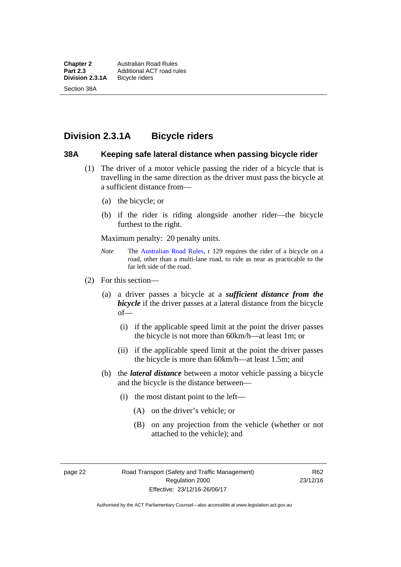# **Division 2.3.1A Bicycle riders**

### **38A Keeping safe lateral distance when passing bicycle rider**

- (1) The driver of a motor vehicle passing the rider of a bicycle that is travelling in the same direction as the driver must pass the bicycle at a sufficient distance from—
	- (a) the bicycle; or
	- (b) if the rider is riding alongside another rider—the bicycle furthest to the right.

Maximum penalty: 20 penalty units.

- *Note* **The [Australian Road Rules](http://www.legislation.act.gov.au//ni/db_37271/default.asp), r 129 requires the rider of a bicycle on a** road, other than a multi-lane road, to ride as near as practicable to the far left side of the road.
- (2) For this section—
	- (a) a driver passes a bicycle at a *sufficient distance from the bicycle* if the driver passes at a lateral distance from the bicycle of—
		- (i) if the applicable speed limit at the point the driver passes the bicycle is not more than 60km/h—at least 1m; or
		- (ii) if the applicable speed limit at the point the driver passes the bicycle is more than 60km/h—at least 1.5m; and
	- (b) the *lateral distance* between a motor vehicle passing a bicycle and the bicycle is the distance between—
		- (i) the most distant point to the left—
			- (A) on the driver's vehicle; or
			- (B) on any projection from the vehicle (whether or not attached to the vehicle); and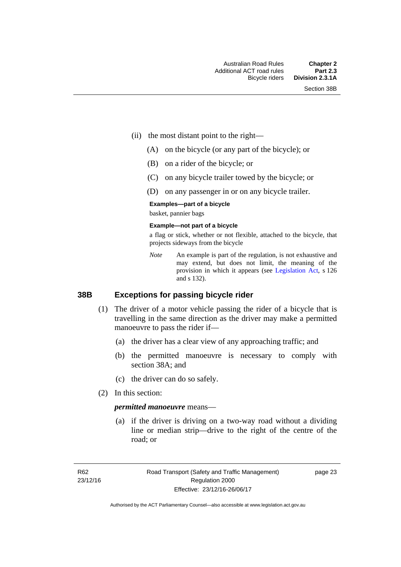- (ii) the most distant point to the right—
	- (A) on the bicycle (or any part of the bicycle); or
	- (B) on a rider of the bicycle; or
	- (C) on any bicycle trailer towed by the bicycle; or
	- (D) on any passenger in or on any bicycle trailer.

#### **Examples—part of a bicycle**

basket, pannier bags

#### **Example—not part of a bicycle**

a flag or stick, whether or not flexible, attached to the bicycle, that projects sideways from the bicycle

*Note* An example is part of the regulation, is not exhaustive and may extend, but does not limit, the meaning of the provision in which it appears (see [Legislation Act,](http://www.legislation.act.gov.au/a/2001-14) s 126 and s 132).

### **38B Exceptions for passing bicycle rider**

- (1) The driver of a motor vehicle passing the rider of a bicycle that is travelling in the same direction as the driver may make a permitted manoeuvre to pass the rider if—
	- (a) the driver has a clear view of any approaching traffic; and
	- (b) the permitted manoeuvre is necessary to comply with section 38A; and
	- (c) the driver can do so safely.
- (2) In this section:

#### *permitted manoeuvre* means—

 (a) if the driver is driving on a two-way road without a dividing line or median strip—drive to the right of the centre of the road; or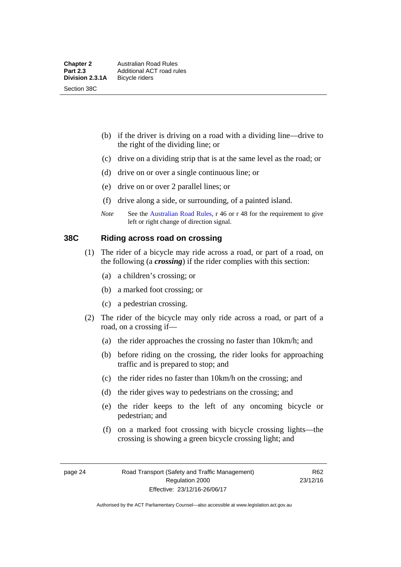- (b) if the driver is driving on a road with a dividing line—drive to the right of the dividing line; or
- (c) drive on a dividing strip that is at the same level as the road; or
- (d) drive on or over a single continuous line; or
- (e) drive on or over 2 parallel lines; or
- (f) drive along a side, or surrounding, of a painted island.
- *Note* See the [Australian Road Rules](http://www.legislation.act.gov.au//ni/db_37271/default.asp), r 46 or r 48 for the requirement to give left or right change of direction signal.

### **38C Riding across road on crossing**

- (1) The rider of a bicycle may ride across a road, or part of a road, on the following (a *crossing*) if the rider complies with this section:
	- (a) a children's crossing; or
	- (b) a marked foot crossing; or
	- (c) a pedestrian crossing.
- (2) The rider of the bicycle may only ride across a road, or part of a road, on a crossing if—
	- (a) the rider approaches the crossing no faster than 10km/h; and
	- (b) before riding on the crossing, the rider looks for approaching traffic and is prepared to stop; and
	- (c) the rider rides no faster than 10km/h on the crossing; and
	- (d) the rider gives way to pedestrians on the crossing; and
	- (e) the rider keeps to the left of any oncoming bicycle or pedestrian; and
	- (f) on a marked foot crossing with bicycle crossing lights—the crossing is showing a green bicycle crossing light; and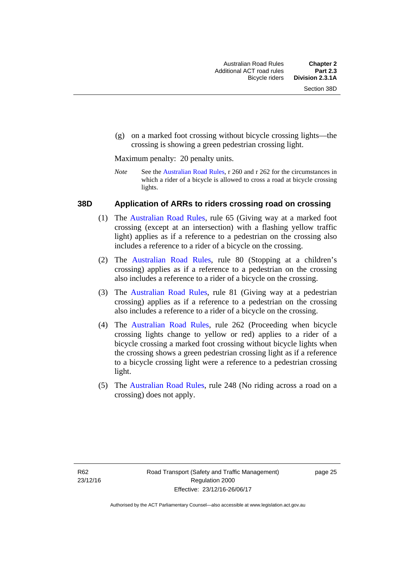(g) on a marked foot crossing without bicycle crossing lights—the crossing is showing a green pedestrian crossing light.

Maximum penalty: 20 penalty units.

*Note* See the [Australian Road Rules](http://www.legislation.act.gov.au//ni/db_37271/default.asp), r 260 and r 262 for the circumstances in which a rider of a bicycle is allowed to cross a road at bicycle crossing lights.

### **38D Application of ARRs to riders crossing road on crossing**

- (1) The [Australian Road Rules,](http://www.legislation.act.gov.au//ni/db_37271/default.asp) rule 65 (Giving way at a marked foot crossing (except at an intersection) with a flashing yellow traffic light) applies as if a reference to a pedestrian on the crossing also includes a reference to a rider of a bicycle on the crossing.
- (2) The [Australian Road Rules](http://www.legislation.act.gov.au//ni/db_37271/default.asp), rule 80 (Stopping at a children's crossing) applies as if a reference to a pedestrian on the crossing also includes a reference to a rider of a bicycle on the crossing.
- (3) The [Australian Road Rules,](http://www.legislation.act.gov.au//ni/db_37271/default.asp) rule 81 (Giving way at a pedestrian crossing) applies as if a reference to a pedestrian on the crossing also includes a reference to a rider of a bicycle on the crossing.
- (4) The [Australian Road Rules](http://www.legislation.act.gov.au//ni/db_37271/default.asp), rule 262 (Proceeding when bicycle crossing lights change to yellow or red) applies to a rider of a bicycle crossing a marked foot crossing without bicycle lights when the crossing shows a green pedestrian crossing light as if a reference to a bicycle crossing light were a reference to a pedestrian crossing light.
- (5) The [Australian Road Rules](http://www.legislation.act.gov.au//ni/db_37271/default.asp), rule 248 (No riding across a road on a crossing) does not apply.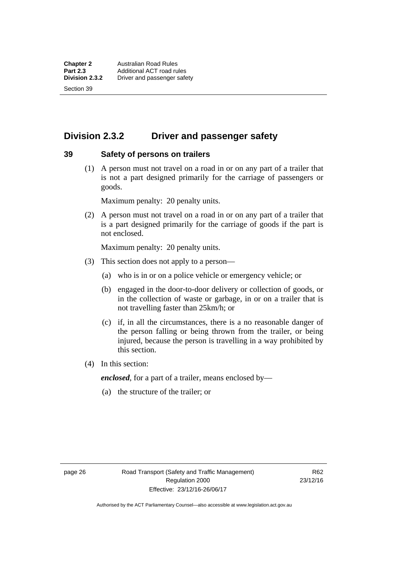Section 39

# **Division 2.3.2 Driver and passenger safety**

### **39 Safety of persons on trailers**

 (1) A person must not travel on a road in or on any part of a trailer that is not a part designed primarily for the carriage of passengers or goods.

Maximum penalty: 20 penalty units.

 (2) A person must not travel on a road in or on any part of a trailer that is a part designed primarily for the carriage of goods if the part is not enclosed.

Maximum penalty: 20 penalty units.

- (3) This section does not apply to a person—
	- (a) who is in or on a police vehicle or emergency vehicle; or
	- (b) engaged in the door-to-door delivery or collection of goods, or in the collection of waste or garbage, in or on a trailer that is not travelling faster than 25km/h; or
	- (c) if, in all the circumstances, there is a no reasonable danger of the person falling or being thrown from the trailer, or being injured, because the person is travelling in a way prohibited by this section.
- (4) In this section:

*enclosed*, for a part of a trailer, means enclosed by—

(a) the structure of the trailer; or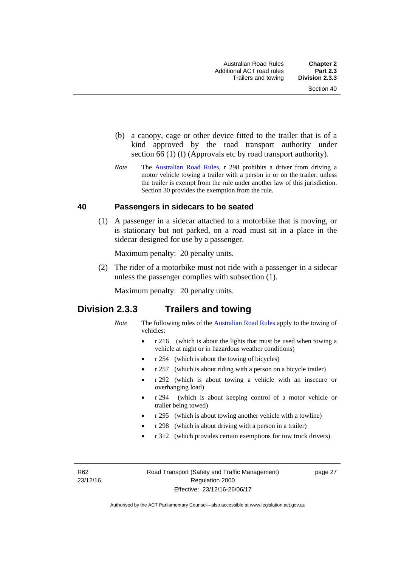- (b) a canopy, cage or other device fitted to the trailer that is of a kind approved by the road transport authority under section 66 (1) (f) (Approvals etc by road transport authority).
- *Note* The [Australian Road Rules](http://www.legislation.act.gov.au//ni/db_37271/default.asp), r 298 prohibits a driver from driving a motor vehicle towing a trailer with a person in or on the trailer, unless the trailer is exempt from the rule under another law of this jurisdiction. Section 30 provides the exemption from the rule.

### **40 Passengers in sidecars to be seated**

 (1) A passenger in a sidecar attached to a motorbike that is moving, or is stationary but not parked, on a road must sit in a place in the sidecar designed for use by a passenger.

Maximum penalty: 20 penalty units.

 (2) The rider of a motorbike must not ride with a passenger in a sidecar unless the passenger complies with subsection (1).

Maximum penalty: 20 penalty units.

### **Division 2.3.3 Trailers and towing**

- *Note* The following rules of the [Australian Road Rules](http://www.legislation.act.gov.au//ni/db_37271/default.asp) apply to the towing of vehicles:
	- r 216 (which is about the lights that must be used when towing a vehicle at night or in hazardous weather conditions)
	- r 254 (which is about the towing of bicycles)
	- r 257 (which is about riding with a person on a bicycle trailer)
	- r 292 (which is about towing a vehicle with an insecure or overhanging load)
	- r 294 (which is about keeping control of a motor vehicle or trailer being towed)
	- r 295 (which is about towing another vehicle with a towline)
	- r 298 (which is about driving with a person in a trailer)
	- r 312 (which provides certain exemptions for tow truck drivers).

R62 23/12/16 page 27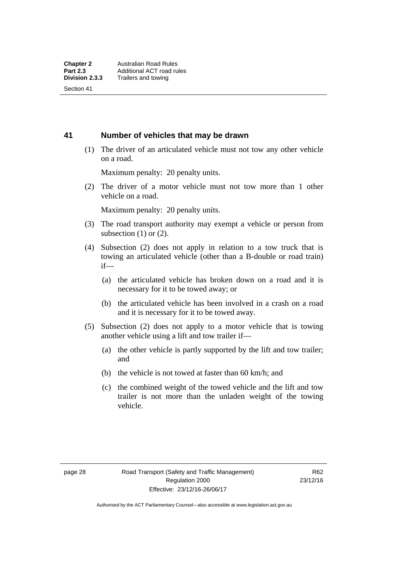Section 41

### **41 Number of vehicles that may be drawn**

 (1) The driver of an articulated vehicle must not tow any other vehicle on a road.

Maximum penalty: 20 penalty units.

 (2) The driver of a motor vehicle must not tow more than 1 other vehicle on a road.

Maximum penalty: 20 penalty units.

- (3) The road transport authority may exempt a vehicle or person from subsection  $(1)$  or  $(2)$ .
- (4) Subsection (2) does not apply in relation to a tow truck that is towing an articulated vehicle (other than a B-double or road train) if—
	- (a) the articulated vehicle has broken down on a road and it is necessary for it to be towed away; or
	- (b) the articulated vehicle has been involved in a crash on a road and it is necessary for it to be towed away.
- (5) Subsection (2) does not apply to a motor vehicle that is towing another vehicle using a lift and tow trailer if—
	- (a) the other vehicle is partly supported by the lift and tow trailer; and
	- (b) the vehicle is not towed at faster than 60 km/h; and
	- (c) the combined weight of the towed vehicle and the lift and tow trailer is not more than the unladen weight of the towing vehicle.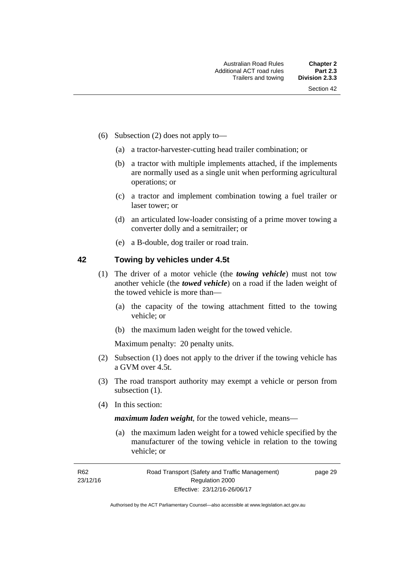- (6) Subsection (2) does not apply to—
	- (a) a tractor-harvester-cutting head trailer combination; or
	- (b) a tractor with multiple implements attached, if the implements are normally used as a single unit when performing agricultural operations; or
	- (c) a tractor and implement combination towing a fuel trailer or laser tower; or
	- (d) an articulated low-loader consisting of a prime mover towing a converter dolly and a semitrailer; or
	- (e) a B-double, dog trailer or road train.

### **42 Towing by vehicles under 4.5t**

- (1) The driver of a motor vehicle (the *towing vehicle*) must not tow another vehicle (the *towed vehicle*) on a road if the laden weight of the towed vehicle is more than—
	- (a) the capacity of the towing attachment fitted to the towing vehicle; or
	- (b) the maximum laden weight for the towed vehicle.

Maximum penalty: 20 penalty units.

- (2) Subsection (1) does not apply to the driver if the towing vehicle has a GVM over 4.5t.
- (3) The road transport authority may exempt a vehicle or person from subsection  $(1)$ .
- (4) In this section:

*maximum laden weight*, for the towed vehicle, means—

 (a) the maximum laden weight for a towed vehicle specified by the manufacturer of the towing vehicle in relation to the towing vehicle; or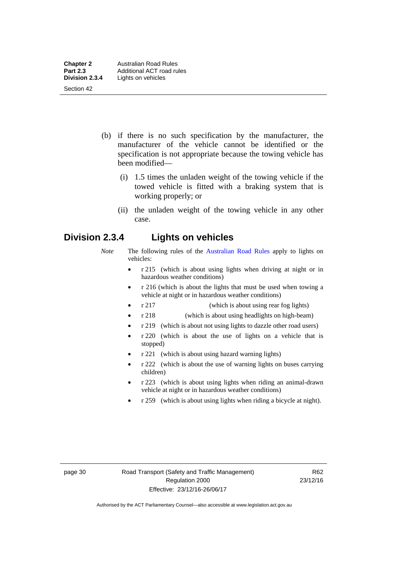- (b) if there is no such specification by the manufacturer, the manufacturer of the vehicle cannot be identified or the specification is not appropriate because the towing vehicle has been modified—
	- (i) 1.5 times the unladen weight of the towing vehicle if the towed vehicle is fitted with a braking system that is working properly; or
	- (ii) the unladen weight of the towing vehicle in any other case.

# **Division 2.3.4 Lights on vehicles**

- *Note* The following rules of the [Australian Road Rules](http://www.legislation.act.gov.au//ni/db_37271/default.asp) apply to lights on vehicles:
	- r 215 (which is about using lights when driving at night or in hazardous weather conditions)
	- r 216 (which is about the lights that must be used when towing a vehicle at night or in hazardous weather conditions)
	- r 217 (which is about using rear fog lights)
	- r 218 (which is about using headlights on high-beam)
	- r 219 (which is about not using lights to dazzle other road users)
	- r 220 (which is about the use of lights on a vehicle that is stopped)
	- r 221 (which is about using hazard warning lights)
	- r 222 (which is about the use of warning lights on buses carrying children)
	- r 223 (which is about using lights when riding an animal-drawn vehicle at night or in hazardous weather conditions)
	- r 259 (which is about using lights when riding a bicycle at night).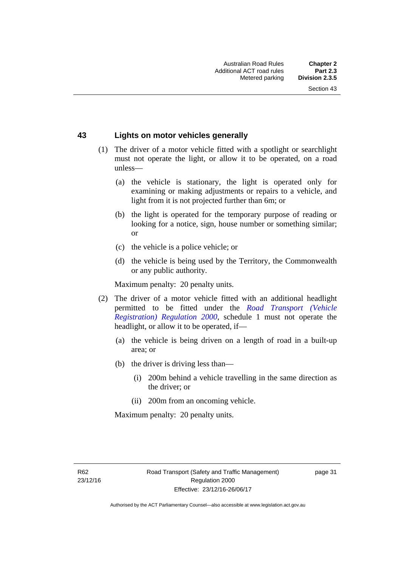### **43 Lights on motor vehicles generally**

- (1) The driver of a motor vehicle fitted with a spotlight or searchlight must not operate the light, or allow it to be operated, on a road unless—
	- (a) the vehicle is stationary, the light is operated only for examining or making adjustments or repairs to a vehicle, and light from it is not projected further than 6m; or
	- (b) the light is operated for the temporary purpose of reading or looking for a notice, sign, house number or something similar; or
	- (c) the vehicle is a police vehicle; or
	- (d) the vehicle is being used by the Territory, the Commonwealth or any public authority.

Maximum penalty: 20 penalty units.

- (2) The driver of a motor vehicle fitted with an additional headlight permitted to be fitted under the *[Road Transport \(Vehicle](http://www.legislation.act.gov.au/sl/2000-12)  [Registration\) Regulation 2000](http://www.legislation.act.gov.au/sl/2000-12)*, schedule 1 must not operate the headlight, or allow it to be operated, if—
	- (a) the vehicle is being driven on a length of road in a built-up area; or
	- (b) the driver is driving less than—
		- (i) 200m behind a vehicle travelling in the same direction as the driver; or
		- (ii) 200m from an oncoming vehicle.

Maximum penalty: 20 penalty units.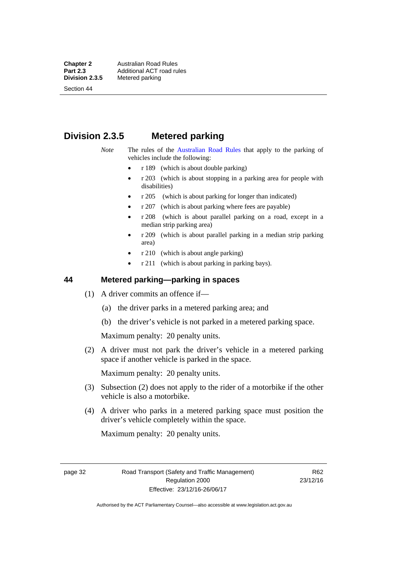**Chapter 2 Australian Road Rules**<br>**Part 2.3 Additional ACT road rules Part 2.3 Additional ACT road rules**<br>**Division 2.3.5** Metered parking **Metered parking** 

Section 44

# **Division 2.3.5 Metered parking**

### *Note* The rules of the [Australian Road Rules](http://www.legislation.act.gov.au//ni/db_37271/default.asp) that apply to the parking of vehicles include the following:

- r 189 (which is about double parking)
- $r$  203 (which is about stopping in a parking area for people with disabilities)
- r 205 (which is about parking for longer than indicated)
- r 207 (which is about parking where fees are payable)
- r 208 (which is about parallel parking on a road, except in a median strip parking area)
- r 209 (which is about parallel parking in a median strip parking area)
- r 210 (which is about angle parking)
- r 211 (which is about parking in parking bays).

### **44 Metered parking—parking in spaces**

- (1) A driver commits an offence if—
	- (a) the driver parks in a metered parking area; and
	- (b) the driver's vehicle is not parked in a metered parking space.

Maximum penalty: 20 penalty units.

 (2) A driver must not park the driver's vehicle in a metered parking space if another vehicle is parked in the space.

Maximum penalty: 20 penalty units.

- (3) Subsection (2) does not apply to the rider of a motorbike if the other vehicle is also a motorbike.
- (4) A driver who parks in a metered parking space must position the driver's vehicle completely within the space.

Maximum penalty: 20 penalty units.

page 32 Road Transport (Safety and Traffic Management) Regulation 2000 Effective: 23/12/16-26/06/17

R62 23/12/16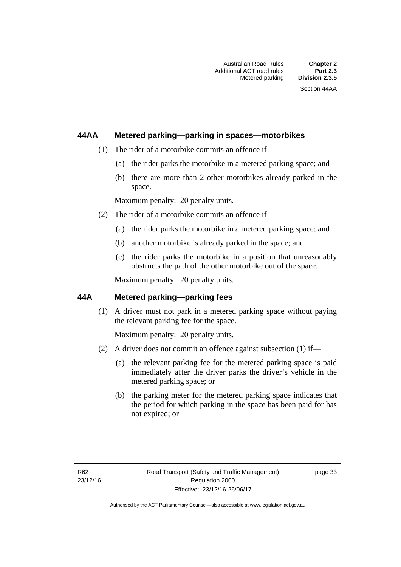### **44AA Metered parking—parking in spaces—motorbikes**

- (1) The rider of a motorbike commits an offence if—
	- (a) the rider parks the motorbike in a metered parking space; and
	- (b) there are more than 2 other motorbikes already parked in the space.

Maximum penalty: 20 penalty units.

- (2) The rider of a motorbike commits an offence if—
	- (a) the rider parks the motorbike in a metered parking space; and
	- (b) another motorbike is already parked in the space; and
	- (c) the rider parks the motorbike in a position that unreasonably obstructs the path of the other motorbike out of the space.

Maximum penalty: 20 penalty units.

### **44A Metered parking—parking fees**

(1) A driver must not park in a metered parking space without paying the relevant parking fee for the space.

Maximum penalty: 20 penalty units.

- (2) A driver does not commit an offence against subsection (1) if—
	- (a) the relevant parking fee for the metered parking space is paid immediately after the driver parks the driver's vehicle in the metered parking space; or
	- (b) the parking meter for the metered parking space indicates that the period for which parking in the space has been paid for has not expired; or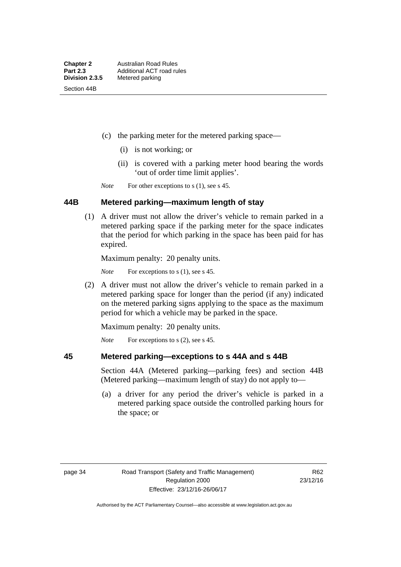- (c) the parking meter for the metered parking space—
	- (i) is not working; or
	- (ii) is covered with a parking meter hood bearing the words 'out of order time limit applies'.

*Note* For other exceptions to s (1), see s 45.

### **44B Metered parking—maximum length of stay**

 (1) A driver must not allow the driver's vehicle to remain parked in a metered parking space if the parking meter for the space indicates that the period for which parking in the space has been paid for has expired.

Maximum penalty: 20 penalty units.

*Note* For exceptions to s (1), see s 45.

 (2) A driver must not allow the driver's vehicle to remain parked in a metered parking space for longer than the period (if any) indicated on the metered parking signs applying to the space as the maximum period for which a vehicle may be parked in the space.

Maximum penalty: 20 penalty units.

*Note* For exceptions to s (2), see s 45.

### **45 Metered parking—exceptions to s 44A and s 44B**

Section 44A (Metered parking—parking fees) and section 44B (Metered parking—maximum length of stay) do not apply to—

 (a) a driver for any period the driver's vehicle is parked in a metered parking space outside the controlled parking hours for the space; or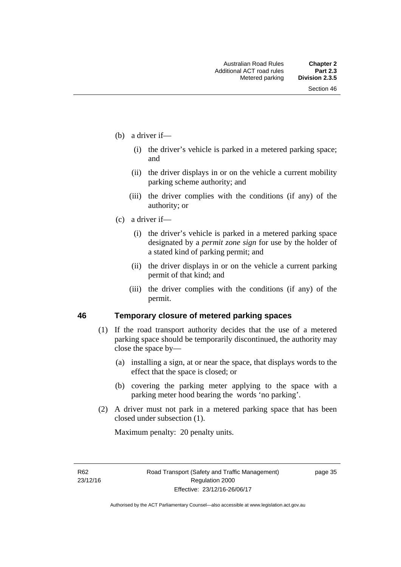- (b) a driver if—
	- (i) the driver's vehicle is parked in a metered parking space; and
	- (ii) the driver displays in or on the vehicle a current mobility parking scheme authority; and
	- (iii) the driver complies with the conditions (if any) of the authority; or
- (c) a driver if—
	- (i) the driver's vehicle is parked in a metered parking space designated by a *permit zone sign* for use by the holder of a stated kind of parking permit; and
	- (ii) the driver displays in or on the vehicle a current parking permit of that kind; and
	- (iii) the driver complies with the conditions (if any) of the permit.

### **46 Temporary closure of metered parking spaces**

- (1) If the road transport authority decides that the use of a metered parking space should be temporarily discontinued, the authority may close the space by—
	- (a) installing a sign, at or near the space, that displays words to the effect that the space is closed; or
	- (b) covering the parking meter applying to the space with a parking meter hood bearing the words 'no parking'.
- (2) A driver must not park in a metered parking space that has been closed under subsection (1).

Maximum penalty: 20 penalty units.

R62 23/12/16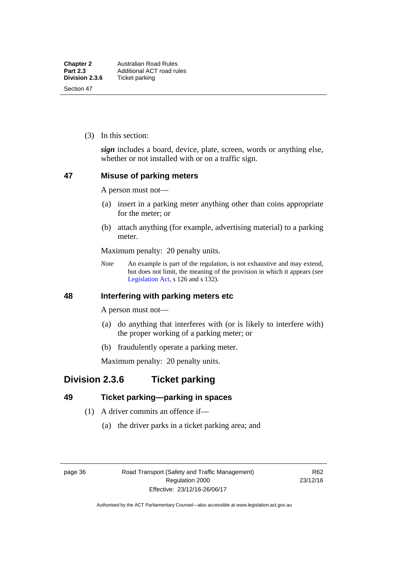(3) In this section:

*sign* includes a board, device, plate, screen, words or anything else, whether or not installed with or on a traffic sign.

### **47 Misuse of parking meters**

A person must not—

- (a) insert in a parking meter anything other than coins appropriate for the meter; or
- (b) attach anything (for example, advertising material) to a parking meter.

Maximum penalty: 20 penalty units.

*Note* An example is part of the regulation, is not exhaustive and may extend, but does not limit, the meaning of the provision in which it appears (see [Legislation Act,](http://www.legislation.act.gov.au/a/2001-14) s 126 and s 132).

### **48 Interfering with parking meters etc**

A person must not—

- (a) do anything that interferes with (or is likely to interfere with) the proper working of a parking meter; or
- (b) fraudulently operate a parking meter.

Maximum penalty: 20 penalty units.

# **Division 2.3.6 Ticket parking**

### **49 Ticket parking—parking in spaces**

- (1) A driver commits an offence if—
	- (a) the driver parks in a ticket parking area; and

page 36 Road Transport (Safety and Traffic Management) Regulation 2000 Effective: 23/12/16-26/06/17

R62 23/12/16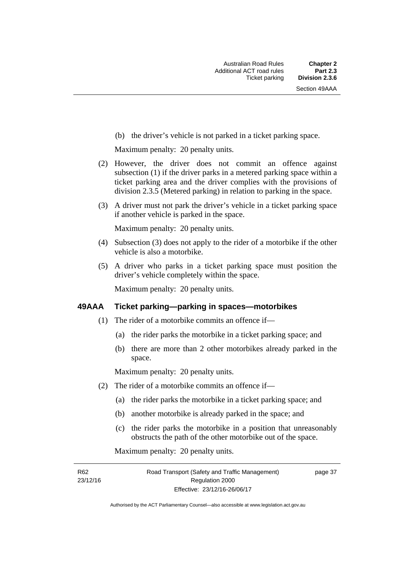(b) the driver's vehicle is not parked in a ticket parking space.

Maximum penalty: 20 penalty units.

- (2) However, the driver does not commit an offence against subsection (1) if the driver parks in a metered parking space within a ticket parking area and the driver complies with the provisions of division 2.3.5 (Metered parking) in relation to parking in the space.
- (3) A driver must not park the driver's vehicle in a ticket parking space if another vehicle is parked in the space.

Maximum penalty: 20 penalty units.

- (4) Subsection (3) does not apply to the rider of a motorbike if the other vehicle is also a motorbike.
- (5) A driver who parks in a ticket parking space must position the driver's vehicle completely within the space.

Maximum penalty: 20 penalty units.

### **49AAA Ticket parking—parking in spaces—motorbikes**

- (1) The rider of a motorbike commits an offence if—
	- (a) the rider parks the motorbike in a ticket parking space; and
	- (b) there are more than 2 other motorbikes already parked in the space.

Maximum penalty: 20 penalty units.

- (2) The rider of a motorbike commits an offence if—
	- (a) the rider parks the motorbike in a ticket parking space; and
	- (b) another motorbike is already parked in the space; and
	- (c) the rider parks the motorbike in a position that unreasonably obstructs the path of the other motorbike out of the space.

Maximum penalty: 20 penalty units.

R62 23/12/16 page 37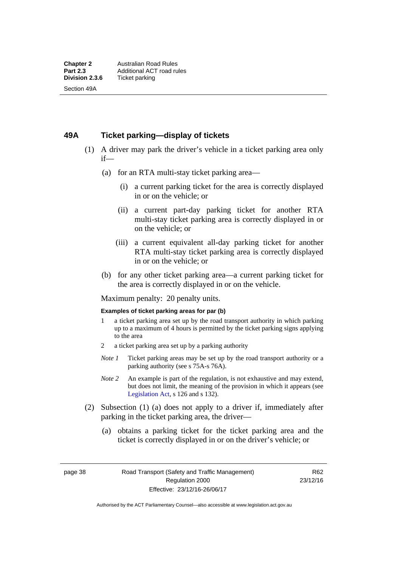### **49A Ticket parking—display of tickets**

- (1) A driver may park the driver's vehicle in a ticket parking area only if—
	- (a) for an RTA multi-stay ticket parking area—
		- (i) a current parking ticket for the area is correctly displayed in or on the vehicle; or
		- (ii) a current part-day parking ticket for another RTA multi-stay ticket parking area is correctly displayed in or on the vehicle; or
		- (iii) a current equivalent all-day parking ticket for another RTA multi-stay ticket parking area is correctly displayed in or on the vehicle; or
	- (b) for any other ticket parking area—a current parking ticket for the area is correctly displayed in or on the vehicle.

Maximum penalty: 20 penalty units.

#### **Examples of ticket parking areas for par (b)**

- 1 a ticket parking area set up by the road transport authority in which parking up to a maximum of 4 hours is permitted by the ticket parking signs applying to the area
- 2 a ticket parking area set up by a parking authority
- *Note 1* Ticket parking areas may be set up by the road transport authority or a parking authority (see s 75A-s 76A).
- *Note 2* An example is part of the regulation, is not exhaustive and may extend, but does not limit, the meaning of the provision in which it appears (see [Legislation Act,](http://www.legislation.act.gov.au/a/2001-14) s 126 and s 132).
- (2) Subsection (1) (a) does not apply to a driver if, immediately after parking in the ticket parking area, the driver—
	- (a) obtains a parking ticket for the ticket parking area and the ticket is correctly displayed in or on the driver's vehicle; or

page 38 Road Transport (Safety and Traffic Management) Regulation 2000 Effective: 23/12/16-26/06/17

R62 23/12/16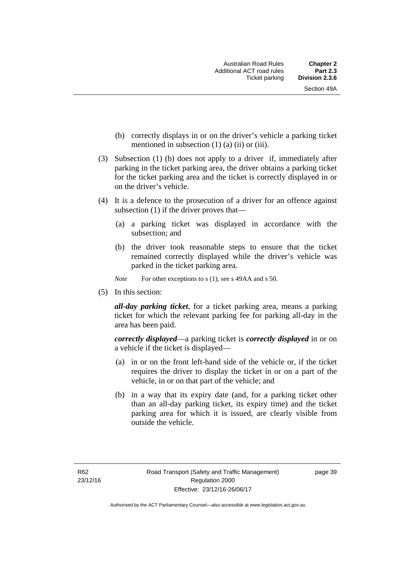- (b) correctly displays in or on the driver's vehicle a parking ticket mentioned in subsection  $(1)$   $(a)$   $(ii)$  or  $(iii)$ .
- (3) Subsection (1) (b) does not apply to a driver if, immediately after parking in the ticket parking area, the driver obtains a parking ticket for the ticket parking area and the ticket is correctly displayed in or on the driver's vehicle.
- (4) It is a defence to the prosecution of a driver for an offence against subsection (1) if the driver proves that—
	- (a) a parking ticket was displayed in accordance with the subsection; and
	- (b) the driver took reasonable steps to ensure that the ticket remained correctly displayed while the driver's vehicle was parked in the ticket parking area.
	- *Note* For other exceptions to s (1), see s 49AA and s 50.
- (5) In this section:

*all-day parking ticket*, for a ticket parking area, means a parking ticket for which the relevant parking fee for parking all-day in the area has been paid.

*correctly displayed*—a parking ticket is *correctly displayed* in or on a vehicle if the ticket is displayed—

- (a) in or on the front left-hand side of the vehicle or, if the ticket requires the driver to display the ticket in or on a part of the vehicle, in or on that part of the vehicle; and
- (b) in a way that its expiry date (and, for a parking ticket other than an all-day parking ticket, its expiry time) and the ticket parking area for which it is issued, are clearly visible from outside the vehicle.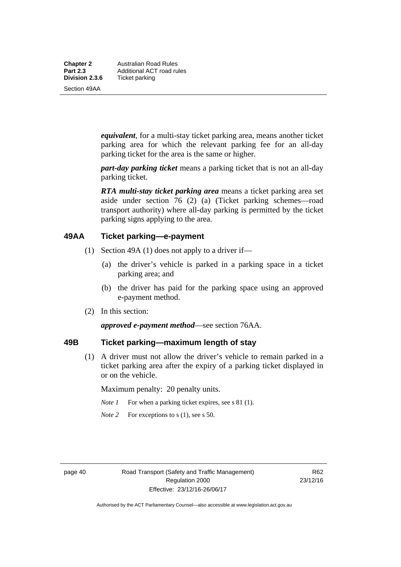**Chapter 2** Australian Road Rules<br>**Part 2.3** Additional ACT road ru **Part 2.3 Additional ACT road rules**<br>**Division 2.3.6** Ticket parking **Ticket parking** 

Section 49AA

*equivalent*, for a multi-stay ticket parking area, means another ticket parking area for which the relevant parking fee for an all-day parking ticket for the area is the same or higher.

*part-day parking ticket* means a parking ticket that is not an all-day parking ticket.

*RTA multi-stay ticket parking area* means a ticket parking area set aside under section 76 (2) (a) (Ticket parking schemes—road transport authority) where all-day parking is permitted by the ticket parking signs applying to the area.

### **49AA Ticket parking—e-payment**

- (1) Section 49A (1) does not apply to a driver if—
	- (a) the driver's vehicle is parked in a parking space in a ticket parking area; and
	- (b) the driver has paid for the parking space using an approved e-payment method.
- (2) In this section:

*approved e-payment method*—see section 76AA.

### **49B Ticket parking—maximum length of stay**

(1) A driver must not allow the driver's vehicle to remain parked in a ticket parking area after the expiry of a parking ticket displayed in or on the vehicle.

Maximum penalty: 20 penalty units.

- *Note 1* For when a parking ticket expires, see s 81 (1).
- *Note* 2 For exceptions to s (1), see s 50.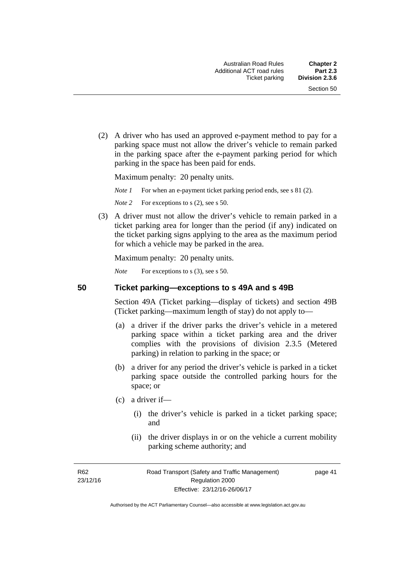(2) A driver who has used an approved e-payment method to pay for a parking space must not allow the driver's vehicle to remain parked in the parking space after the e-payment parking period for which parking in the space has been paid for ends.

Maximum penalty: 20 penalty units.

*Note 1* For when an e-payment ticket parking period ends, see s 81 (2).

*Note* 2 For exceptions to s (2), see s 50.

 (3) A driver must not allow the driver's vehicle to remain parked in a ticket parking area for longer than the period (if any) indicated on the ticket parking signs applying to the area as the maximum period for which a vehicle may be parked in the area.

Maximum penalty: 20 penalty units.

*Note* For exceptions to s (3), see s 50.

**50 Ticket parking—exceptions to s 49A and s 49B** 

Section 49A (Ticket parking—display of tickets) and section 49B (Ticket parking—maximum length of stay) do not apply to—

- (a) a driver if the driver parks the driver's vehicle in a metered parking space within a ticket parking area and the driver complies with the provisions of division 2.3.5 (Metered parking) in relation to parking in the space; or
- (b) a driver for any period the driver's vehicle is parked in a ticket parking space outside the controlled parking hours for the space; or
- (c) a driver if—
	- (i) the driver's vehicle is parked in a ticket parking space; and
	- (ii) the driver displays in or on the vehicle a current mobility parking scheme authority; and

R62 23/12/16 page 41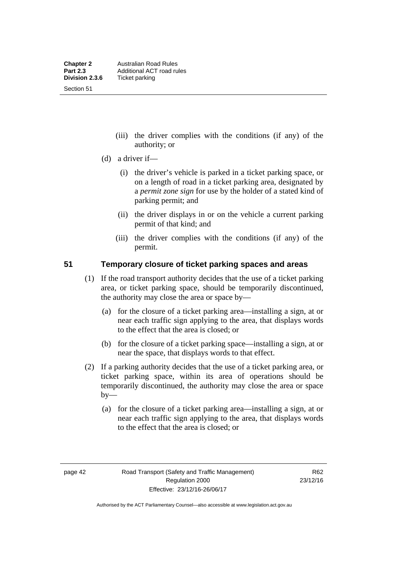Section 51

- (iii) the driver complies with the conditions (if any) of the authority; or
- (d) a driver if—
	- (i) the driver's vehicle is parked in a ticket parking space, or on a length of road in a ticket parking area, designated by a *permit zone sign* for use by the holder of a stated kind of parking permit; and
	- (ii) the driver displays in or on the vehicle a current parking permit of that kind; and
	- (iii) the driver complies with the conditions (if any) of the permit.

### **51 Temporary closure of ticket parking spaces and areas**

- (1) If the road transport authority decides that the use of a ticket parking area, or ticket parking space, should be temporarily discontinued, the authority may close the area or space by—
	- (a) for the closure of a ticket parking area—installing a sign, at or near each traffic sign applying to the area, that displays words to the effect that the area is closed; or
	- (b) for the closure of a ticket parking space—installing a sign, at or near the space, that displays words to that effect.
- (2) If a parking authority decides that the use of a ticket parking area, or ticket parking space, within its area of operations should be temporarily discontinued, the authority may close the area or space  $by-$ 
	- (a) for the closure of a ticket parking area—installing a sign, at or near each traffic sign applying to the area, that displays words to the effect that the area is closed; or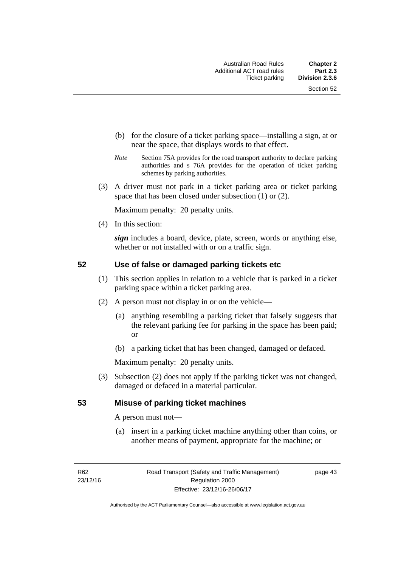- (b) for the closure of a ticket parking space—installing a sign, at or near the space, that displays words to that effect.
- *Note* Section 75A provides for the road transport authority to declare parking authorities and s 76A provides for the operation of ticket parking schemes by parking authorities.
- (3) A driver must not park in a ticket parking area or ticket parking space that has been closed under subsection (1) or (2).

Maximum penalty: 20 penalty units.

(4) In this section:

*sign* includes a board, device, plate, screen, words or anything else, whether or not installed with or on a traffic sign.

### **52 Use of false or damaged parking tickets etc**

- (1) This section applies in relation to a vehicle that is parked in a ticket parking space within a ticket parking area.
- (2) A person must not display in or on the vehicle—
	- (a) anything resembling a parking ticket that falsely suggests that the relevant parking fee for parking in the space has been paid; or
	- (b) a parking ticket that has been changed, damaged or defaced.

Maximum penalty: 20 penalty units.

 (3) Subsection (2) does not apply if the parking ticket was not changed, damaged or defaced in a material particular.

### **53 Misuse of parking ticket machines**

A person must not—

(a) insert in a parking ticket machine anything other than coins, or another means of payment, appropriate for the machine; or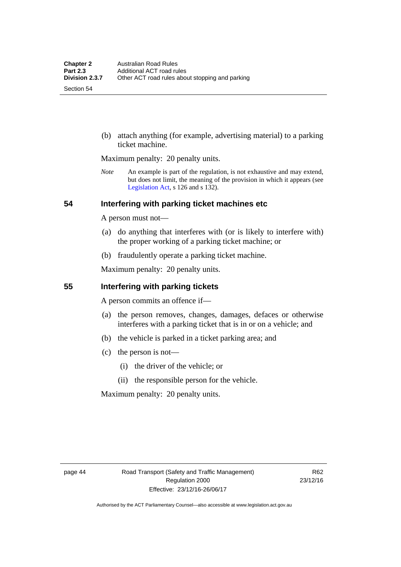Section 54

 (b) attach anything (for example, advertising material) to a parking ticket machine.

Maximum penalty: 20 penalty units.

*Note* An example is part of the regulation, is not exhaustive and may extend, but does not limit, the meaning of the provision in which it appears (see [Legislation Act,](http://www.legislation.act.gov.au/a/2001-14) s 126 and s 132).

### **54 Interfering with parking ticket machines etc**

A person must not—

- (a) do anything that interferes with (or is likely to interfere with) the proper working of a parking ticket machine; or
- (b) fraudulently operate a parking ticket machine.

Maximum penalty: 20 penalty units.

### **55 Interfering with parking tickets**

A person commits an offence if—

- (a) the person removes, changes, damages, defaces or otherwise interferes with a parking ticket that is in or on a vehicle; and
- (b) the vehicle is parked in a ticket parking area; and
- (c) the person is not—
	- (i) the driver of the vehicle; or
	- (ii) the responsible person for the vehicle.

Maximum penalty: 20 penalty units.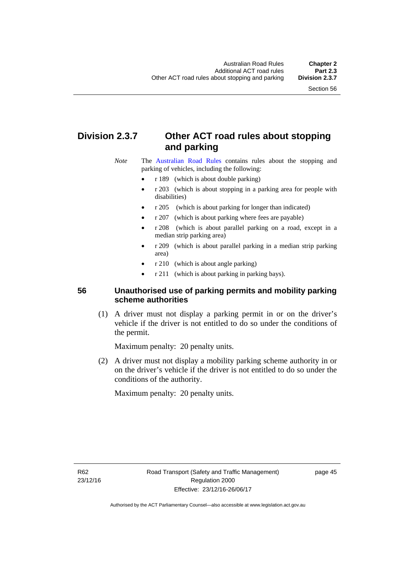# **Division 2.3.7 Other ACT road rules about stopping and parking**

*Note* The [Australian Road Rules](http://www.legislation.act.gov.au//ni/db_37271/default.asp) contains rules about the stopping and parking of vehicles, including the following:

- r 189 (which is about double parking)
- r 203 (which is about stopping in a parking area for people with disabilities)
- r 205 (which is about parking for longer than indicated)
- r 207 (which is about parking where fees are payable)
- r 208 (which is about parallel parking on a road, except in a median strip parking area)
- r 209 (which is about parallel parking in a median strip parking area)
- r 210 (which is about angle parking)
- r 211 (which is about parking in parking bays).

### **56 Unauthorised use of parking permits and mobility parking scheme authorities**

 (1) A driver must not display a parking permit in or on the driver's vehicle if the driver is not entitled to do so under the conditions of the permit.

Maximum penalty: 20 penalty units.

 (2) A driver must not display a mobility parking scheme authority in or on the driver's vehicle if the driver is not entitled to do so under the conditions of the authority.

Maximum penalty: 20 penalty units.

R62 23/12/16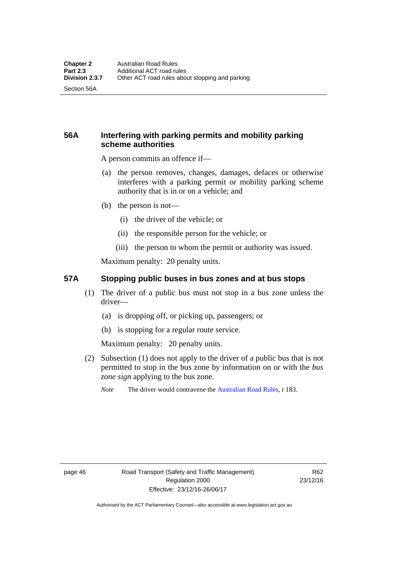Section 56A

### **56A Interfering with parking permits and mobility parking scheme authorities**

A person commits an offence if—

- (a) the person removes, changes, damages, defaces or otherwise interferes with a parking permit or mobility parking scheme authority that is in or on a vehicle; and
- (b) the person is not—
	- (i) the driver of the vehicle; or
	- (ii) the responsible person for the vehicle; or
	- (iii) the person to whom the permit or authority was issued.

Maximum penalty: 20 penalty units.

### **57A Stopping public buses in bus zones and at bus stops**

- (1) The driver of a public bus must not stop in a bus zone unless the driver—
	- (a) is dropping off, or picking up, passengers; or
	- (b) is stopping for a regular route service.

Maximum penalty: 20 penalty units.

- (2) Subsection (1) does not apply to the driver of a public bus that is not permitted to stop in the bus zone by information on or with the *bus zone sign* applying to the bus zone.
	- *Note* The driver would contravene the [Australian Road Rules,](http://www.legislation.act.gov.au//ni/db_37271/default.asp) r 183.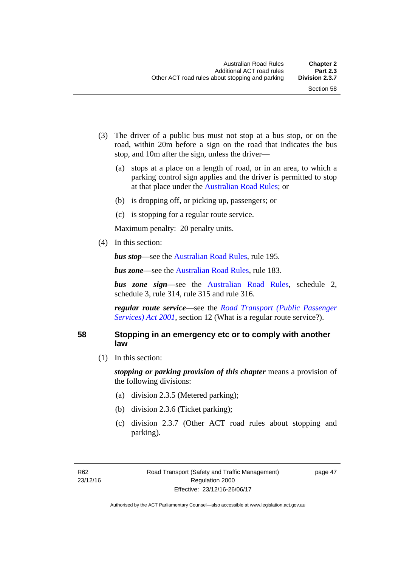- (3) The driver of a public bus must not stop at a bus stop, or on the road, within 20m before a sign on the road that indicates the bus stop, and 10m after the sign, unless the driver—
	- (a) stops at a place on a length of road, or in an area, to which a parking control sign applies and the driver is permitted to stop at that place under the [Australian Road Rules;](http://www.legislation.act.gov.au//ni/db_37271/default.asp) or
	- (b) is dropping off, or picking up, passengers; or
	- (c) is stopping for a regular route service.

Maximum penalty: 20 penalty units.

(4) In this section:

*bus stop***—see the [Australian Road Rules](http://www.legislation.act.gov.au//ni/db_37271/default.asp)**, rule 195.

*bus zone***—see the Australian Road Rules**, rule 183.

*bus zone sign*—see the [Australian Road Rules,](http://www.legislation.act.gov.au//ni/db_37271/default.asp) schedule 2, schedule 3, rule 314, rule 315 and rule 316.

*regular route service*—see the *[Road Transport \(Public Passenger](http://www.legislation.act.gov.au/a/2001-62)  Services*) *Act 2001*, section 12 (What is a regular route service?).

### **58 Stopping in an emergency etc or to comply with another law**

(1) In this section:

*stopping or parking provision of this chapter* means a provision of the following divisions:

- (a) division 2.3.5 (Metered parking);
- (b) division 2.3.6 (Ticket parking);
- (c) division 2.3.7 (Other ACT road rules about stopping and parking).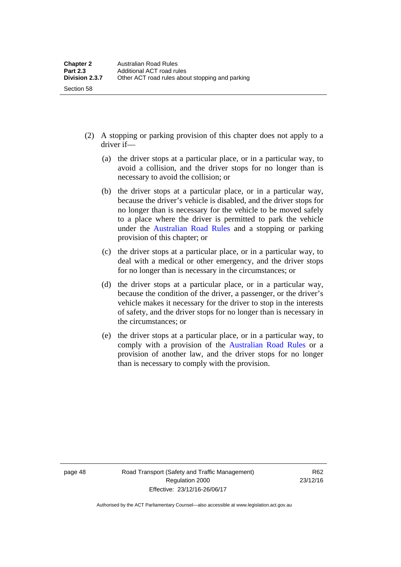- (2) A stopping or parking provision of this chapter does not apply to a driver if—
	- (a) the driver stops at a particular place, or in a particular way, to avoid a collision, and the driver stops for no longer than is necessary to avoid the collision; or
	- (b) the driver stops at a particular place, or in a particular way, because the driver's vehicle is disabled, and the driver stops for no longer than is necessary for the vehicle to be moved safely to a place where the driver is permitted to park the vehicle under the [Australian Road Rules](http://www.legislation.act.gov.au//ni/db_37271/default.asp) and a stopping or parking provision of this chapter; or
	- (c) the driver stops at a particular place, or in a particular way, to deal with a medical or other emergency, and the driver stops for no longer than is necessary in the circumstances; or
	- (d) the driver stops at a particular place, or in a particular way, because the condition of the driver, a passenger, or the driver's vehicle makes it necessary for the driver to stop in the interests of safety, and the driver stops for no longer than is necessary in the circumstances; or
	- (e) the driver stops at a particular place, or in a particular way, to comply with a provision of the [Australian Road Rules](http://www.legislation.act.gov.au//ni/db_37271/default.asp) or a provision of another law, and the driver stops for no longer than is necessary to comply with the provision.

Section 58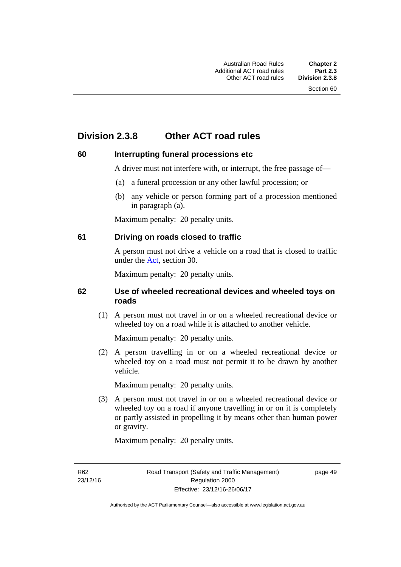# **Division 2.3.8 Other ACT road rules**

### **60 Interrupting funeral processions etc**

A driver must not interfere with, or interrupt, the free passage of—

- (a) a funeral procession or any other lawful procession; or
- (b) any vehicle or person forming part of a procession mentioned in paragraph (a).

Maximum penalty: 20 penalty units.

### **61 Driving on roads closed to traffic**

A person must not drive a vehicle on a road that is closed to traffic under the [Act](http://www.legislation.act.gov.au/a/1999-80/default.asp), section 30.

Maximum penalty: 20 penalty units.

### **62 Use of wheeled recreational devices and wheeled toys on roads**

 (1) A person must not travel in or on a wheeled recreational device or wheeled toy on a road while it is attached to another vehicle.

Maximum penalty: 20 penalty units.

 (2) A person travelling in or on a wheeled recreational device or wheeled toy on a road must not permit it to be drawn by another vehicle.

Maximum penalty: 20 penalty units.

 (3) A person must not travel in or on a wheeled recreational device or wheeled toy on a road if anyone travelling in or on it is completely or partly assisted in propelling it by means other than human power or gravity.

Maximum penalty: 20 penalty units.

R62 23/12/16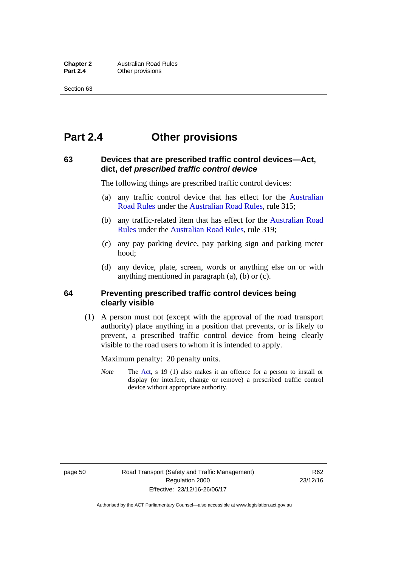# **Part 2.4 Other provisions**

### **63 Devices that are prescribed traffic control devices—Act, dict, def** *prescribed traffic control device*

The following things are prescribed traffic control devices:

- (a) any traffic control device that has effect for the [Australian](http://www.legislation.act.gov.au//ni/db_37271/default.asp)  [Road Rules](http://www.legislation.act.gov.au//ni/db_37271/default.asp) under the [Australian Road Rules](http://www.legislation.act.gov.au//ni/db_37271/default.asp), rule 315;
- (b) any traffic-related item that has effect for the [Australian Road](http://www.legislation.act.gov.au//ni/db_37271/default.asp)  [Rules](http://www.legislation.act.gov.au//ni/db_37271/default.asp) under the [Australian Road Rules,](http://www.legislation.act.gov.au//ni/db_37271/default.asp) rule 319;
- (c) any pay parking device, pay parking sign and parking meter hood;
- (d) any device, plate, screen, words or anything else on or with anything mentioned in paragraph (a), (b) or (c).

### **64 Preventing prescribed traffic control devices being clearly visible**

 (1) A person must not (except with the approval of the road transport authority) place anything in a position that prevents, or is likely to prevent, a prescribed traffic control device from being clearly visible to the road users to whom it is intended to apply.

Maximum penalty: 20 penalty units.

*Note* The [Act](http://www.legislation.act.gov.au/a/1999-80/default.asp), s 19 (1) also makes it an offence for a person to install or display (or interfere, change or remove) a prescribed traffic control device without appropriate authority.

page 50 Road Transport (Safety and Traffic Management) Regulation 2000 Effective: 23/12/16-26/06/17

R62 23/12/16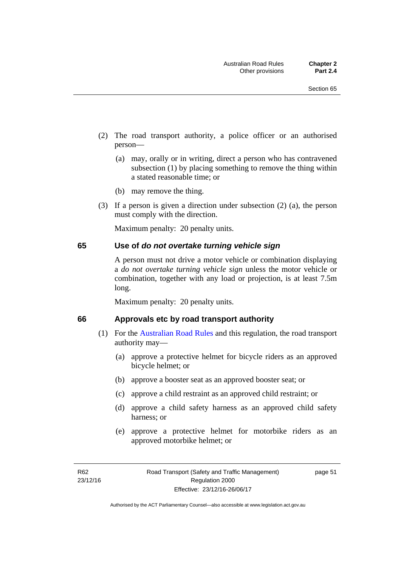- (2) The road transport authority, a police officer or an authorised person—
	- (a) may, orally or in writing, direct a person who has contravened subsection (1) by placing something to remove the thing within a stated reasonable time; or
	- (b) may remove the thing.
- (3) If a person is given a direction under subsection (2) (a), the person must comply with the direction.

Maximum penalty: 20 penalty units.

### **65 Use of** *do not overtake turning vehicle sign*

A person must not drive a motor vehicle or combination displaying a *do not overtake turning vehicle sign* unless the motor vehicle or combination, together with any load or projection, is at least 7.5m long.

Maximum penalty: 20 penalty units.

### **66 Approvals etc by road transport authority**

- (1) For the [Australian Road Rules](http://www.legislation.act.gov.au//ni/db_37271/default.asp) and this regulation, the road transport authority may—
	- (a) approve a protective helmet for bicycle riders as an approved bicycle helmet; or
	- (b) approve a booster seat as an approved booster seat; or
	- (c) approve a child restraint as an approved child restraint; or
	- (d) approve a child safety harness as an approved child safety harness; or
	- (e) approve a protective helmet for motorbike riders as an approved motorbike helmet; or

page 51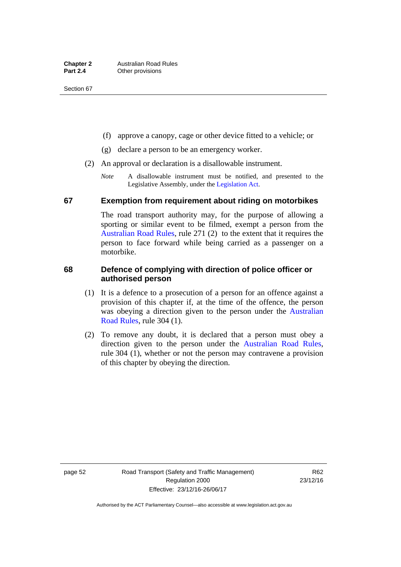- (f) approve a canopy, cage or other device fitted to a vehicle; or
- (g) declare a person to be an emergency worker.
- (2) An approval or declaration is a disallowable instrument.
	- *Note* A disallowable instrument must be notified, and presented to the Legislative Assembly, under the [Legislation Act.](http://www.legislation.act.gov.au/a/2001-14)

### **67 Exemption from requirement about riding on motorbikes**

The road transport authority may, for the purpose of allowing a sporting or similar event to be filmed, exempt a person from the [Australian Road Rules](http://www.legislation.act.gov.au//ni/db_37271/default.asp), rule 271 (2) to the extent that it requires the person to face forward while being carried as a passenger on a motorbike.

### **68 Defence of complying with direction of police officer or authorised person**

- (1) It is a defence to a prosecution of a person for an offence against a provision of this chapter if, at the time of the offence, the person was obeying a direction given to the person under the [Australian](http://www.legislation.act.gov.au//ni/db_37271/default.asp)  [Road Rules,](http://www.legislation.act.gov.au//ni/db_37271/default.asp) rule 304 (1).
- (2) To remove any doubt, it is declared that a person must obey a direction given to the person under the [Australian Road Rules](http://www.legislation.act.gov.au//ni/db_37271/default.asp), rule 304 (1), whether or not the person may contravene a provision of this chapter by obeying the direction.

page 52 Road Transport (Safety and Traffic Management) Regulation 2000 Effective: 23/12/16-26/06/17

R62 23/12/16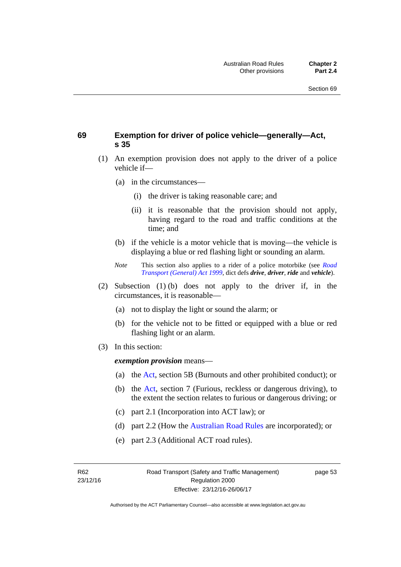### **69 Exemption for driver of police vehicle—generally—Act, s 35**

- (1) An exemption provision does not apply to the driver of a police vehicle if—
	- (a) in the circumstances—
		- (i) the driver is taking reasonable care; and
		- (ii) it is reasonable that the provision should not apply, having regard to the road and traffic conditions at the time; and
	- (b) if the vehicle is a motor vehicle that is moving—the vehicle is displaying a blue or red flashing light or sounding an alarm.
	- *Note* This section also applies to a rider of a police motorbike (see *[Road](http://www.legislation.act.gov.au/a/1999-77)  [Transport \(General\) Act 1999](http://www.legislation.act.gov.au/a/1999-77)*, dict defs *drive*, *driver*, *ride* and *vehicle*).
- (2) Subsection (1) (b) does not apply to the driver if, in the circumstances, it is reasonable—
	- (a) not to display the light or sound the alarm; or
	- (b) for the vehicle not to be fitted or equipped with a blue or red flashing light or an alarm.
- (3) In this section:

*exemption provision* means—

- (a) the [Act](http://www.legislation.act.gov.au/a/1999-80/default.asp), section 5B (Burnouts and other prohibited conduct); or
- (b) the [Act](http://www.legislation.act.gov.au/a/1999-80/default.asp), section 7 (Furious, reckless or dangerous driving), to the extent the section relates to furious or dangerous driving; or
- (c) part 2.1 (Incorporation into ACT law); or
- (d) part 2.2 (How the [Australian Road Rules](http://www.legislation.act.gov.au//ni/db_37271/default.asp) are incorporated); or
- (e) part 2.3 (Additional ACT road rules).

page 53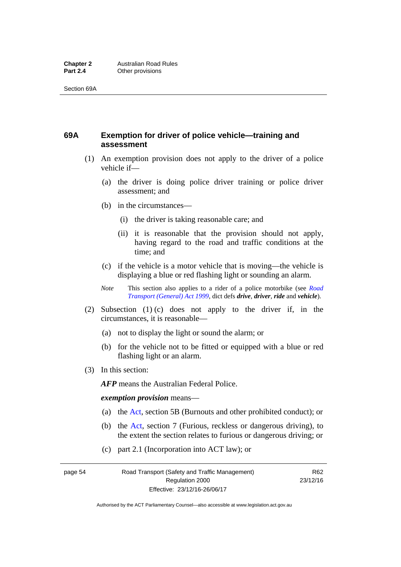### **69A Exemption for driver of police vehicle—training and assessment**

- (1) An exemption provision does not apply to the driver of a police vehicle if—
	- (a) the driver is doing police driver training or police driver assessment; and
	- (b) in the circumstances—
		- (i) the driver is taking reasonable care; and
		- (ii) it is reasonable that the provision should not apply, having regard to the road and traffic conditions at the time; and
	- (c) if the vehicle is a motor vehicle that is moving—the vehicle is displaying a blue or red flashing light or sounding an alarm.
	- *Note* This section also applies to a rider of a police motorbike (see *[Road](http://www.legislation.act.gov.au/a/1999-77)  [Transport \(General\) Act 1999](http://www.legislation.act.gov.au/a/1999-77)*, dict defs *drive*, *driver*, *ride* and *vehicle*).
- (2) Subsection (1) (c) does not apply to the driver if, in the circumstances, it is reasonable—
	- (a) not to display the light or sound the alarm; or
	- (b) for the vehicle not to be fitted or equipped with a blue or red flashing light or an alarm.
- (3) In this section:

*AFP* means the Australian Federal Police.

#### *exemption provision* means—

- (a) the [Act,](http://www.legislation.act.gov.au/a/1999-80/default.asp) section 5B (Burnouts and other prohibited conduct); or
- (b) the [Act](http://www.legislation.act.gov.au/a/1999-80/default.asp), section 7 (Furious, reckless or dangerous driving), to the extent the section relates to furious or dangerous driving; or
- (c) part 2.1 (Incorporation into ACT law); or

page 54 Road Transport (Safety and Traffic Management) Regulation 2000 Effective: 23/12/16-26/06/17

R62 23/12/16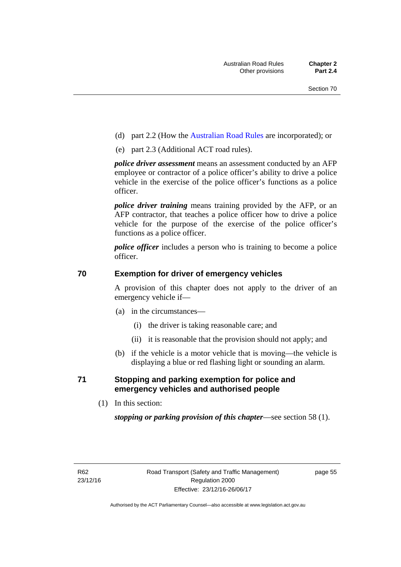- (d) part 2.2 (How the [Australian Road Rules](http://www.legislation.act.gov.au//ni/db_37271/default.asp) are incorporated); or
- (e) part 2.3 (Additional ACT road rules).

*police driver assessment* means an assessment conducted by an AFP employee or contractor of a police officer's ability to drive a police vehicle in the exercise of the police officer's functions as a police officer.

*police driver training* means training provided by the AFP, or an AFP contractor, that teaches a police officer how to drive a police vehicle for the purpose of the exercise of the police officer's functions as a police officer.

*police officer* includes a person who is training to become a police officer.

### **70 Exemption for driver of emergency vehicles**

A provision of this chapter does not apply to the driver of an emergency vehicle if—

- (a) in the circumstances—
	- (i) the driver is taking reasonable care; and
	- (ii) it is reasonable that the provision should not apply; and
- (b) if the vehicle is a motor vehicle that is moving—the vehicle is displaying a blue or red flashing light or sounding an alarm.

### **71 Stopping and parking exemption for police and emergency vehicles and authorised people**

(1) In this section:

*stopping or parking provision of this chapter*—see section 58 (1).

page 55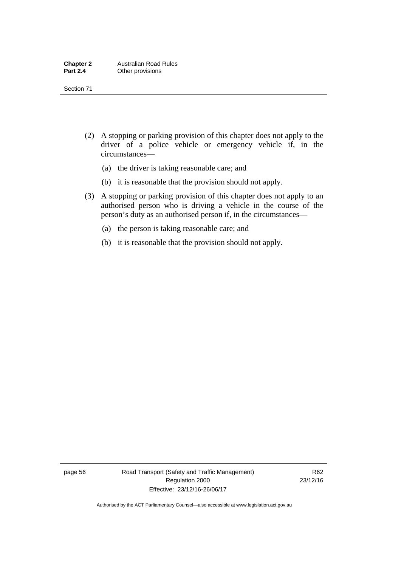- (2) A stopping or parking provision of this chapter does not apply to the driver of a police vehicle or emergency vehicle if, in the circumstances—
	- (a) the driver is taking reasonable care; and
	- (b) it is reasonable that the provision should not apply.
- (3) A stopping or parking provision of this chapter does not apply to an authorised person who is driving a vehicle in the course of the person's duty as an authorised person if, in the circumstances—
	- (a) the person is taking reasonable care; and
	- (b) it is reasonable that the provision should not apply.

page 56 Road Transport (Safety and Traffic Management) Regulation 2000 Effective: 23/12/16-26/06/17

R62 23/12/16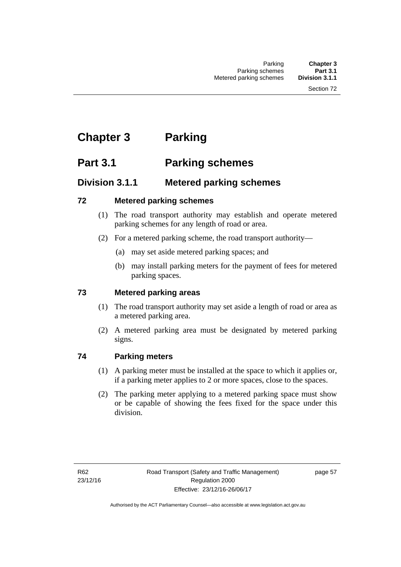# **Chapter 3 Parking**

# **Part 3.1 Parking schemes**

# **Division 3.1.1 Metered parking schemes**

# **72 Metered parking schemes**

- (1) The road transport authority may establish and operate metered parking schemes for any length of road or area.
- (2) For a metered parking scheme, the road transport authority—
	- (a) may set aside metered parking spaces; and
	- (b) may install parking meters for the payment of fees for metered parking spaces.

# **73 Metered parking areas**

- (1) The road transport authority may set aside a length of road or area as a metered parking area.
- (2) A metered parking area must be designated by metered parking signs.

# **74 Parking meters**

- (1) A parking meter must be installed at the space to which it applies or, if a parking meter applies to 2 or more spaces, close to the spaces.
- (2) The parking meter applying to a metered parking space must show or be capable of showing the fees fixed for the space under this division.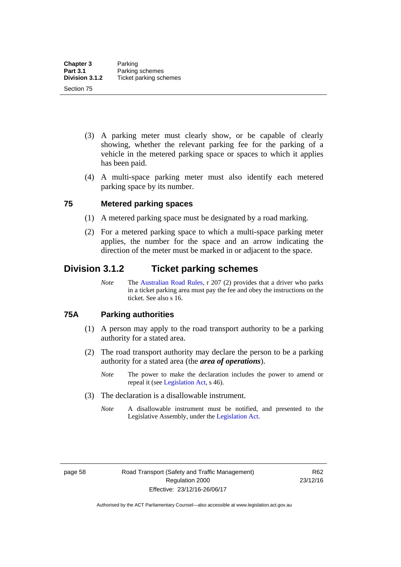- (3) A parking meter must clearly show, or be capable of clearly showing, whether the relevant parking fee for the parking of a vehicle in the metered parking space or spaces to which it applies has been paid.
- (4) A multi-space parking meter must also identify each metered parking space by its number.

# **75 Metered parking spaces**

- (1) A metered parking space must be designated by a road marking.
- (2) For a metered parking space to which a multi-space parking meter applies, the number for the space and an arrow indicating the direction of the meter must be marked in or adjacent to the space.

# **Division 3.1.2 Ticket parking schemes**

*Note* The [Australian Road Rules](http://www.legislation.act.gov.au//ni/db_37271/default.asp), r 207 (2) provides that a driver who parks in a ticket parking area must pay the fee and obey the instructions on the ticket. See also s 16.

#### **75A Parking authorities**

- (1) A person may apply to the road transport authority to be a parking authority for a stated area.
- (2) The road transport authority may declare the person to be a parking authority for a stated area (the *area of operations*).
	- *Note* The power to make the declaration includes the power to amend or repeal it (see [Legislation Act,](http://www.legislation.act.gov.au/a/2001-14) s 46).
- (3) The declaration is a disallowable instrument.
	- *Note* A disallowable instrument must be notified, and presented to the Legislative Assembly, under the [Legislation Act.](http://www.legislation.act.gov.au/a/2001-14)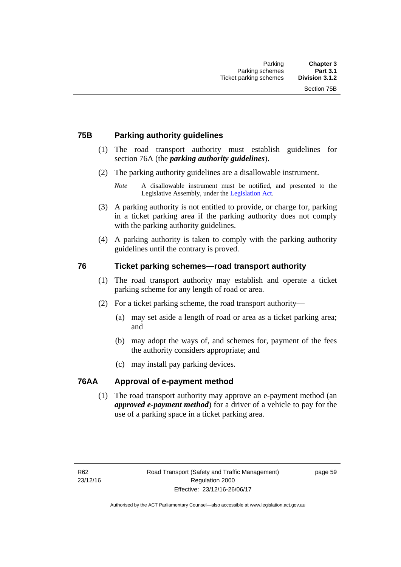# **75B Parking authority guidelines**

- (1) The road transport authority must establish guidelines for section 76A (the *parking authority guidelines*).
- (2) The parking authority guidelines are a disallowable instrument.

- (3) A parking authority is not entitled to provide, or charge for, parking in a ticket parking area if the parking authority does not comply with the parking authority guidelines.
- (4) A parking authority is taken to comply with the parking authority guidelines until the contrary is proved.

# **76 Ticket parking schemes—road transport authority**

- (1) The road transport authority may establish and operate a ticket parking scheme for any length of road or area.
- (2) For a ticket parking scheme, the road transport authority—
	- (a) may set aside a length of road or area as a ticket parking area; and
	- (b) may adopt the ways of, and schemes for, payment of the fees the authority considers appropriate; and
	- (c) may install pay parking devices.

#### **76AA Approval of e-payment method**

(1) The road transport authority may approve an e-payment method (an *approved e-payment method*) for a driver of a vehicle to pay for the use of a parking space in a ticket parking area.

*Note* A disallowable instrument must be notified, and presented to the Legislative Assembly, under the [Legislation Act.](http://www.legislation.act.gov.au/a/2001-14)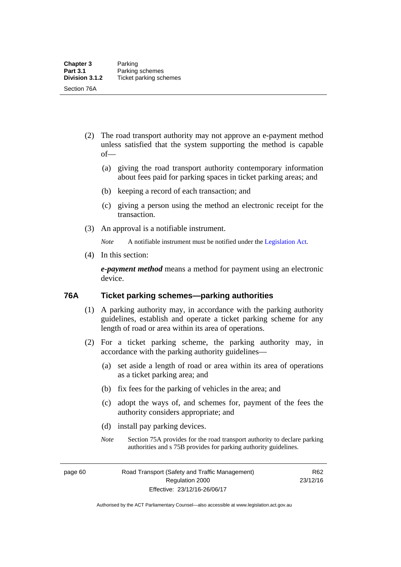- (2) The road transport authority may not approve an e-payment method unless satisfied that the system supporting the method is capable of—
	- (a) giving the road transport authority contemporary information about fees paid for parking spaces in ticket parking areas; and
	- (b) keeping a record of each transaction; and
	- (c) giving a person using the method an electronic receipt for the transaction.
- (3) An approval is a notifiable instrument.

*Note* A notifiable instrument must be notified under the [Legislation Act](http://www.legislation.act.gov.au/a/2001-14).

(4) In this section:

*e-payment method* means a method for payment using an electronic device.

#### **76A Ticket parking schemes—parking authorities**

- (1) A parking authority may, in accordance with the parking authority guidelines, establish and operate a ticket parking scheme for any length of road or area within its area of operations.
- (2) For a ticket parking scheme, the parking authority may, in accordance with the parking authority guidelines—
	- (a) set aside a length of road or area within its area of operations as a ticket parking area; and
	- (b) fix fees for the parking of vehicles in the area; and
	- (c) adopt the ways of, and schemes for, payment of the fees the authority considers appropriate; and
	- (d) install pay parking devices.
	- *Note* Section 75A provides for the road transport authority to declare parking authorities and s 75B provides for parking authority guidelines.

page 60 Road Transport (Safety and Traffic Management) Regulation 2000 Effective: 23/12/16-26/06/17

R62 23/12/16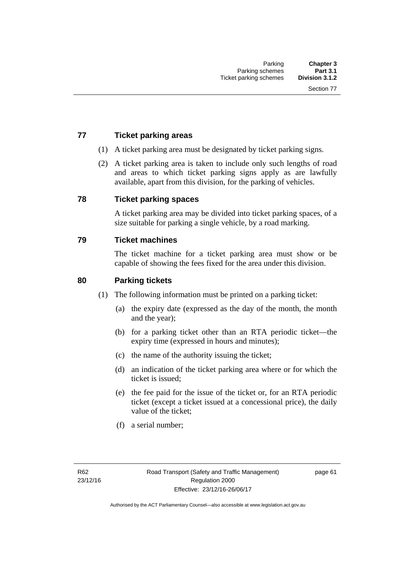# **77 Ticket parking areas**

- (1) A ticket parking area must be designated by ticket parking signs.
- (2) A ticket parking area is taken to include only such lengths of road and areas to which ticket parking signs apply as are lawfully available, apart from this division, for the parking of vehicles.

#### **78 Ticket parking spaces**

A ticket parking area may be divided into ticket parking spaces, of a size suitable for parking a single vehicle, by a road marking.

#### **79 Ticket machines**

The ticket machine for a ticket parking area must show or be capable of showing the fees fixed for the area under this division.

### **80 Parking tickets**

- (1) The following information must be printed on a parking ticket:
	- (a) the expiry date (expressed as the day of the month, the month and the year);
	- (b) for a parking ticket other than an RTA periodic ticket—the expiry time (expressed in hours and minutes);
	- (c) the name of the authority issuing the ticket;
	- (d) an indication of the ticket parking area where or for which the ticket is issued;
	- (e) the fee paid for the issue of the ticket or, for an RTA periodic ticket (except a ticket issued at a concessional price), the daily value of the ticket;
	- (f) a serial number;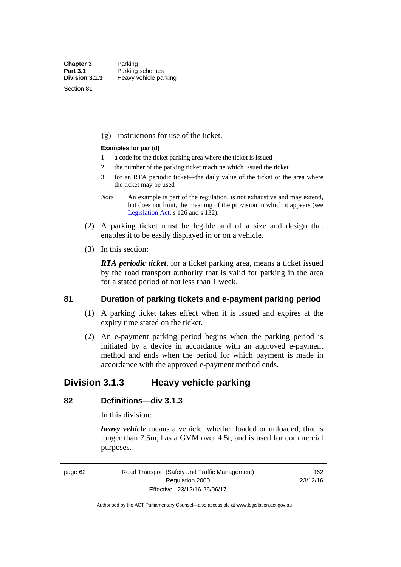Section 81

(g) instructions for use of the ticket.

#### **Examples for par (d)**

- 1 a code for the ticket parking area where the ticket is issued
- 2 the number of the parking ticket machine which issued the ticket
- 3 for an RTA periodic ticket—the daily value of the ticket or the area where the ticket may be used
- *Note* An example is part of the regulation, is not exhaustive and may extend, but does not limit, the meaning of the provision in which it appears (see [Legislation Act,](http://www.legislation.act.gov.au/a/2001-14) s 126 and s 132).
- (2) A parking ticket must be legible and of a size and design that enables it to be easily displayed in or on a vehicle.
- (3) In this section:

*RTA periodic ticket*, for a ticket parking area, means a ticket issued by the road transport authority that is valid for parking in the area for a stated period of not less than 1 week.

#### **81 Duration of parking tickets and e-payment parking period**

- (1) A parking ticket takes effect when it is issued and expires at the expiry time stated on the ticket.
- (2) An e-payment parking period begins when the parking period is initiated by a device in accordance with an approved e-payment method and ends when the period for which payment is made in accordance with the approved e-payment method ends.

# **Division 3.1.3 Heavy vehicle parking**

# **82 Definitions—div 3.1.3**

In this division:

*heavy vehicle* means a vehicle, whether loaded or unloaded, that is longer than 7.5m, has a GVM over 4.5t, and is used for commercial purposes.

page 62 Road Transport (Safety and Traffic Management) Regulation 2000 Effective: 23/12/16-26/06/17

R62 23/12/16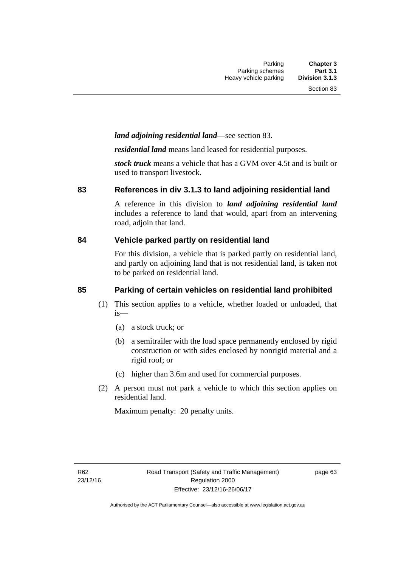# *land adjoining residential land*—see section 83.

*residential land* means land leased for residential purposes.

*stock truck* means a vehicle that has a GVM over 4.5t and is built or used to transport livestock.

#### **83 References in div 3.1.3 to land adjoining residential land**

A reference in this division to *land adjoining residential land* includes a reference to land that would, apart from an intervening road, adjoin that land.

#### **84 Vehicle parked partly on residential land**

For this division, a vehicle that is parked partly on residential land, and partly on adjoining land that is not residential land, is taken not to be parked on residential land.

# **85 Parking of certain vehicles on residential land prohibited**

- (1) This section applies to a vehicle, whether loaded or unloaded, that is—
	- (a) a stock truck; or
	- (b) a semitrailer with the load space permanently enclosed by rigid construction or with sides enclosed by nonrigid material and a rigid roof; or
	- (c) higher than 3.6m and used for commercial purposes.
- (2) A person must not park a vehicle to which this section applies on residential land.

Maximum penalty: 20 penalty units.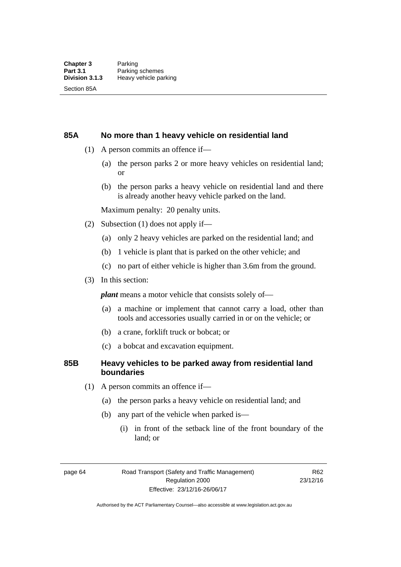#### **85A No more than 1 heavy vehicle on residential land**

- (1) A person commits an offence if—
	- (a) the person parks 2 or more heavy vehicles on residential land; or
	- (b) the person parks a heavy vehicle on residential land and there is already another heavy vehicle parked on the land.

Maximum penalty: 20 penalty units.

- (2) Subsection (1) does not apply if—
	- (a) only 2 heavy vehicles are parked on the residential land; and
	- (b) 1 vehicle is plant that is parked on the other vehicle; and
	- (c) no part of either vehicle is higher than 3.6m from the ground.
- (3) In this section:

*plant* means a motor vehicle that consists solely of—

- (a) a machine or implement that cannot carry a load, other than tools and accessories usually carried in or on the vehicle; or
- (b) a crane, forklift truck or bobcat; or
- (c) a bobcat and excavation equipment.

# **85B Heavy vehicles to be parked away from residential land boundaries**

- (1) A person commits an offence if—
	- (a) the person parks a heavy vehicle on residential land; and
	- (b) any part of the vehicle when parked is—
		- (i) in front of the setback line of the front boundary of the land; or

page 64 Road Transport (Safety and Traffic Management) Regulation 2000 Effective: 23/12/16-26/06/17

R62 23/12/16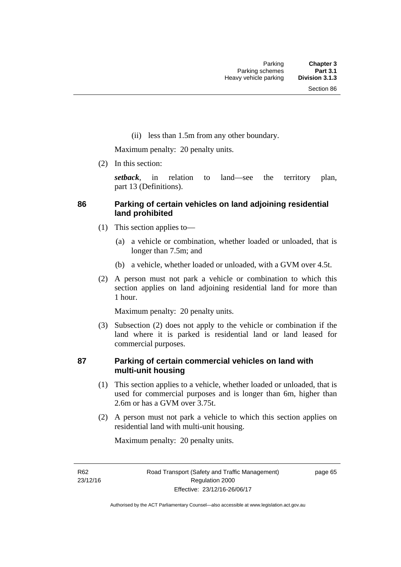(ii) less than 1.5m from any other boundary.

Maximum penalty: 20 penalty units.

(2) In this section:

*setback*, in relation to land—see the territory plan, part 13 (Definitions).

# **86 Parking of certain vehicles on land adjoining residential land prohibited**

- (1) This section applies to—
	- (a) a vehicle or combination, whether loaded or unloaded, that is longer than 7.5m; and
	- (b) a vehicle, whether loaded or unloaded, with a GVM over 4.5t.
- (2) A person must not park a vehicle or combination to which this section applies on land adjoining residential land for more than 1 hour.

Maximum penalty: 20 penalty units.

 (3) Subsection (2) does not apply to the vehicle or combination if the land where it is parked is residential land or land leased for commercial purposes.

# **87 Parking of certain commercial vehicles on land with multi-unit housing**

- (1) This section applies to a vehicle, whether loaded or unloaded, that is used for commercial purposes and is longer than 6m, higher than 2.6m or has a GVM over 3.75t.
- (2) A person must not park a vehicle to which this section applies on residential land with multi-unit housing.

Maximum penalty: 20 penalty units.

R62 23/12/16 page 65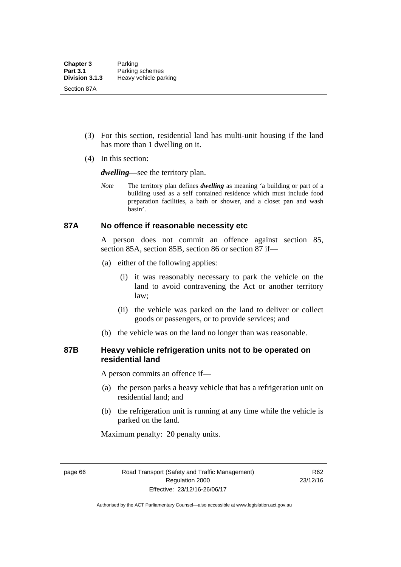- (3) For this section, residential land has multi-unit housing if the land has more than 1 dwelling on it.
- (4) In this section:

*dwelling—*see the territory plan.

*Note* The territory plan defines *dwelling* as meaning 'a building or part of a building used as a self contained residence which must include food preparation facilities, a bath or shower, and a closet pan and wash basin'.

#### **87A No offence if reasonable necessity etc**

A person does not commit an offence against section 85, section 85A, section 85B, section 86 or section 87 if—

- (a) either of the following applies:
	- (i) it was reasonably necessary to park the vehicle on the land to avoid contravening the Act or another territory law;
	- (ii) the vehicle was parked on the land to deliver or collect goods or passengers, or to provide services; and
- (b) the vehicle was on the land no longer than was reasonable.

# **87B Heavy vehicle refrigeration units not to be operated on residential land**

A person commits an offence if—

- (a) the person parks a heavy vehicle that has a refrigeration unit on residential land; and
- (b) the refrigeration unit is running at any time while the vehicle is parked on the land.

Maximum penalty: 20 penalty units.

page 66 Road Transport (Safety and Traffic Management) Regulation 2000 Effective: 23/12/16-26/06/17

R62 23/12/16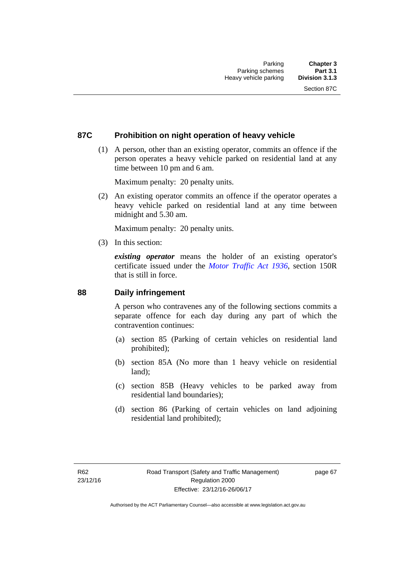# **87C Prohibition on night operation of heavy vehicle**

 (1) A person, other than an existing operator, commits an offence if the person operates a heavy vehicle parked on residential land at any time between 10 pm and 6 am.

Maximum penalty: 20 penalty units.

 (2) An existing operator commits an offence if the operator operates a heavy vehicle parked on residential land at any time between midnight and 5.30 am.

Maximum penalty: 20 penalty units.

(3) In this section:

*existing operator* means the holder of an existing operator's certificate issued under the *[Motor Traffic Act 1936](http://www.legislation.act.gov.au/a/1936-45)*, section 150R that is still in force.

#### **88 Daily infringement**

A person who contravenes any of the following sections commits a separate offence for each day during any part of which the contravention continues:

- (a) section 85 (Parking of certain vehicles on residential land prohibited);
- (b) section 85A (No more than 1 heavy vehicle on residential land);
- (c) section 85B (Heavy vehicles to be parked away from residential land boundaries);
- (d) section 86 (Parking of certain vehicles on land adjoining residential land prohibited);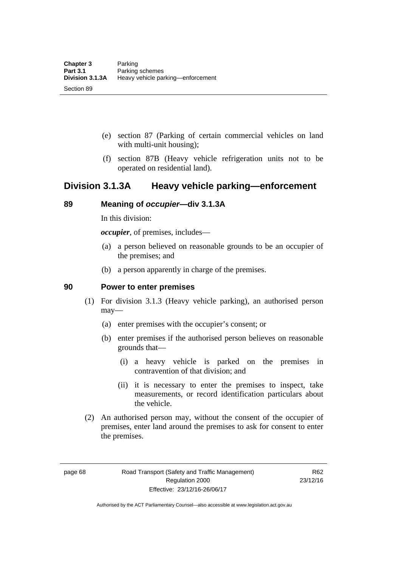- (e) section 87 (Parking of certain commercial vehicles on land with multi-unit housing);
- (f) section 87B (Heavy vehicle refrigeration units not to be operated on residential land).

# **Division 3.1.3A Heavy vehicle parking—enforcement**

# **89 Meaning of** *occupier***—div 3.1.3A**

In this division:

*occupier*, of premises, includes—

- (a) a person believed on reasonable grounds to be an occupier of the premises; and
- (b) a person apparently in charge of the premises.

#### **90 Power to enter premises**

- (1) For division 3.1.3 (Heavy vehicle parking), an authorised person may—
	- (a) enter premises with the occupier's consent; or
	- (b) enter premises if the authorised person believes on reasonable grounds that—
		- (i) a heavy vehicle is parked on the premises in contravention of that division; and
		- (ii) it is necessary to enter the premises to inspect, take measurements, or record identification particulars about the vehicle.
- (2) An authorised person may, without the consent of the occupier of premises, enter land around the premises to ask for consent to enter the premises.

page 68 Road Transport (Safety and Traffic Management) Regulation 2000 Effective: 23/12/16-26/06/17

R62 23/12/16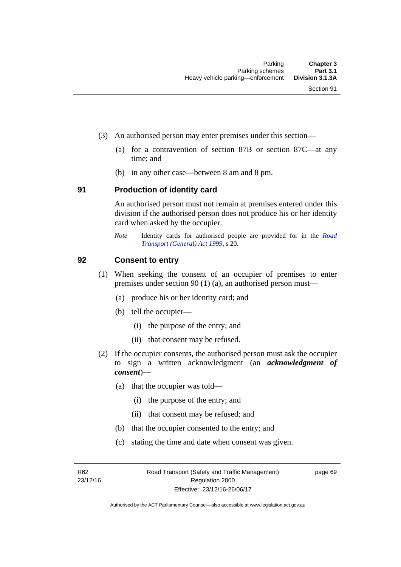- (3) An authorised person may enter premises under this section––
	- (a) for a contravention of section 87B or section 87C––at any time; and
	- (b) in any other case––between 8 am and 8 pm.

#### **91 Production of identity card**

An authorised person must not remain at premises entered under this division if the authorised person does not produce his or her identity card when asked by the occupier.

*Note* Identity cards for authorised people are provided for in the *[Road](http://www.legislation.act.gov.au/a/1999-77)  [Transport \(General\) Act 1999](http://www.legislation.act.gov.au/a/1999-77)*, s 20.

#### **92 Consent to entry**

- (1) When seeking the consent of an occupier of premises to enter premises under section 90 (1) (a), an authorised person must—
	- (a) produce his or her identity card; and
	- (b) tell the occupier—
		- (i) the purpose of the entry; and
		- (ii) that consent may be refused.
- (2) If the occupier consents, the authorised person must ask the occupier to sign a written acknowledgment (an *acknowledgment of consent*)—
	- (a) that the occupier was told—
		- (i) the purpose of the entry; and
		- (ii) that consent may be refused; and
	- (b) that the occupier consented to the entry; and
	- (c) stating the time and date when consent was given.

R62 23/12/16 page 69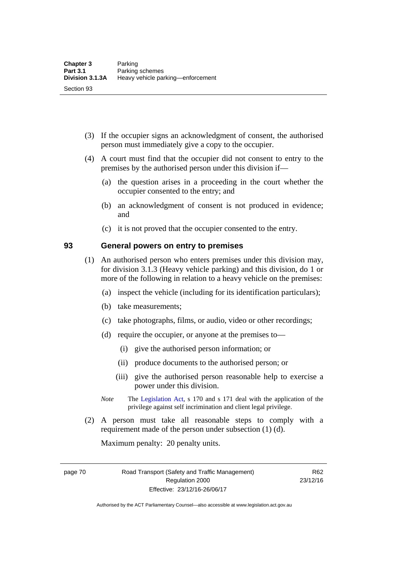- (3) If the occupier signs an acknowledgment of consent, the authorised person must immediately give a copy to the occupier.
- (4) A court must find that the occupier did not consent to entry to the premises by the authorised person under this division if—
	- (a) the question arises in a proceeding in the court whether the occupier consented to the entry; and
	- (b) an acknowledgment of consent is not produced in evidence; and
	- (c) it is not proved that the occupier consented to the entry.

#### **93 General powers on entry to premises**

- (1) An authorised person who enters premises under this division may, for division 3.1.3 (Heavy vehicle parking) and this division, do 1 or more of the following in relation to a heavy vehicle on the premises:
	- (a) inspect the vehicle (including for its identification particulars);
	- (b) take measurements;
	- (c) take photographs, films, or audio, video or other recordings;
	- (d) require the occupier, or anyone at the premises to—
		- (i) give the authorised person information; or
		- (ii) produce documents to the authorised person; or
		- (iii) give the authorised person reasonable help to exercise a power under this division.
	- *Note* The [Legislation Act](http://www.legislation.act.gov.au/a/2001-14), s 170 and s 171 deal with the application of the privilege against self incrimination and client legal privilege.
- (2) A person must take all reasonable steps to comply with a requirement made of the person under subsection (1) (d).

Maximum penalty: 20 penalty units.

page 70 Road Transport (Safety and Traffic Management) Regulation 2000 Effective: 23/12/16-26/06/17

R62 23/12/16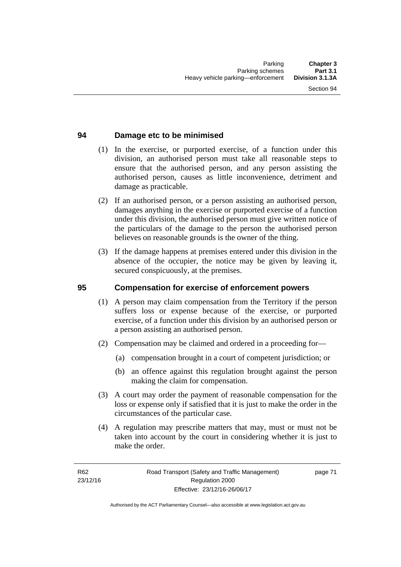# **94 Damage etc to be minimised**

- (1) In the exercise, or purported exercise, of a function under this division, an authorised person must take all reasonable steps to ensure that the authorised person, and any person assisting the authorised person, causes as little inconvenience, detriment and damage as practicable.
- (2) If an authorised person, or a person assisting an authorised person, damages anything in the exercise or purported exercise of a function under this division, the authorised person must give written notice of the particulars of the damage to the person the authorised person believes on reasonable grounds is the owner of the thing.
- (3) If the damage happens at premises entered under this division in the absence of the occupier, the notice may be given by leaving it, secured conspicuously, at the premises.

#### **95 Compensation for exercise of enforcement powers**

- (1) A person may claim compensation from the Territory if the person suffers loss or expense because of the exercise, or purported exercise, of a function under this division by an authorised person or a person assisting an authorised person.
- (2) Compensation may be claimed and ordered in a proceeding for—
	- (a) compensation brought in a court of competent jurisdiction; or
	- (b) an offence against this regulation brought against the person making the claim for compensation.
- (3) A court may order the payment of reasonable compensation for the loss or expense only if satisfied that it is just to make the order in the circumstances of the particular case.
- (4) A regulation may prescribe matters that may, must or must not be taken into account by the court in considering whether it is just to make the order.

page 71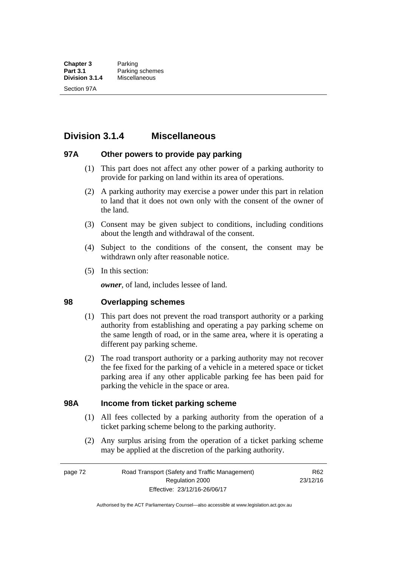# **Division 3.1.4 Miscellaneous**

### **97A Other powers to provide pay parking**

- (1) This part does not affect any other power of a parking authority to provide for parking on land within its area of operations.
- (2) A parking authority may exercise a power under this part in relation to land that it does not own only with the consent of the owner of the land.
- (3) Consent may be given subject to conditions, including conditions about the length and withdrawal of the consent.
- (4) Subject to the conditions of the consent, the consent may be withdrawn only after reasonable notice.
- (5) In this section:

*owner*, of land, includes lessee of land.

#### **98 Overlapping schemes**

- (1) This part does not prevent the road transport authority or a parking authority from establishing and operating a pay parking scheme on the same length of road, or in the same area, where it is operating a different pay parking scheme.
- (2) The road transport authority or a parking authority may not recover the fee fixed for the parking of a vehicle in a metered space or ticket parking area if any other applicable parking fee has been paid for parking the vehicle in the space or area.

#### **98A Income from ticket parking scheme**

- (1) All fees collected by a parking authority from the operation of a ticket parking scheme belong to the parking authority.
- (2) Any surplus arising from the operation of a ticket parking scheme may be applied at the discretion of the parking authority.

page 72 Road Transport (Safety and Traffic Management) Regulation 2000 Effective: 23/12/16-26/06/17

R62 23/12/16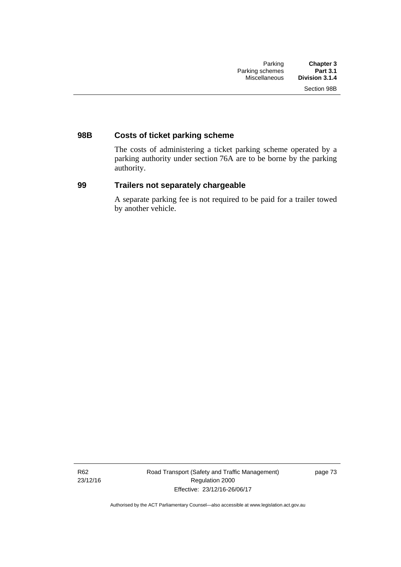# **98B Costs of ticket parking scheme**

The costs of administering a ticket parking scheme operated by a parking authority under section 76A are to be borne by the parking authority.

# **99 Trailers not separately chargeable**

A separate parking fee is not required to be paid for a trailer towed by another vehicle.

R62 23/12/16 Road Transport (Safety and Traffic Management) Regulation 2000 Effective: 23/12/16-26/06/17

page 73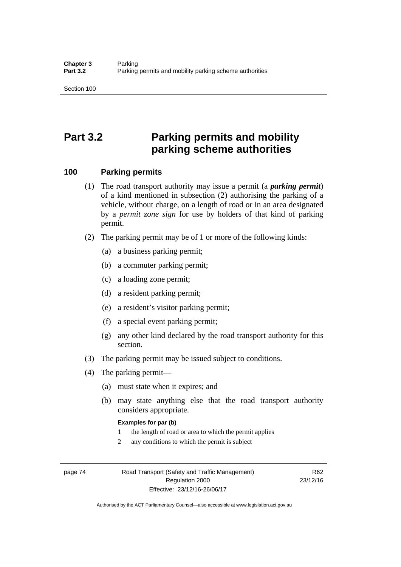# **Part 3.2 Parking permits and mobility parking scheme authorities**

#### **100 Parking permits**

- (1) The road transport authority may issue a permit (a *parking permit*) of a kind mentioned in subsection (2) authorising the parking of a vehicle, without charge, on a length of road or in an area designated by a *permit zone sign* for use by holders of that kind of parking permit.
- (2) The parking permit may be of 1 or more of the following kinds:
	- (a) a business parking permit;
	- (b) a commuter parking permit;
	- (c) a loading zone permit;
	- (d) a resident parking permit;
	- (e) a resident's visitor parking permit;
	- (f) a special event parking permit;
	- (g) any other kind declared by the road transport authority for this section.
- (3) The parking permit may be issued subject to conditions.
- (4) The parking permit—
	- (a) must state when it expires; and
	- (b) may state anything else that the road transport authority considers appropriate.

#### **Examples for par (b)**

- 1 the length of road or area to which the permit applies
- 2 any conditions to which the permit is subject

page 74 Road Transport (Safety and Traffic Management) Regulation 2000 Effective: 23/12/16-26/06/17

R62 23/12/16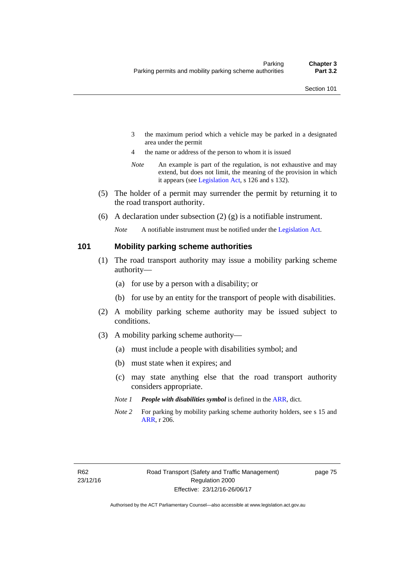- 3 the maximum period which a vehicle may be parked in a designated area under the permit
- 4 the name or address of the person to whom it is issued
- *Note* An example is part of the regulation, is not exhaustive and may extend, but does not limit, the meaning of the provision in which it appears (see [Legislation Act,](http://www.legislation.act.gov.au/a/2001-14) s 126 and s 132).
- (5) The holder of a permit may surrender the permit by returning it to the road transport authority.
- (6) A declaration under subsection  $(2)$  (g) is a notifiable instrument.

*Note* A notifiable instrument must be notified under the [Legislation Act](http://www.legislation.act.gov.au/a/2001-14).

#### **101 Mobility parking scheme authorities**

- (1) The road transport authority may issue a mobility parking scheme authority—
	- (a) for use by a person with a disability; or
	- (b) for use by an entity for the transport of people with disabilities.
- (2) A mobility parking scheme authority may be issued subject to conditions.
- (3) A mobility parking scheme authority—
	- (a) must include a people with disabilities symbol; and
	- (b) must state when it expires; and
	- (c) may state anything else that the road transport authority considers appropriate.
	- *Note 1 People with disabilities symbol* is defined in the [ARR,](http://www.legislation.act.gov.au//ni/db_37271/default.asp) dict.
	- *Note 2* For parking by mobility parking scheme authority holders, see s 15 and [ARR,](http://www.legislation.act.gov.au//ni/db_37271/default.asp) r 206.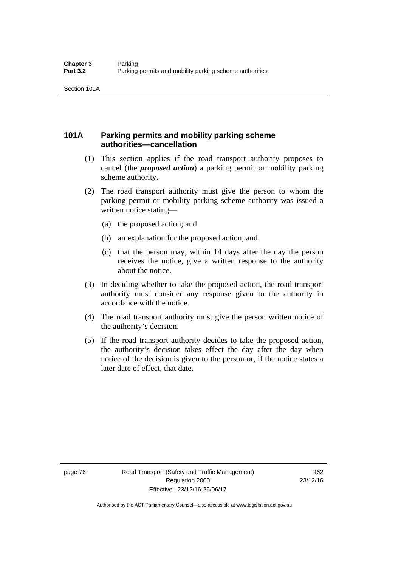# **101A Parking permits and mobility parking scheme authorities—cancellation**

- (1) This section applies if the road transport authority proposes to cancel (the *proposed action*) a parking permit or mobility parking scheme authority.
- (2) The road transport authority must give the person to whom the parking permit or mobility parking scheme authority was issued a written notice stating—
	- (a) the proposed action; and
	- (b) an explanation for the proposed action; and
	- (c) that the person may, within 14 days after the day the person receives the notice, give a written response to the authority about the notice.
- (3) In deciding whether to take the proposed action, the road transport authority must consider any response given to the authority in accordance with the notice.
- (4) The road transport authority must give the person written notice of the authority's decision.
- (5) If the road transport authority decides to take the proposed action, the authority's decision takes effect the day after the day when notice of the decision is given to the person or, if the notice states a later date of effect, that date.

page 76 Road Transport (Safety and Traffic Management) Regulation 2000 Effective: 23/12/16-26/06/17

R62 23/12/16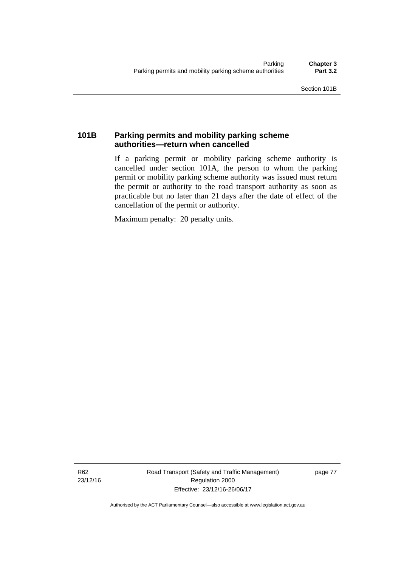# **101B Parking permits and mobility parking scheme authorities—return when cancelled**

If a parking permit or mobility parking scheme authority is cancelled under section 101A, the person to whom the parking permit or mobility parking scheme authority was issued must return the permit or authority to the road transport authority as soon as practicable but no later than 21 days after the date of effect of the cancellation of the permit or authority.

Maximum penalty: 20 penalty units.

R62 23/12/16 Road Transport (Safety and Traffic Management) Regulation 2000 Effective: 23/12/16-26/06/17

page 77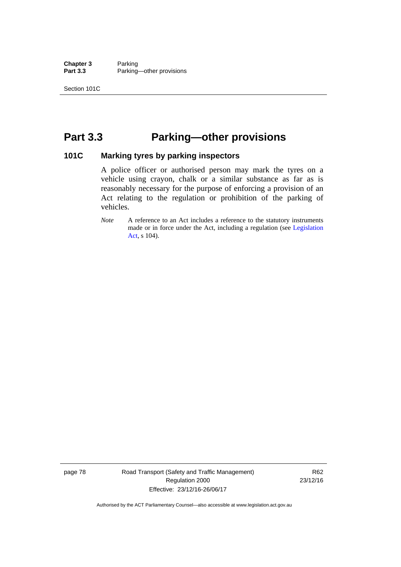**Chapter 3** Parking<br>**Part 3.3** Parking Parking—other provisions

# **Part 3.3 Parking—other provisions**

#### **101C Marking tyres by parking inspectors**

A police officer or authorised person may mark the tyres on a vehicle using crayon, chalk or a similar substance as far as is reasonably necessary for the purpose of enforcing a provision of an Act relating to the regulation or prohibition of the parking of vehicles.

page 78 Road Transport (Safety and Traffic Management) Regulation 2000 Effective: 23/12/16-26/06/17

R62 23/12/16

*Note* A reference to an Act includes a reference to the statutory instruments made or in force under the Act, including a regulation (see [Legislation](http://www.legislation.act.gov.au/a/2001-14)  [Act](http://www.legislation.act.gov.au/a/2001-14), s 104).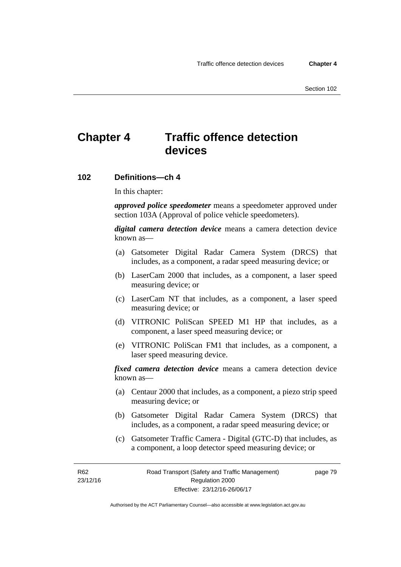# **Chapter 4 Traffic offence detection devices**

#### **102 Definitions—ch 4**

In this chapter:

*approved police speedometer* means a speedometer approved under section 103A (Approval of police vehicle speedometers).

*digital camera detection device* means a camera detection device known as—

- (a) Gatsometer Digital Radar Camera System (DRCS) that includes, as a component, a radar speed measuring device; or
- (b) LaserCam 2000 that includes, as a component, a laser speed measuring device; or
- (c) LaserCam NT that includes, as a component, a laser speed measuring device; or
- (d) VITRONIC PoliScan SPEED M1 HP that includes, as a component, a laser speed measuring device; or
- (e) VITRONIC PoliScan FM1 that includes, as a component, a laser speed measuring device.

*fixed camera detection device* means a camera detection device known as—

- (a) Centaur 2000 that includes, as a component, a piezo strip speed measuring device; or
- (b) Gatsometer Digital Radar Camera System (DRCS) that includes, as a component, a radar speed measuring device; or
- (c) Gatsometer Traffic Camera Digital (GTC-D) that includes, as a component, a loop detector speed measuring device; or

R62 23/12/16 page 79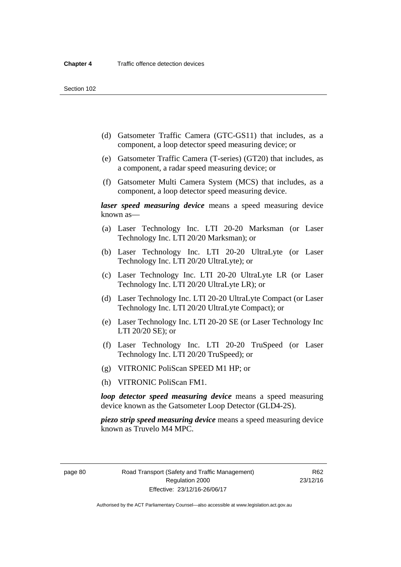- (d) Gatsometer Traffic Camera (GTC-GS11) that includes, as a component, a loop detector speed measuring device; or
- (e) Gatsometer Traffic Camera (T-series) (GT20) that includes, as a component, a radar speed measuring device; or
- (f) Gatsometer Multi Camera System (MCS) that includes, as a component, a loop detector speed measuring device.

*laser speed measuring device* means a speed measuring device known as—

- (a) Laser Technology Inc. LTI 20-20 Marksman (or Laser Technology Inc. LTI 20/20 Marksman); or
- (b) Laser Technology Inc. LTI 20-20 UltraLyte (or Laser Technology Inc. LTI 20/20 UltraLyte); or
- (c) Laser Technology Inc. LTI 20-20 UltraLyte LR (or Laser Technology Inc. LTI 20/20 UltraLyte LR); or
- (d) Laser Technology Inc. LTI 20-20 UltraLyte Compact (or Laser Technology Inc. LTI 20/20 UltraLyte Compact); or
- (e) Laser Technology Inc. LTI 20-20 SE (or Laser Technology Inc LTI 20/20 SE); or
- (f) Laser Technology Inc. LTI 20-20 TruSpeed (or Laser Technology Inc. LTI 20/20 TruSpeed); or
- (g) VITRONIC PoliScan SPEED M1 HP; or
- (h) VITRONIC PoliScan FM1.

*loop detector speed measuring device* means a speed measuring device known as the Gatsometer Loop Detector (GLD4-2S).

*piezo strip speed measuring device* means a speed measuring device known as Truvelo M4 MPC.

page 80 Road Transport (Safety and Traffic Management) Regulation 2000 Effective: 23/12/16-26/06/17

R62 23/12/16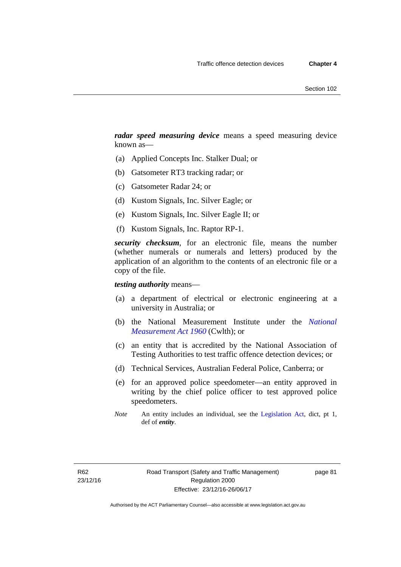*radar speed measuring device* means a speed measuring device known as—

- (a) Applied Concepts Inc. Stalker Dual; or
- (b) Gatsometer RT3 tracking radar; or
- (c) Gatsometer Radar 24; or
- (d) Kustom Signals, Inc. Silver Eagle; or
- (e) Kustom Signals, Inc. Silver Eagle II; or
- (f) Kustom Signals, Inc. Raptor RP-1.

*security checksum*, for an electronic file, means the number (whether numerals or numerals and letters) produced by the application of an algorithm to the contents of an electronic file or a copy of the file.

*testing authority* means—

- (a) a department of electrical or electronic engineering at a university in Australia; or
- (b) the National Measurement Institute under the *[National](http://www.comlaw.gov.au/Series/C2004A07405)  [Measurement Act 1960](http://www.comlaw.gov.au/Series/C2004A07405)* (Cwlth); or
- (c) an entity that is accredited by the National Association of Testing Authorities to test traffic offence detection devices; or
- (d) Technical Services, Australian Federal Police, Canberra; or
- (e) for an approved police speedometer—an entity approved in writing by the chief police officer to test approved police speedometers.
- *Note* An entity includes an individual, see the [Legislation Act,](http://www.legislation.act.gov.au/a/2001-14) dict, pt 1, def of *entity*.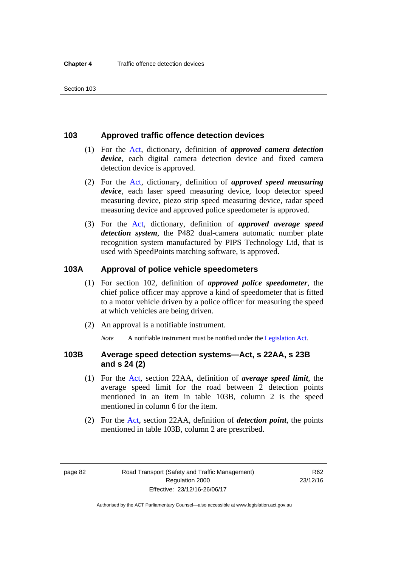#### **103 Approved traffic offence detection devices**

- (1) For the [Act](http://www.legislation.act.gov.au/a/1999-80/default.asp), dictionary, definition of *approved camera detection device*, each digital camera detection device and fixed camera detection device is approved.
- (2) For the [Act,](http://www.legislation.act.gov.au/a/1999-80/default.asp) dictionary, definition of *approved speed measuring device*, each laser speed measuring device, loop detector speed measuring device, piezo strip speed measuring device, radar speed measuring device and approved police speedometer is approved.
- (3) For the [Act](http://www.legislation.act.gov.au/a/1999-80/default.asp), dictionary, definition of *approved average speed detection system*, the P482 dual-camera automatic number plate recognition system manufactured by PIPS Technology Ltd, that is used with SpeedPoints matching software, is approved.

#### **103A Approval of police vehicle speedometers**

- (1) For section 102, definition of *approved police speedometer*, the chief police officer may approve a kind of speedometer that is fitted to a motor vehicle driven by a police officer for measuring the speed at which vehicles are being driven.
- (2) An approval is a notifiable instrument.

*Note* A notifiable instrument must be notified under the [Legislation Act](http://www.legislation.act.gov.au/a/2001-14).

#### **103B Average speed detection systems—Act, s 22AA, s 23B and s 24 (2)**

- (1) For the [Act](http://www.legislation.act.gov.au/a/1999-80/default.asp), section 22AA, definition of *average speed limit*, the average speed limit for the road between 2 detection points mentioned in an item in table 103B, column 2 is the speed mentioned in column 6 for the item.
- (2) For the [Act](http://www.legislation.act.gov.au/a/1999-80/default.asp), section 22AA, definition of *detection point*, the points mentioned in table 103B, column 2 are prescribed.

page 82 Road Transport (Safety and Traffic Management) Regulation 2000 Effective: 23/12/16-26/06/17

R62 23/12/16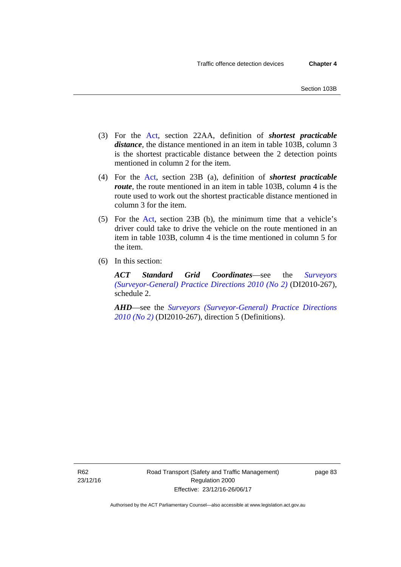- (3) For the [Act](http://www.legislation.act.gov.au/a/1999-80/default.asp), section 22AA, definition of *shortest practicable distance*, the distance mentioned in an item in table 103B, column 3 is the shortest practicable distance between the 2 detection points mentioned in column 2 for the item.
- (4) For the [Act,](http://www.legislation.act.gov.au/a/1999-80/default.asp) section 23B (a), definition of *shortest practicable route*, the route mentioned in an item in table 103B, column 4 is the route used to work out the shortest practicable distance mentioned in column 3 for the item.
- (5) For the [Act](http://www.legislation.act.gov.au/a/1999-80/default.asp), section 23B (b), the minimum time that a vehicle's driver could take to drive the vehicle on the route mentioned in an item in table 103B, column 4 is the time mentioned in column 5 for the item.
- (6) In this section:

*ACT Standard Grid Coordinates*—see the *[Surveyors](http://www.legislation.act.gov.au/di/2010-267/default.asp)  [\(Surveyor-General\) Practice Directions 2010 \(No 2\)](http://www.legislation.act.gov.au/di/2010-267/default.asp)* (DI2010-267), schedule 2.

*AHD*—see the *[Surveyors \(Surveyor-General\) Practice Directions](http://www.legislation.act.gov.au/di/2010-267/default.asp)  [2010 \(No 2\)](http://www.legislation.act.gov.au/di/2010-267/default.asp)* (DI2010-267), direction 5 (Definitions).

R62 23/12/16 page 83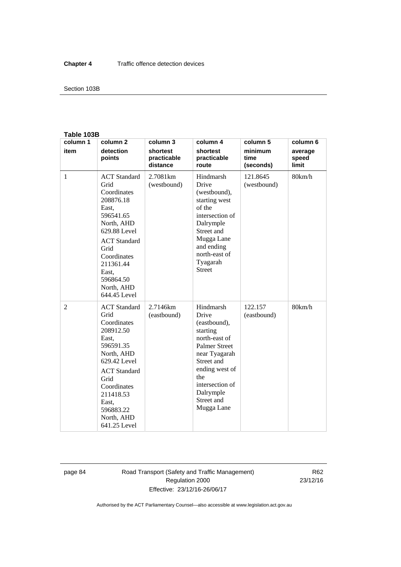#### Section 103B

#### **Table 103B**

| column 1 | column <sub>2</sub>                                                                                                                                                                                                        | column 3                            | column 4                                                                                                                                                                                                    | column 5                     | column 6                  |
|----------|----------------------------------------------------------------------------------------------------------------------------------------------------------------------------------------------------------------------------|-------------------------------------|-------------------------------------------------------------------------------------------------------------------------------------------------------------------------------------------------------------|------------------------------|---------------------------|
| item     | detection<br>points                                                                                                                                                                                                        | shortest<br>practicable<br>distance | shortest<br>practicable<br>route                                                                                                                                                                            | minimum<br>time<br>(seconds) | average<br>speed<br>limit |
| 1        | <b>ACT</b> Standard<br>Grid<br>Coordinates<br>208876.18<br>East,<br>596541.65<br>North, AHD<br>629.88 Level<br><b>ACT</b> Standard<br>Grid<br>Coordinates<br>211361.44<br>East.<br>596864.50<br>North, AHD<br>644.45 Level | 2.7081 <sub>km</sub><br>(westbound) | Hindmarsh<br>Drive<br>(westbound),<br>starting west<br>of the<br>intersection of<br>Dalrymple<br>Street and<br>Mugga Lane<br>and ending<br>north-east of<br>Tyagarah<br><b>Street</b>                       | 121.8645<br>(westbound)      | 80km/h                    |
| 2        | <b>ACT</b> Standard<br>Grid<br>Coordinates<br>208912.50<br>East,<br>596591.35<br>North, AHD<br>629.42 Level<br><b>ACT</b> Standard<br>Grid<br>Coordinates<br>211418.53<br>East.<br>596883.22<br>North, AHD<br>641.25 Level | 2.7146km<br>(eastbound)             | Hindmarsh<br>Drive<br>(eastbound),<br>starting<br>north-east of<br><b>Palmer Street</b><br>near Tyagarah<br>Street and<br>ending west of<br>the<br>intersection of<br>Dalrymple<br>Street and<br>Mugga Lane | 122.157<br>(eastbound)       | 80km/h                    |

page 84 Road Transport (Safety and Traffic Management) Regulation 2000 Effective: 23/12/16-26/06/17

R62 23/12/16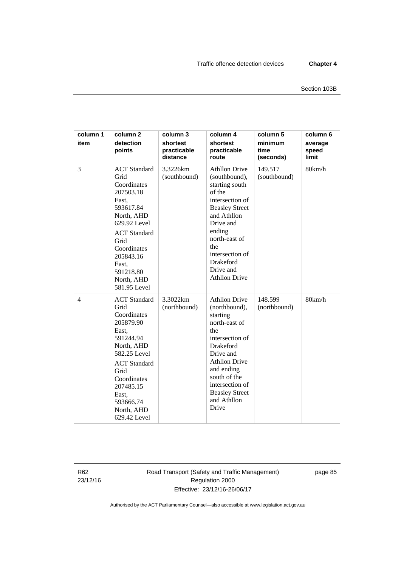| column 1<br>item | column <sub>2</sub><br>detection<br>points                                                                                                                                                                                 | column 3<br>shortest<br>practicable<br>distance | column 4<br>shortest<br>practicable<br>route                                                                                                                                                                                                            | column 5<br>minimum<br>time<br>(seconds) | column 6<br>average<br>speed<br>limit |
|------------------|----------------------------------------------------------------------------------------------------------------------------------------------------------------------------------------------------------------------------|-------------------------------------------------|---------------------------------------------------------------------------------------------------------------------------------------------------------------------------------------------------------------------------------------------------------|------------------------------------------|---------------------------------------|
| 3                | <b>ACT</b> Standard<br>Grid<br>Coordinates<br>207503.18<br>East,<br>593617.84<br>North, AHD<br>629.92 Level<br><b>ACT</b> Standard<br>Grid<br>Coordinates<br>205843.16<br>East,<br>591218.80<br>North, AHD<br>581.95 Level | 3.3226km<br>(southbound)                        | <b>Athllon Drive</b><br>(southbound),<br>starting south<br>of the<br>intersection of<br><b>Beasley Street</b><br>and Athllon<br>Drive and<br>ending<br>north-east of<br>the<br>intersection of<br>Drakeford<br>Drive and<br><b>Athllon Drive</b>        | 149.517<br>(southbound)                  | 80km/h                                |
| $\overline{4}$   | <b>ACT</b> Standard<br>Grid<br>Coordinates<br>205879.90<br>East,<br>591244.94<br>North, AHD<br>582.25 Level<br><b>ACT</b> Standard<br>Grid<br>Coordinates<br>207485.15<br>East,<br>593666.74<br>North, AHD<br>629.42 Level | 3.3022km<br>(northbound)                        | <b>Athllon Drive</b><br>(northbound),<br>starting<br>north-east of<br>the<br>intersection of<br><b>Drakeford</b><br>Drive and<br><b>Athllon Drive</b><br>and ending<br>south of the<br>intersection of<br><b>Beasley Street</b><br>and Athllon<br>Drive | 148.599<br>(northbound)                  | 80km/h                                |

R62 23/12/16 Road Transport (Safety and Traffic Management) Regulation 2000 Effective: 23/12/16-26/06/17

page 85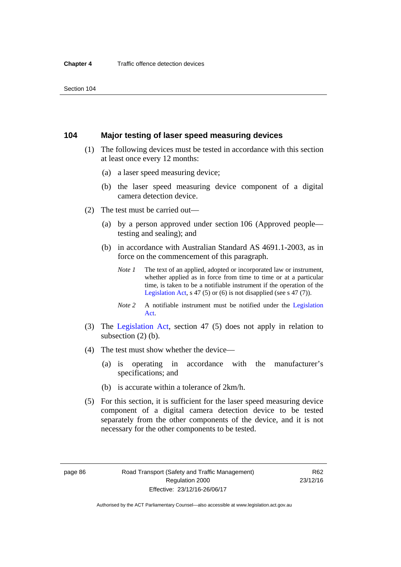#### **104 Major testing of laser speed measuring devices**

- (1) The following devices must be tested in accordance with this section at least once every 12 months:
	- (a) a laser speed measuring device;
	- (b) the laser speed measuring device component of a digital camera detection device.
- (2) The test must be carried out—
	- (a) by a person approved under section 106 (Approved people testing and sealing); and
	- (b) in accordance with Australian Standard AS 4691.1-2003, as in force on the commencement of this paragraph.
		- *Note 1* The text of an applied, adopted or incorporated law or instrument, whether applied as in force from time to time or at a particular time, is taken to be a notifiable instrument if the operation of the [Legislation Act,](http://www.legislation.act.gov.au/a/2001-14) s 47 (5) or (6) is not disapplied (see s 47 (7)).
		- *Note 2* A notifiable instrument must be notified under the [Legislation](http://www.legislation.act.gov.au/a/2001-14)  [Act](http://www.legislation.act.gov.au/a/2001-14).
- (3) The [Legislation Act,](http://www.legislation.act.gov.au/a/2001-14) section 47 (5) does not apply in relation to subsection (2) (b).
- (4) The test must show whether the device—
	- (a) is operating in accordance with the manufacturer's specifications; and
	- (b) is accurate within a tolerance of 2km/h.
- (5) For this section, it is sufficient for the laser speed measuring device component of a digital camera detection device to be tested separately from the other components of the device, and it is not necessary for the other components to be tested.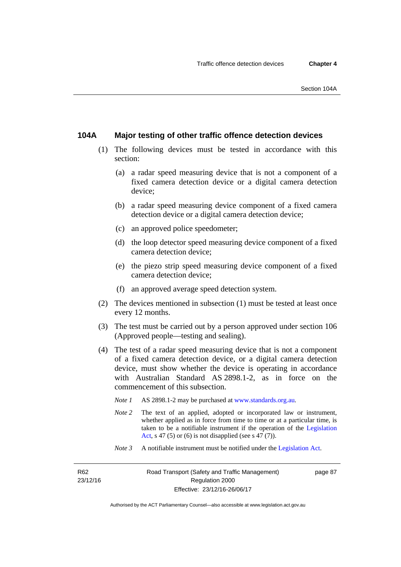### **104A Major testing of other traffic offence detection devices**

- (1) The following devices must be tested in accordance with this section:
	- (a) a radar speed measuring device that is not a component of a fixed camera detection device or a digital camera detection device;
	- (b) a radar speed measuring device component of a fixed camera detection device or a digital camera detection device;
	- (c) an approved police speedometer;
	- (d) the loop detector speed measuring device component of a fixed camera detection device;
	- (e) the piezo strip speed measuring device component of a fixed camera detection device;
	- (f) an approved average speed detection system.
- (2) The devices mentioned in subsection (1) must be tested at least once every 12 months.
- (3) The test must be carried out by a person approved under section 106 (Approved people—testing and sealing).
- (4) The test of a radar speed measuring device that is not a component of a fixed camera detection device, or a digital camera detection device, must show whether the device is operating in accordance with Australian Standard AS 2898.1-2, as in force on the commencement of this subsection.
	- *Note 1* AS 2898.1-2 may be purchased at [www.standards.org.au](http://www.standards.org.au/Pages/default.aspx)*.*
	- *Note* 2 The text of an applied, adopted or incorporated law or instrument, whether applied as in force from time to time or at a particular time, is taken to be a notifiable instrument if the operation of the [Legislation](http://www.legislation.act.gov.au/a/2001-14)  [Act,](http://www.legislation.act.gov.au/a/2001-14) s 47 (5) or (6) is not disapplied (see s 47 (7)).
	- *Note 3* A notifiable instrument must be notified under the [Legislation Act](http://www.legislation.act.gov.au/a/2001-14).

R62 23/12/16 page 87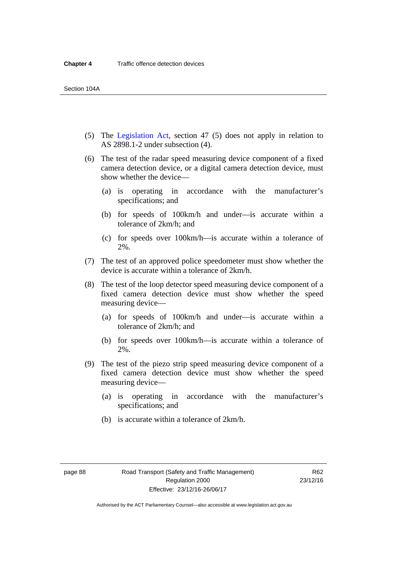- (5) The [Legislation Act,](http://www.legislation.act.gov.au/a/2001-14) section 47 (5) does not apply in relation to AS 2898.1-2 under subsection (4).
- (6) The test of the radar speed measuring device component of a fixed camera detection device, or a digital camera detection device, must show whether the device—
	- (a) is operating in accordance with the manufacturer's specifications; and
	- (b) for speeds of 100km/h and under—is accurate within a tolerance of 2km/h; and
	- (c) for speeds over 100km/h—is accurate within a tolerance of 2%.
- (7) The test of an approved police speedometer must show whether the device is accurate within a tolerance of 2km/h.
- (8) The test of the loop detector speed measuring device component of a fixed camera detection device must show whether the speed measuring device—
	- (a) for speeds of 100km/h and under—is accurate within a tolerance of 2km/h; and
	- (b) for speeds over 100km/h—is accurate within a tolerance of 2%.
- (9) The test of the piezo strip speed measuring device component of a fixed camera detection device must show whether the speed measuring device—
	- (a) is operating in accordance with the manufacturer's specifications; and
	- (b) is accurate within a tolerance of 2km/h.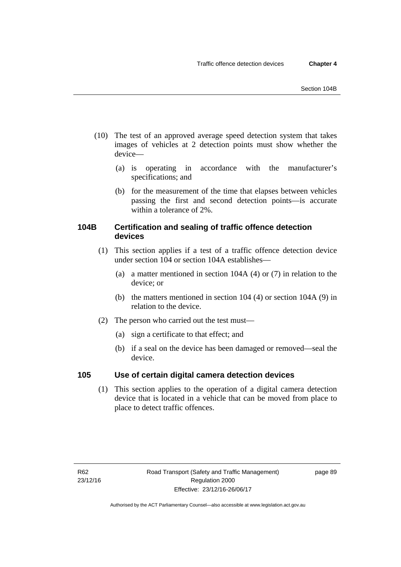- (10) The test of an approved average speed detection system that takes images of vehicles at 2 detection points must show whether the device—
	- (a) is operating in accordance with the manufacturer's specifications; and
	- (b) for the measurement of the time that elapses between vehicles passing the first and second detection points—is accurate within a tolerance of 2%.

# **104B Certification and sealing of traffic offence detection devices**

- (1) This section applies if a test of a traffic offence detection device under section 104 or section 104A establishes—
	- (a) a matter mentioned in section 104A (4) or (7) in relation to the device; or
	- (b) the matters mentioned in section 104 (4) or section 104A (9) in relation to the device.
- (2) The person who carried out the test must—
	- (a) sign a certificate to that effect; and
	- (b) if a seal on the device has been damaged or removed—seal the device.

# **105 Use of certain digital camera detection devices**

(1) This section applies to the operation of a digital camera detection device that is located in a vehicle that can be moved from place to place to detect traffic offences.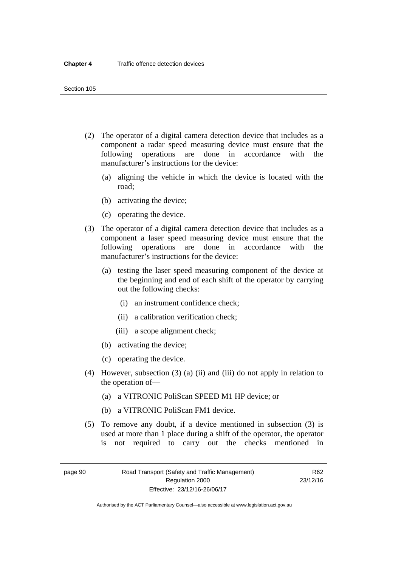- (2) The operator of a digital camera detection device that includes as a component a radar speed measuring device must ensure that the following operations are done in accordance with the manufacturer's instructions for the device:
	- (a) aligning the vehicle in which the device is located with the road;
	- (b) activating the device;
	- (c) operating the device.
- (3) The operator of a digital camera detection device that includes as a component a laser speed measuring device must ensure that the following operations are done in accordance with the manufacturer's instructions for the device:
	- (a) testing the laser speed measuring component of the device at the beginning and end of each shift of the operator by carrying out the following checks:
		- (i) an instrument confidence check;
		- (ii) a calibration verification check;
		- (iii) a scope alignment check;
	- (b) activating the device;
	- (c) operating the device.
- (4) However, subsection (3) (a) (ii) and (iii) do not apply in relation to the operation of—
	- (a) a VITRONIC PoliScan SPEED M1 HP device; or
	- (b) a VITRONIC PoliScan FM1 device.
- (5) To remove any doubt, if a device mentioned in subsection (3) is used at more than 1 place during a shift of the operator, the operator is not required to carry out the checks mentioned in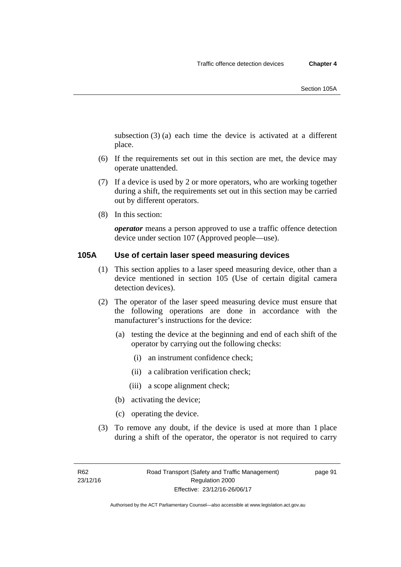subsection (3) (a) each time the device is activated at a different place.

- (6) If the requirements set out in this section are met, the device may operate unattended.
- (7) If a device is used by 2 or more operators, who are working together during a shift, the requirements set out in this section may be carried out by different operators.
- (8) In this section:

*operator* means a person approved to use a traffic offence detection device under section 107 (Approved people—use).

### **105A Use of certain laser speed measuring devices**

- (1) This section applies to a laser speed measuring device, other than a device mentioned in section 105 (Use of certain digital camera detection devices).
- (2) The operator of the laser speed measuring device must ensure that the following operations are done in accordance with the manufacturer's instructions for the device:
	- (a) testing the device at the beginning and end of each shift of the operator by carrying out the following checks:
		- (i) an instrument confidence check;
		- (ii) a calibration verification check;
		- (iii) a scope alignment check;
	- (b) activating the device;
	- (c) operating the device.
- (3) To remove any doubt, if the device is used at more than 1 place during a shift of the operator, the operator is not required to carry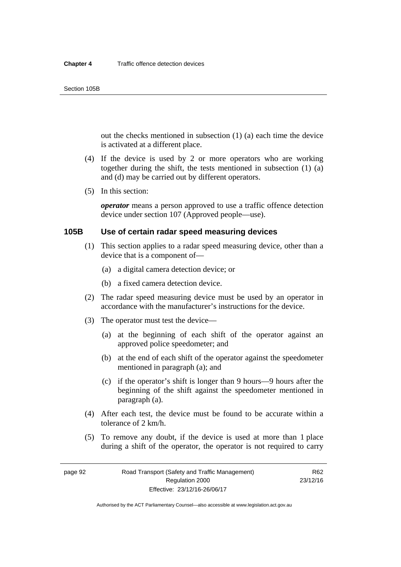out the checks mentioned in subsection (1) (a) each time the device is activated at a different place.

- (4) If the device is used by 2 or more operators who are working together during the shift, the tests mentioned in subsection (1) (a) and (d) may be carried out by different operators.
- (5) In this section:

*operator* means a person approved to use a traffic offence detection device under section 107 (Approved people—use).

# **105B Use of certain radar speed measuring devices**

- (1) This section applies to a radar speed measuring device, other than a device that is a component of—
	- (a) a digital camera detection device; or
	- (b) a fixed camera detection device.
- (2) The radar speed measuring device must be used by an operator in accordance with the manufacturer's instructions for the device.
- (3) The operator must test the device—
	- (a) at the beginning of each shift of the operator against an approved police speedometer; and
	- (b) at the end of each shift of the operator against the speedometer mentioned in paragraph (a); and
	- (c) if the operator's shift is longer than 9 hours—9 hours after the beginning of the shift against the speedometer mentioned in paragraph (a).
- (4) After each test, the device must be found to be accurate within a tolerance of 2 km/h.
- (5) To remove any doubt, if the device is used at more than 1 place during a shift of the operator, the operator is not required to carry

page 92 Road Transport (Safety and Traffic Management) Regulation 2000 Effective: 23/12/16-26/06/17

R62 23/12/16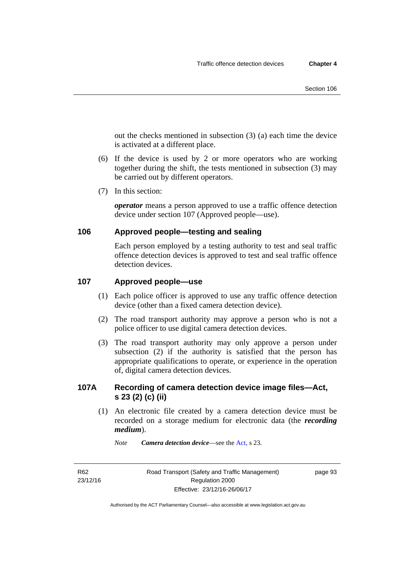out the checks mentioned in subsection (3) (a) each time the device is activated at a different place.

- (6) If the device is used by 2 or more operators who are working together during the shift, the tests mentioned in subsection (3) may be carried out by different operators.
- (7) In this section:

*operator* means a person approved to use a traffic offence detection device under section 107 (Approved people—use).

# **106 Approved people—testing and sealing**

Each person employed by a testing authority to test and seal traffic offence detection devices is approved to test and seal traffic offence detection devices.

# **107 Approved people—use**

- (1) Each police officer is approved to use any traffic offence detection device (other than a fixed camera detection device).
- (2) The road transport authority may approve a person who is not a police officer to use digital camera detection devices.
- (3) The road transport authority may only approve a person under subsection (2) if the authority is satisfied that the person has appropriate qualifications to operate, or experience in the operation of, digital camera detection devices.

# **107A Recording of camera detection device image files—Act, s 23 (2) (c) (ii)**

(1) An electronic file created by a camera detection device must be recorded on a storage medium for electronic data (the *recording medium*).

*Note Camera detection device*—see the [Act](http://www.legislation.act.gov.au/a/1999-80/default.asp), s 23.

R62 23/12/16 page 93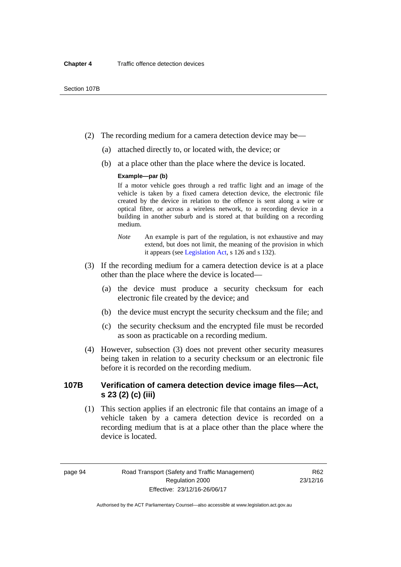- (2) The recording medium for a camera detection device may be—
	- (a) attached directly to, or located with, the device; or
	- (b) at a place other than the place where the device is located.

# **Example—par (b)**

If a motor vehicle goes through a red traffic light and an image of the vehicle is taken by a fixed camera detection device, the electronic file created by the device in relation to the offence is sent along a wire or optical fibre, or across a wireless network, to a recording device in a building in another suburb and is stored at that building on a recording medium.

- *Note* An example is part of the regulation, is not exhaustive and may extend, but does not limit, the meaning of the provision in which it appears (see [Legislation Act,](http://www.legislation.act.gov.au/a/2001-14) s 126 and s 132).
- (3) If the recording medium for a camera detection device is at a place other than the place where the device is located—
	- (a) the device must produce a security checksum for each electronic file created by the device; and
	- (b) the device must encrypt the security checksum and the file; and
	- (c) the security checksum and the encrypted file must be recorded as soon as practicable on a recording medium.
- (4) However, subsection (3) does not prevent other security measures being taken in relation to a security checksum or an electronic file before it is recorded on the recording medium.

# **107B Verification of camera detection device image files—Act, s 23 (2) (c) (iii)**

(1) This section applies if an electronic file that contains an image of a vehicle taken by a camera detection device is recorded on a recording medium that is at a place other than the place where the device is located.

page 94 Road Transport (Safety and Traffic Management) Regulation 2000 Effective: 23/12/16-26/06/17

R62 23/12/16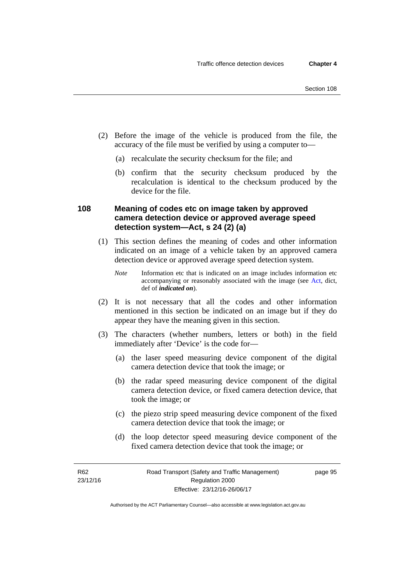- (2) Before the image of the vehicle is produced from the file, the accuracy of the file must be verified by using a computer to—
	- (a) recalculate the security checksum for the file; and
	- (b) confirm that the security checksum produced by the recalculation is identical to the checksum produced by the device for the file.

# **108 Meaning of codes etc on image taken by approved camera detection device or approved average speed detection system—Act, s 24 (2) (a)**

- (1) This section defines the meaning of codes and other information indicated on an image of a vehicle taken by an approved camera detection device or approved average speed detection system.
	- *Note* Information etc that is indicated on an image includes information etc accompanying or reasonably associated with the image (see [Act,](http://www.legislation.act.gov.au/a/1999-80/default.asp) dict, def of *indicated on*).
- (2) It is not necessary that all the codes and other information mentioned in this section be indicated on an image but if they do appear they have the meaning given in this section.
- (3) The characters (whether numbers, letters or both) in the field immediately after 'Device' is the code for—
	- (a) the laser speed measuring device component of the digital camera detection device that took the image; or
	- (b) the radar speed measuring device component of the digital camera detection device, or fixed camera detection device, that took the image; or
	- (c) the piezo strip speed measuring device component of the fixed camera detection device that took the image; or
	- (d) the loop detector speed measuring device component of the fixed camera detection device that took the image; or

page 95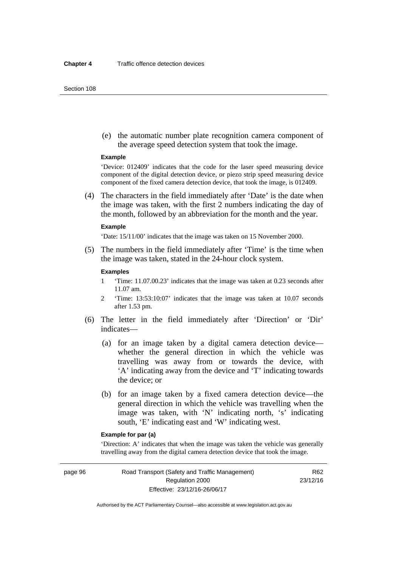#### Section 108

 (e) the automatic number plate recognition camera component of the average speed detection system that took the image.

#### **Example**

'Device: 012409' indicates that the code for the laser speed measuring device component of the digital detection device, or piezo strip speed measuring device component of the fixed camera detection device, that took the image, is 012409.

 (4) The characters in the field immediately after 'Date' is the date when the image was taken, with the first 2 numbers indicating the day of the month, followed by an abbreviation for the month and the year.

#### **Example**

'Date: 15/11/00' indicates that the image was taken on 15 November 2000.

 (5) The numbers in the field immediately after 'Time' is the time when the image was taken, stated in the 24-hour clock system.

## **Examples**

- 1 'Time: 11.07.00.23' indicates that the image was taken at 0.23 seconds after 11.07 am.
- 2 'Time: 13:53:10:07' indicates that the image was taken at 10.07 seconds after 1.53 pm.
- (6) The letter in the field immediately after 'Direction' or 'Dir' indicates—
	- (a) for an image taken by a digital camera detection device whether the general direction in which the vehicle was travelling was away from or towards the device, with 'A' indicating away from the device and 'T' indicating towards the device; or
	- (b) for an image taken by a fixed camera detection device—the general direction in which the vehicle was travelling when the image was taken, with 'N' indicating north, 's' indicating south, 'E' indicating east and 'W' indicating west.

# **Example for par (a)**

'Direction: A' indicates that when the image was taken the vehicle was generally travelling away from the digital camera detection device that took the image.

page 96 Road Transport (Safety and Traffic Management) Regulation 2000 Effective: 23/12/16-26/06/17

R62 23/12/16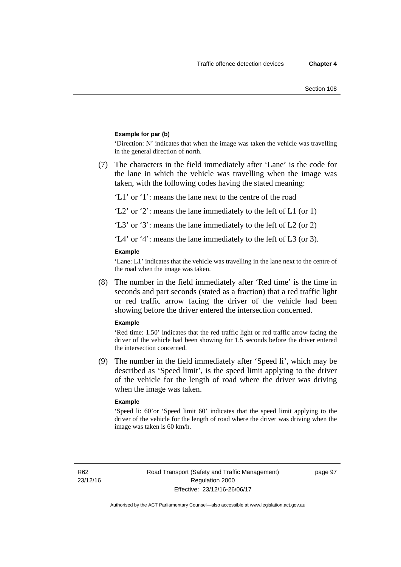## **Example for par (b)**

'Direction: N' indicates that when the image was taken the vehicle was travelling in the general direction of north.

 (7) The characters in the field immediately after 'Lane' is the code for the lane in which the vehicle was travelling when the image was taken, with the following codes having the stated meaning:

'L1' or '1': means the lane next to the centre of the road

'L2' or '2': means the lane immediately to the left of L1 (or 1)

'L3' or '3': means the lane immediately to the left of L2 (or 2)

'L4' or '4': means the lane immediately to the left of L3 (or 3).

### **Example**

'Lane: L1' indicates that the vehicle was travelling in the lane next to the centre of the road when the image was taken.

 (8) The number in the field immediately after 'Red time' is the time in seconds and part seconds (stated as a fraction) that a red traffic light or red traffic arrow facing the driver of the vehicle had been showing before the driver entered the intersection concerned.

#### **Example**

'Red time: 1.50' indicates that the red traffic light or red traffic arrow facing the driver of the vehicle had been showing for 1.5 seconds before the driver entered the intersection concerned.

 (9) The number in the field immediately after 'Speed li', which may be described as 'Speed limit', is the speed limit applying to the driver of the vehicle for the length of road where the driver was driving when the image was taken.

#### **Example**

'Speed li: 60'or 'Speed limit 60' indicates that the speed limit applying to the driver of the vehicle for the length of road where the driver was driving when the image was taken is 60 km/h.

R62 23/12/16 page 97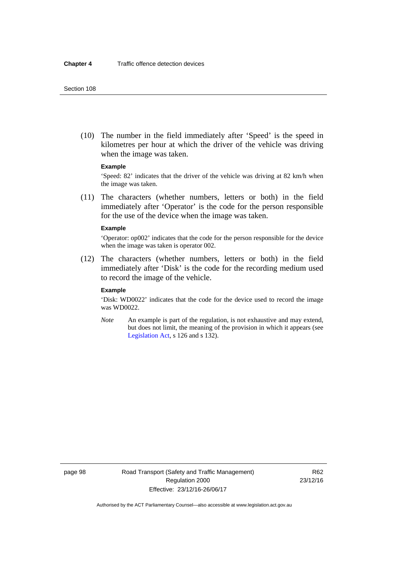(10) The number in the field immediately after 'Speed' is the speed in kilometres per hour at which the driver of the vehicle was driving when the image was taken.

## **Example**

'Speed: 82' indicates that the driver of the vehicle was driving at 82 km/h when the image was taken.

 (11) The characters (whether numbers, letters or both) in the field immediately after 'Operator' is the code for the person responsible for the use of the device when the image was taken.

#### **Example**

'Operator: op002' indicates that the code for the person responsible for the device when the image was taken is operator 002.

 (12) The characters (whether numbers, letters or both) in the field immediately after 'Disk' is the code for the recording medium used to record the image of the vehicle.

## **Example**

'Disk: WD0022' indicates that the code for the device used to record the image was WD0022.

*Note* An example is part of the regulation, is not exhaustive and may extend, but does not limit, the meaning of the provision in which it appears (see [Legislation Act,](http://www.legislation.act.gov.au/a/2001-14) s 126 and s 132).

page 98 Road Transport (Safety and Traffic Management) Regulation 2000 Effective: 23/12/16-26/06/17

R62 23/12/16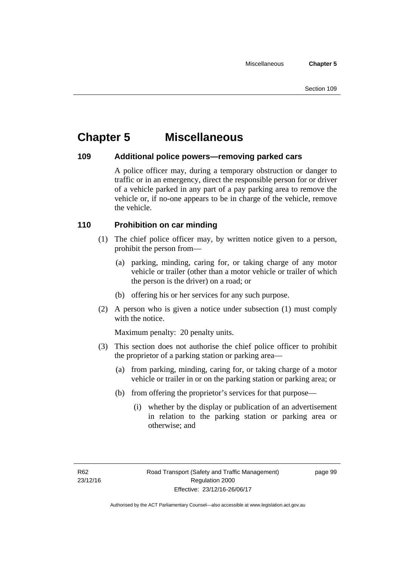# **Chapter 5 Miscellaneous**

# **109 Additional police powers—removing parked cars**

A police officer may, during a temporary obstruction or danger to traffic or in an emergency, direct the responsible person for or driver of a vehicle parked in any part of a pay parking area to remove the vehicle or, if no-one appears to be in charge of the vehicle, remove the vehicle.

# **110 Prohibition on car minding**

- (1) The chief police officer may, by written notice given to a person, prohibit the person from—
	- (a) parking, minding, caring for, or taking charge of any motor vehicle or trailer (other than a motor vehicle or trailer of which the person is the driver) on a road; or
	- (b) offering his or her services for any such purpose.
- (2) A person who is given a notice under subsection (1) must comply with the notice.

Maximum penalty: 20 penalty units.

- (3) This section does not authorise the chief police officer to prohibit the proprietor of a parking station or parking area—
	- (a) from parking, minding, caring for, or taking charge of a motor vehicle or trailer in or on the parking station or parking area; or
	- (b) from offering the proprietor's services for that purpose—
		- (i) whether by the display or publication of an advertisement in relation to the parking station or parking area or otherwise; and

page 99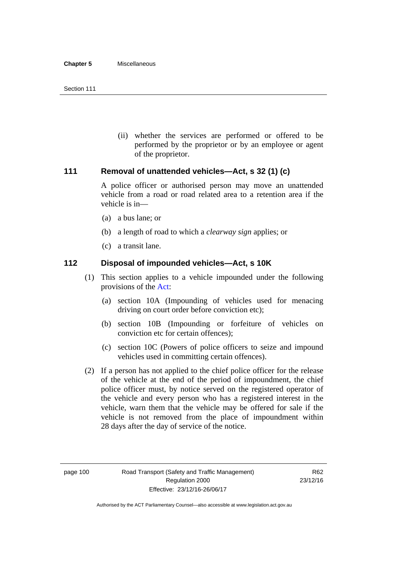(ii) whether the services are performed or offered to be performed by the proprietor or by an employee or agent of the proprietor.

# **111 Removal of unattended vehicles—Act, s 32 (1) (c)**

A police officer or authorised person may move an unattended vehicle from a road or road related area to a retention area if the vehicle is in—

- (a) a bus lane; or
- (b) a length of road to which a *clearway sign* applies; or
- (c) a transit lane.

# **112 Disposal of impounded vehicles—Act, s 10K**

- (1) This section applies to a vehicle impounded under the following provisions of the [Act:](http://www.legislation.act.gov.au/a/1999-80/default.asp)
	- (a) section 10A (Impounding of vehicles used for menacing driving on court order before conviction etc);
	- (b) section 10B (Impounding or forfeiture of vehicles on conviction etc for certain offences);
	- (c) section 10C (Powers of police officers to seize and impound vehicles used in committing certain offences).
- (2) If a person has not applied to the chief police officer for the release of the vehicle at the end of the period of impoundment, the chief police officer must, by notice served on the registered operator of the vehicle and every person who has a registered interest in the vehicle, warn them that the vehicle may be offered for sale if the vehicle is not removed from the place of impoundment within 28 days after the day of service of the notice.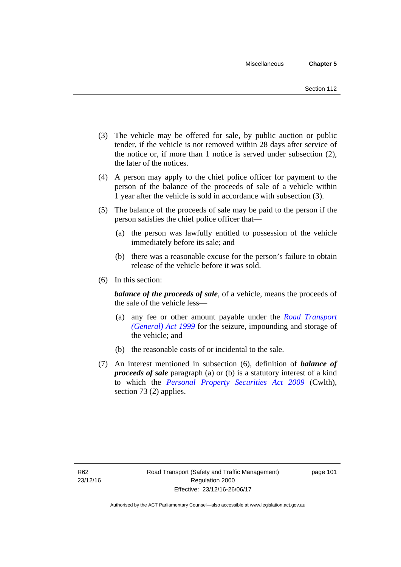- (3) The vehicle may be offered for sale, by public auction or public tender, if the vehicle is not removed within 28 days after service of the notice or, if more than 1 notice is served under subsection (2), the later of the notices.
- (4) A person may apply to the chief police officer for payment to the person of the balance of the proceeds of sale of a vehicle within 1 year after the vehicle is sold in accordance with subsection (3).
- (5) The balance of the proceeds of sale may be paid to the person if the person satisfies the chief police officer that—
	- (a) the person was lawfully entitled to possession of the vehicle immediately before its sale; and
	- (b) there was a reasonable excuse for the person's failure to obtain release of the vehicle before it was sold.
- (6) In this section:

*balance of the proceeds of sale*, of a vehicle, means the proceeds of the sale of the vehicle less—

- (a) any fee or other amount payable under the *[Road Transport](http://www.legislation.act.gov.au/a/1999-77)  [\(General\) Act 1999](http://www.legislation.act.gov.au/a/1999-77)* for the seizure, impounding and storage of the vehicle; and
- (b) the reasonable costs of or incidental to the sale.
- (7) An interest mentioned in subsection (6), definition of *balance of proceeds of sale* paragraph (a) or (b) is a statutory interest of a kind to which the *[Personal Property Securities Act 2009](http://www.comlaw.gov.au/Series/C2009A00130)* (Cwlth), section 73 (2) applies.

page 101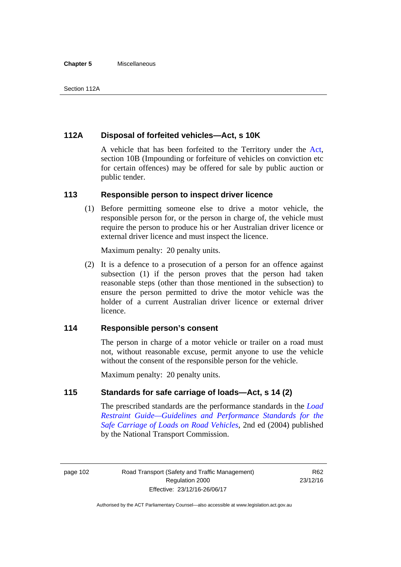### **Chapter 5** Miscellaneous

# **112A Disposal of forfeited vehicles—Act, s 10K**

A vehicle that has been forfeited to the Territory under the [Act](http://www.legislation.act.gov.au/a/1999-80/default.asp), section 10B (Impounding or forfeiture of vehicles on conviction etc for certain offences) may be offered for sale by public auction or public tender.

# **113 Responsible person to inspect driver licence**

(1) Before permitting someone else to drive a motor vehicle, the responsible person for, or the person in charge of, the vehicle must require the person to produce his or her Australian driver licence or external driver licence and must inspect the licence.

Maximum penalty: 20 penalty units.

 (2) It is a defence to a prosecution of a person for an offence against subsection (1) if the person proves that the person had taken reasonable steps (other than those mentioned in the subsection) to ensure the person permitted to drive the motor vehicle was the holder of a current Australian driver licence or external driver licence.

# **114 Responsible person's consent**

The person in charge of a motor vehicle or trailer on a road must not, without reasonable excuse, permit anyone to use the vehicle without the consent of the responsible person for the vehicle.

Maximum penalty: 20 penalty units.

# **115 Standards for safe carriage of loads—Act, s 14 (2)**

The prescribed standards are the performance standards in the *[Load](http://www.ntc.gov.au/viewpage.aspx?documentid=862)  [Restraint Guide—Guidelines and Performance Standards for the](http://www.ntc.gov.au/viewpage.aspx?documentid=862)  [Safe Carriage of Loads on Road Vehicles](http://www.ntc.gov.au/viewpage.aspx?documentid=862)*, 2nd ed (2004) published by the National Transport Commission.

page 102 Road Transport (Safety and Traffic Management) Regulation 2000 Effective: 23/12/16-26/06/17

R62 23/12/16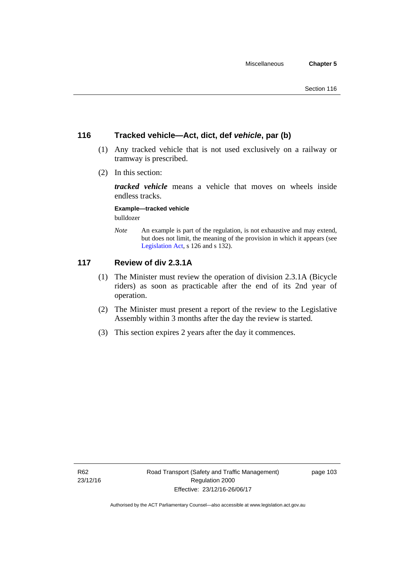# **116 Tracked vehicle—Act, dict, def** *vehicle***, par (b)**

- (1) Any tracked vehicle that is not used exclusively on a railway or tramway is prescribed.
- (2) In this section:

*tracked vehicle* means a vehicle that moves on wheels inside endless tracks.

**Example—tracked vehicle** 

bulldozer

*Note* An example is part of the regulation, is not exhaustive and may extend, but does not limit, the meaning of the provision in which it appears (see [Legislation Act,](http://www.legislation.act.gov.au/a/2001-14) s 126 and s 132).

# **117 Review of div 2.3.1A**

- (1) The Minister must review the operation of division 2.3.1A (Bicycle riders) as soon as practicable after the end of its 2nd year of operation.
- (2) The Minister must present a report of the review to the Legislative Assembly within 3 months after the day the review is started.
- (3) This section expires 2 years after the day it commences.

page 103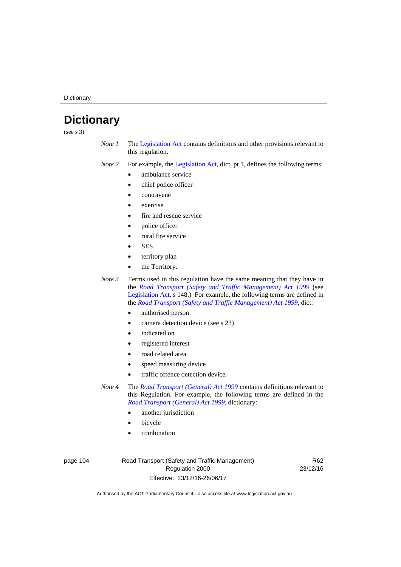**Dictionary** 

# **Dictionary**

(see s 3)

- *Note 1* The [Legislation Act](http://www.legislation.act.gov.au/a/2001-14) contains definitions and other provisions relevant to this regulation.
- *Note 2* For example, the [Legislation Act,](http://www.legislation.act.gov.au/a/2001-14) dict, pt 1, defines the following terms:
	- ambulance service
	- chief police officer
	- contravene
	- exercise
	- fire and rescue service
	- police officer
	- rural fire service
	- **SES**
	- territory plan
	- the Territory.

*Note 3* Terms used in this regulation have the same meaning that they have in the *[Road Transport \(Safety and Traffic Management\) Act 1999](http://www.legislation.act.gov.au/a/1999-80)* (see [Legislation Act,](http://www.legislation.act.gov.au/a/2001-14) s 148.) For example, the following terms are defined in the *[Road Transport \(Safety and Traffic Management\) Act 1999](http://www.legislation.act.gov.au/a/1999-80)*, dict:

- authorised person
- camera detection device (see s 23)
- indicated on
- registered interest
- road related area
- speed measuring device
- traffic offence detection device.

*Note 4* The *[Road Transport \(General\) Act 1999](http://www.legislation.act.gov.au/a/1999-77)* contains definitions relevant to this Regulation. For example, the following terms are defined in the *[Road Transport \(General\) Act 1999](http://www.legislation.act.gov.au/a/1999-77)*, dictionary:

- another jurisdiction
- bicycle
- combination

page 104 Road Transport (Safety and Traffic Management) Regulation 2000 Effective: 23/12/16-26/06/17

R62 23/12/16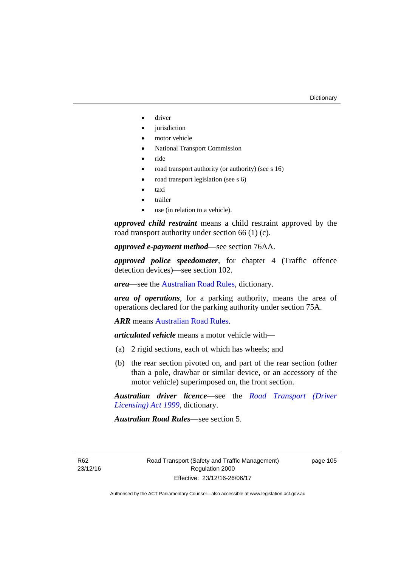- driver
- jurisdiction
- motor vehicle
- National Transport Commission
- ride
- road transport authority (or authority) (see s 16)
- road transport legislation (see s 6)
- taxi
- trailer
- use (in relation to a vehicle).

*approved child restraint* means a child restraint approved by the road transport authority under section 66 (1) (c).

*approved e-payment method*—see section 76AA.

*approved police speedometer*, for chapter 4 (Traffic offence detection devices)—see section 102.

*area*—see the [Australian Road Rules,](http://www.legislation.act.gov.au//ni/db_37271/default.asp) dictionary.

*area of operations*, for a parking authority, means the area of operations declared for the parking authority under section 75A.

*ARR* means [Australian Road Rules](http://www.legislation.act.gov.au//ni/db_37271/default.asp).

*articulated vehicle* means a motor vehicle with—

- (a) 2 rigid sections, each of which has wheels; and
- (b) the rear section pivoted on, and part of the rear section (other than a pole, drawbar or similar device, or an accessory of the motor vehicle) superimposed on, the front section.

*Australian driver licence*—see the *[Road Transport \(Driver](http://www.legislation.act.gov.au/a/1999-78)  [Licensing\) Act 1999](http://www.legislation.act.gov.au/a/1999-78)*, dictionary.

*Australian Road Rules*—see section 5.

R62 23/12/16 page 105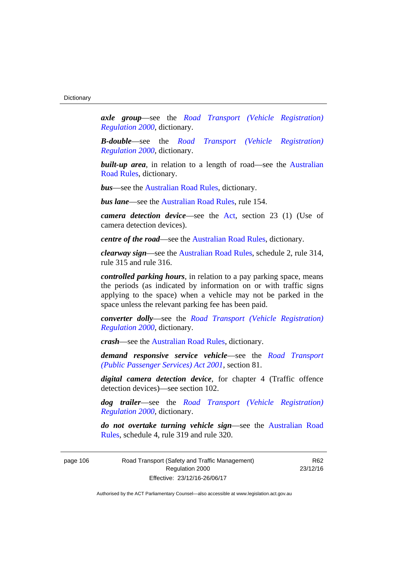*axle group*—see the *[Road Transport \(Vehicle Registration\)](http://www.legislation.act.gov.au/sl/2000-12)  [Regulation 2000](http://www.legislation.act.gov.au/sl/2000-12)*, dictionary.

*B-double*—see the *[Road Transport \(Vehicle Registration\)](http://www.legislation.act.gov.au/sl/2000-12)  [Regulation 2000](http://www.legislation.act.gov.au/sl/2000-12)*, dictionary.

**built-up area**, in relation to a length of road—see the Australian [Road Rules,](http://www.legislation.act.gov.au//ni/db_37271/default.asp) dictionary.

*bus*—see the [Australian Road Rules,](http://www.legislation.act.gov.au//ni/db_37271/default.asp) dictionary.

*bus lane*—see the [Australian Road Rules](http://www.legislation.act.gov.au//ni/db_37271/default.asp), rule 154.

*camera detection device*—see the [Act](http://www.legislation.act.gov.au/a/1999-80/default.asp), section 23 (1) (Use of camera detection devices).

*centre of the road*—see the [Australian Road Rules](http://www.legislation.act.gov.au//ni/db_37271/default.asp), dictionary.

*clearway sign*—see the [Australian Road Rules,](http://www.legislation.act.gov.au//ni/db_37271/default.asp) schedule 2, rule 314, rule 315 and rule 316.

*controlled parking hours*, in relation to a pay parking space, means the periods (as indicated by information on or with traffic signs applying to the space) when a vehicle may not be parked in the space unless the relevant parking fee has been paid.

*converter dolly*—see the *[Road Transport \(Vehicle Registration\)](http://www.legislation.act.gov.au/sl/2000-12)  [Regulation 2000](http://www.legislation.act.gov.au/sl/2000-12)*, dictionary.

*crash*—see the [Australian Road Rules](http://www.legislation.act.gov.au//ni/db_37271/default.asp), dictionary.

*demand responsive service vehicle*—see the *[Road Transport](http://www.legislation.act.gov.au/a/2001-62)  [\(Public Passenger Services\) Act 2001](http://www.legislation.act.gov.au/a/2001-62)*, section 81.

*digital camera detection device*, for chapter 4 (Traffic offence detection devices)—see section 102.

*dog trailer*—see the *[Road Transport \(Vehicle Registration\)](http://www.legislation.act.gov.au/sl/2000-12)  [Regulation 2000](http://www.legislation.act.gov.au/sl/2000-12)*, dictionary.

*do not overtake turning vehicle sign*—see the [Australian Road](http://www.legislation.act.gov.au//ni/db_37271/default.asp)  [Rules](http://www.legislation.act.gov.au//ni/db_37271/default.asp), schedule 4, rule 319 and rule 320.

page 106 Road Transport (Safety and Traffic Management) Regulation 2000 Effective: 23/12/16-26/06/17

R62 23/12/16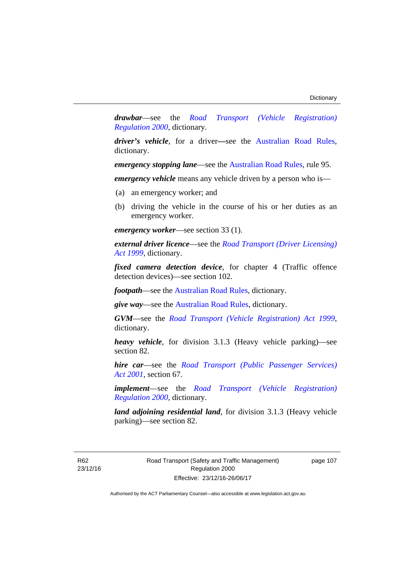*drawbar*—see the *[Road Transport \(Vehicle Registration\)](http://www.legislation.act.gov.au/sl/2000-12)  [Regulation 2000](http://www.legislation.act.gov.au/sl/2000-12)*, dictionary.

*driver's vehicle*, for a driver*—*see the [Australian Road Rules](http://www.legislation.act.gov.au//ni/db_37271/default.asp), dictionary.

*emergency stopping lane—see the [Australian Road Rules](http://www.legislation.act.gov.au//ni/db_37271/default.asp), rule 95.* 

*emergency vehicle* means any vehicle driven by a person who is—

- (a) an emergency worker; and
- (b) driving the vehicle in the course of his or her duties as an emergency worker.

*emergency worker*—see section 33 (1).

*external driver licence*—see the *[Road Transport \(Driver Licensing\)](http://www.legislation.act.gov.au/a/1999-78)  [Act 1999](http://www.legislation.act.gov.au/a/1999-78)*, dictionary.

*fixed camera detection device*, for chapter 4 (Traffic offence detection devices)—see section 102.

*footpath*—see the [Australian Road Rules](http://www.legislation.act.gov.au//ni/db_37271/default.asp), dictionary.

*give way*—see the [Australian Road Rules](http://www.legislation.act.gov.au//ni/db_37271/default.asp), dictionary.

*GVM*—see the *[Road Transport \(Vehicle Registration\) Act 1999](http://www.legislation.act.gov.au/a/1999-81)*, dictionary.

*heavy vehicle*, for division 3.1.3 (Heavy vehicle parking)—see section 82.

*hire car*—see the *[Road Transport \(Public Passenger Services\)](http://www.legislation.act.gov.au/a/2001-62)  [Act 2001](http://www.legislation.act.gov.au/a/2001-62)*, section 67.

*implement*—see the *[Road Transport \(Vehicle Registration\)](http://www.legislation.act.gov.au/sl/2000-12)  [Regulation 2000](http://www.legislation.act.gov.au/sl/2000-12)*, dictionary.

*land adjoining residential land*, for division 3.1.3 (Heavy vehicle parking)—see section 82.

R62 23/12/16 page 107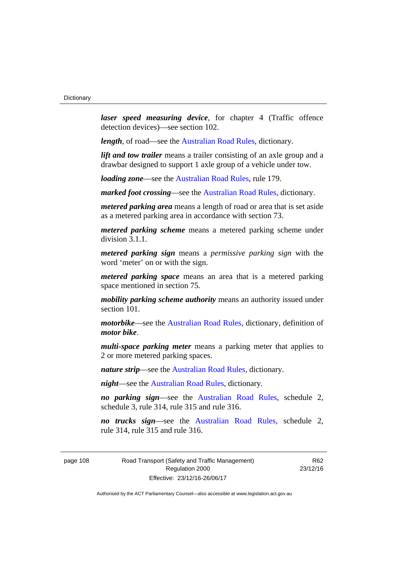*laser speed measuring device*, for chapter 4 (Traffic offence detection devices)—see section 102.

*length*, of road—see the [Australian Road Rules](http://www.legislation.act.gov.au//ni/db_37271/default.asp), dictionary.

*lift and tow trailer* means a trailer consisting of an axle group and a drawbar designed to support 1 axle group of a vehicle under tow.

*loading zone*—see the [Australian Road Rules,](http://www.legislation.act.gov.au//ni/db_37271/default.asp) rule 179.

*marked foot crossing*—see the [Australian Road Rules,](http://www.legislation.act.gov.au//ni/db_37271/default.asp) dictionary.

*metered parking area* means a length of road or area that is set aside as a metered parking area in accordance with section 73.

*metered parking scheme* means a metered parking scheme under division 3.1.1.

*metered parking sign* means a *permissive parking sign* with the word 'meter' on or with the sign.

*metered parking space* means an area that is a metered parking space mentioned in section 75.

*mobility parking scheme authority* means an authority issued under section 101.

*motorbike*—see the [Australian Road Rules,](http://www.legislation.act.gov.au//ni/db_37271/default.asp) dictionary, definition of *motor bike*.

*multi-space parking meter* means a parking meter that applies to 2 or more metered parking spaces.

*nature strip*—see the [Australian Road Rules](http://www.legislation.act.gov.au//ni/db_37271/default.asp), dictionary.

*night*—see the [Australian Road Rules,](http://www.legislation.act.gov.au//ni/db_37271/default.asp) dictionary.

*no parking sign*—see the [Australian Road Rules](http://www.legislation.act.gov.au//ni/db_37271/default.asp), schedule 2, schedule 3, rule 314, rule 315 and rule 316.

*no trucks sign*—see the [Australian Road Rules,](http://www.legislation.act.gov.au//ni/db_37271/default.asp) schedule 2, rule 314, rule 315 and rule 316.

page 108 Road Transport (Safety and Traffic Management) Regulation 2000 Effective: 23/12/16-26/06/17

R62 23/12/16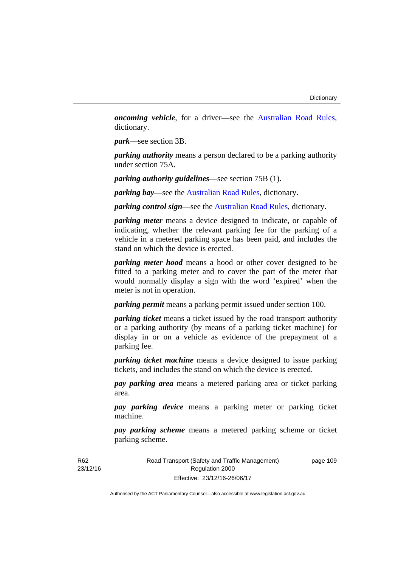*oncoming vehicle*, for a driver—see the [Australian Road Rules](http://www.legislation.act.gov.au//ni/db_37271/default.asp), dictionary.

*park*—see section 3B.

*parking authority* means a person declared to be a parking authority under section 75A.

*parking authority guidelines*—see section 75B (1).

*parking bay*—see the [Australian Road Rules,](http://www.legislation.act.gov.au//ni/db_37271/default.asp) dictionary.

*parking control sign*—see the [Australian Road Rules](http://www.legislation.act.gov.au//ni/db_37271/default.asp), dictionary.

*parking meter* means a device designed to indicate, or capable of indicating, whether the relevant parking fee for the parking of a vehicle in a metered parking space has been paid, and includes the stand on which the device is erected.

*parking meter hood* means a hood or other cover designed to be fitted to a parking meter and to cover the part of the meter that would normally display a sign with the word 'expired' when the meter is not in operation.

*parking permit* means a parking permit issued under section 100.

*parking ticket* means a ticket issued by the road transport authority or a parking authority (by means of a parking ticket machine) for display in or on a vehicle as evidence of the prepayment of a parking fee.

*parking ticket machine* means a device designed to issue parking tickets, and includes the stand on which the device is erected.

*pay parking area* means a metered parking area or ticket parking area.

*pay parking device* means a parking meter or parking ticket machine.

*pay parking scheme* means a metered parking scheme or ticket parking scheme.

Road Transport (Safety and Traffic Management) Regulation 2000 Effective: 23/12/16-26/06/17

page 109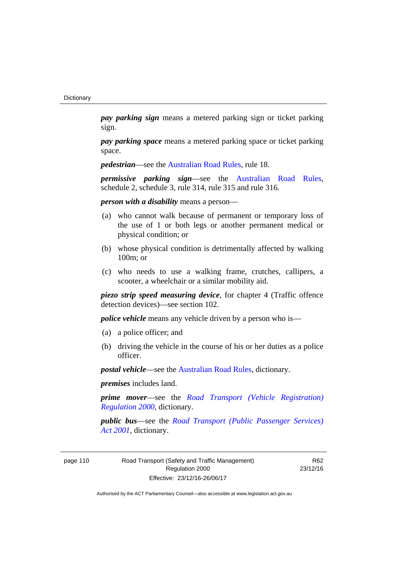*pay parking sign* means a metered parking sign or ticket parking sign.

*pay parking space* means a metered parking space or ticket parking space.

*pedestrian***—see the [Australian Road Rules](http://www.legislation.act.gov.au//ni/db_37271/default.asp)**, rule 18.

*permissive parking sign*—see the [Australian Road Rules](http://www.legislation.act.gov.au//ni/db_37271/default.asp), schedule 2, schedule 3, rule 314, rule 315 and rule 316.

*person with a disability* means a person—

- (a) who cannot walk because of permanent or temporary loss of the use of 1 or both legs or another permanent medical or physical condition; or
- (b) whose physical condition is detrimentally affected by walking 100m; or
- (c) who needs to use a walking frame, crutches, callipers, a scooter, a wheelchair or a similar mobility aid.

*piezo strip speed measuring device*, for chapter 4 (Traffic offence detection devices)—see section 102.

*police vehicle* means any vehicle driven by a person who is—

- (a) a police officer; and
- (b) driving the vehicle in the course of his or her duties as a police officer.

*postal vehicle*—see the [Australian Road Rules,](http://www.legislation.act.gov.au//ni/db_37271/default.asp) dictionary.

*premises* includes land.

*prime mover*—see the *[Road Transport \(Vehicle Registration\)](http://www.legislation.act.gov.au/sl/2000-12)  [Regulation 2000](http://www.legislation.act.gov.au/sl/2000-12)*, dictionary.

*public bus*—see the *[Road Transport \(Public Passenger Services\)](http://www.legislation.act.gov.au/a/2001-62)  [Act 2001](http://www.legislation.act.gov.au/a/2001-62)*, dictionary.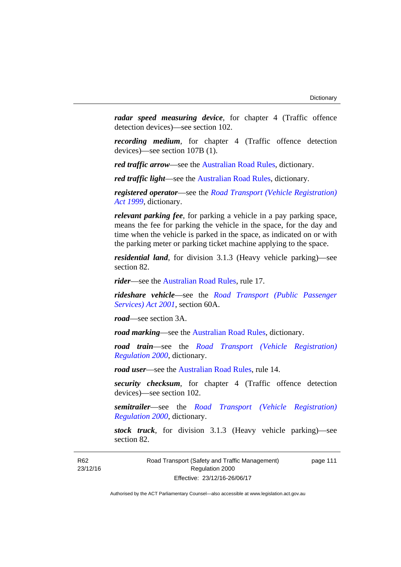*radar speed measuring device*, for chapter 4 (Traffic offence detection devices)—see section 102.

*recording medium*, for chapter 4 (Traffic offence detection devices)—see section 107B (1).

*red traffic arrow*—see the [Australian Road Rules,](http://www.legislation.act.gov.au//ni/db_37271/default.asp) dictionary.

*red traffic light*—see the [Australian Road Rules](http://www.legislation.act.gov.au//ni/db_37271/default.asp), dictionary.

*registered operator*—see the *[Road Transport \(Vehicle Registration\)](http://www.legislation.act.gov.au/a/1999-81)  [Act 1999](http://www.legislation.act.gov.au/a/1999-81)*, dictionary.

*relevant parking fee*, for parking a vehicle in a pay parking space, means the fee for parking the vehicle in the space, for the day and time when the vehicle is parked in the space, as indicated on or with the parking meter or parking ticket machine applying to the space.

*residential land*, for division 3.1.3 (Heavy vehicle parking)—see section 82.

*rider*—see the [Australian Road Rules,](http://www.legislation.act.gov.au//ni/db_37271/default.asp) rule 17.

*rideshare vehicle*—see the *[Road Transport \(Public Passenger](http://www.legislation.act.gov.au/a/2001-62)  [Services\) Act 2001](http://www.legislation.act.gov.au/a/2001-62)*, section 60A.

*road*—see section 3A.

*road marking*—see the [Australian Road Rules](http://www.legislation.act.gov.au//ni/db_37271/default.asp), dictionary.

*road train*—see the *[Road Transport \(Vehicle Registration\)](http://www.legislation.act.gov.au/sl/2000-12)  [Regulation 2000](http://www.legislation.act.gov.au/sl/2000-12)*, dictionary.

*road user*—see the [Australian Road Rules,](http://www.legislation.act.gov.au//ni/db_37271/default.asp) rule 14.

*security checksum*, for chapter 4 (Traffic offence detection devices)—see section 102.

*semitrailer*—see the *[Road Transport \(Vehicle Registration\)](http://www.legislation.act.gov.au/sl/2000-12)  [Regulation 2000](http://www.legislation.act.gov.au/sl/2000-12)*, dictionary.

*stock truck*, for division 3.1.3 (Heavy vehicle parking)—see section 82.

R62 23/12/16 page 111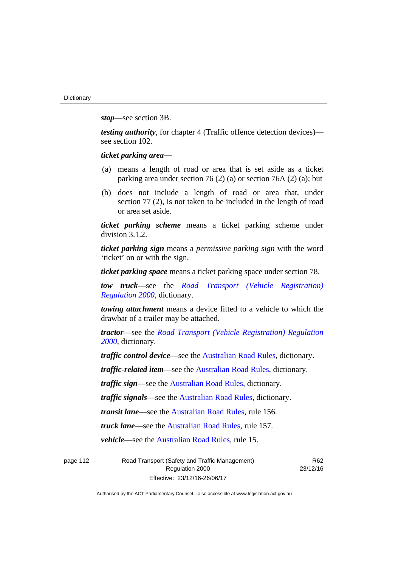*stop*—see section 3B.

*testing authority*, for chapter 4 (Traffic offence detection devices) see section 102.

*ticket parking area*—

- (a) means a length of road or area that is set aside as a ticket parking area under section 76 (2) (a) or section 76A (2) (a); but
- (b) does not include a length of road or area that, under section 77 (2), is not taken to be included in the length of road or area set aside.

*ticket parking scheme* means a ticket parking scheme under division 3.1.2.

*ticket parking sign* means a *permissive parking sign* with the word 'ticket' on or with the sign.

*ticket parking space* means a ticket parking space under section 78.

*tow truck*—see the *[Road Transport \(Vehicle Registration\)](http://www.legislation.act.gov.au/sl/2000-12)  [Regulation 2000](http://www.legislation.act.gov.au/sl/2000-12)*, dictionary.

*towing attachment* means a device fitted to a vehicle to which the drawbar of a trailer may be attached.

*tractor*—see the *[Road Transport \(Vehicle Registration\) Regulation](http://www.legislation.act.gov.au/sl/2000-12)  [2000](http://www.legislation.act.gov.au/sl/2000-12)*, dictionary.

*traffic control device*—see the [Australian Road Rules](http://www.legislation.act.gov.au//ni/db_37271/default.asp), dictionary.

*traffic-related item*—see the [Australian Road Rules,](http://www.legislation.act.gov.au//ni/db_37271/default.asp) dictionary.

*traffic sign*—see the [Australian Road Rules](http://www.legislation.act.gov.au//ni/db_37271/default.asp), dictionary.

*traffic signals*—see the [Australian Road Rules](http://www.legislation.act.gov.au//ni/db_37271/default.asp), dictionary.

*transit lane*—see the [Australian Road Rules,](http://www.legislation.act.gov.au//ni/db_37271/default.asp) rule 156.

*truck lane*—see the [Australian Road Rules,](http://www.legislation.act.gov.au//ni/db_37271/default.asp) rule 157.

*vehicle*—see the [Australian Road Rules](http://www.legislation.act.gov.au//ni/db_37271/default.asp), rule 15.

page 112 Road Transport (Safety and Traffic Management) Regulation 2000 Effective: 23/12/16-26/06/17

R62 23/12/16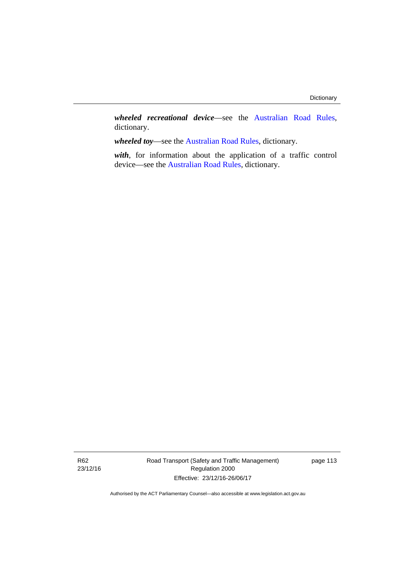*wheeled recreational device*—see the [Australian Road Rules](http://www.legislation.act.gov.au//ni/db_37271/default.asp), dictionary.

*wheeled toy*—see the [Australian Road Rules](http://www.legislation.act.gov.au//ni/db_37271/default.asp), dictionary.

*with*, for information about the application of a traffic control device—see the [Australian Road Rules](http://www.legislation.act.gov.au//ni/db_37271/default.asp), dictionary.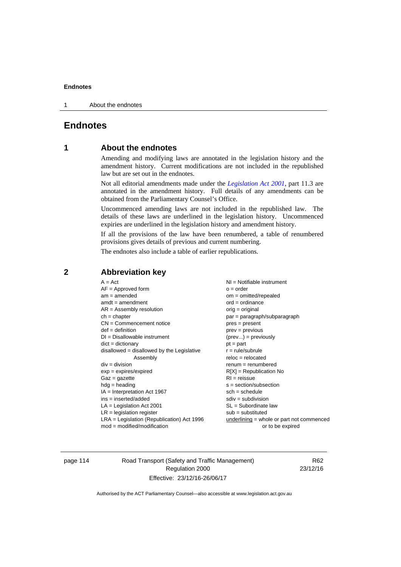1 About the endnotes

# **Endnotes**

# **1 About the endnotes**

Amending and modifying laws are annotated in the legislation history and the amendment history. Current modifications are not included in the republished law but are set out in the endnotes.

Not all editorial amendments made under the *[Legislation Act 2001](http://www.legislation.act.gov.au/a/2001-14)*, part 11.3 are annotated in the amendment history. Full details of any amendments can be obtained from the Parliamentary Counsel's Office.

Uncommenced amending laws are not included in the republished law. The details of these laws are underlined in the legislation history. Uncommenced expiries are underlined in the legislation history and amendment history.

If all the provisions of the law have been renumbered, a table of renumbered provisions gives details of previous and current numbering.

The endnotes also include a table of earlier republications.

| $A = Act$                                    | $NI =$ Notifiable instrument                |
|----------------------------------------------|---------------------------------------------|
| $AF =$ Approved form                         | $o = order$                                 |
| $am = amended$                               | $om = omitted/repealed$                     |
| $amdt = amendment$                           | $ord = ordinance$                           |
| $AR = Assembly resolution$                   | $orig = original$                           |
| $ch = chapter$                               | $par = paragraph/subparagraph$              |
| $CN =$ Commencement notice                   | $pres = present$                            |
| $def = definition$                           | $prev = previous$                           |
| $DI = Disallowable instrument$               | $(\text{prev}) = \text{previously}$         |
| $dict = dictionary$                          | $pt = part$                                 |
| $disallowed = disallowed by the Legislative$ | $r = rule/subrule$                          |
| Assembly                                     | $reloc = relocated$                         |
| $div = division$                             | $remum = renumbered$                        |
| $exp = expires/expired$                      | $R[X]$ = Republication No                   |
| $Gaz = gazette$                              | $RI = reissue$                              |
| $hdg =$ heading                              | $s = section/subsection$                    |
| $IA = Interpretation Act 1967$               | $sch = schedule$                            |
| ins = inserted/added                         | $sdiv = subdivision$                        |
| $LA =$ Legislation Act 2001                  | $SL = Subordinate$ law                      |
| $LR =$ legislation register                  | $sub =$ substituted                         |
| $LRA =$ Legislation (Republication) Act 1996 | $underlining = whole or part not commenced$ |
| $mod = modified/modification$                | or to be expired                            |
|                                              |                                             |

# **2 Abbreviation key**

page 114 Road Transport (Safety and Traffic Management) Regulation 2000 Effective: 23/12/16-26/06/17

R62 23/12/16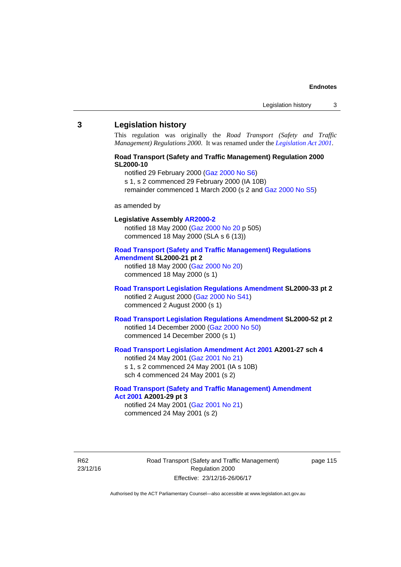## **3 Legislation history**

This regulation was originally the *Road Transport (Safety and Traffic Management) Regulations 2000*. It was renamed under the *[Legislation Act 2001](http://www.legislation.act.gov.au/a/2001-14)*.

## **Road Transport (Safety and Traffic Management) Regulation 2000 SL2000-10**

notified 29 February 2000 [\(Gaz 2000 No S6](http://www.legislation.act.gov.au/gaz/2000-S6/default.asp))

s 1, s 2 commenced 29 February 2000 (IA 10B)

remainder commenced 1 March 2000 (s 2 and [Gaz 2000 No S5\)](http://www.legislation.act.gov.au/gaz/2000-S5/default.asp)

#### as amended by

# **Legislative Assembly [AR2000-2](http://www.legislation.act.gov.au/ar/2000-2/default.asp)**

notified 18 May 2000 ([Gaz 2000 No 20 p](http://www.legislation.act.gov.au/gaz/2000-20/default.asp) 505) commenced 18 May 2000 (SLA s 6 (13))

#### **[Road Transport \(Safety and Traffic Management\) Regulations](http://www.legislation.act.gov.au/sl/2000-21/default.asp)  [Amendment](http://www.legislation.act.gov.au/sl/2000-21/default.asp) SL2000-21 pt 2**

notified 18 May 2000 ([Gaz 2000 No 20\)](http://www.legislation.act.gov.au/gaz/2000-20/default.asp) commenced 18 May 2000 (s 1)

# **[Road Transport Legislation Regulations Amendment](http://www.legislation.act.gov.au/sl/2000-33/default.asp) SL2000-33 pt 2**  notified 2 August 2000 ([Gaz 2000 No S41](http://www.legislation.act.gov.au/gaz/2000-S41/default.asp)) commenced 2 August 2000 (s 1)

# **[Road Transport Legislation Regulations Amendment](http://www.legislation.act.gov.au/sl/2000-52/default.asp) SL2000-52 pt 2**  notified 14 December 2000 [\(Gaz 2000 No 50](http://www.legislation.act.gov.au/gaz/2000-50/default.asp)) commenced 14 December 2000 (s 1)

# **[Road Transport Legislation Amendment Act 2001](http://www.legislation.act.gov.au/a/2001-27) A2001-27 sch 4**

notified 24 May 2001 ([Gaz 2001 No 21\)](http://www.legislation.act.gov.au/gaz/2001-21/default.asp) s 1, s 2 commenced 24 May 2001 (IA s 10B) sch 4 commenced 24 May 2001 (s 2)

## **[Road Transport \(Safety and Traffic Management\) Amendment](http://www.legislation.act.gov.au/a/2001-29)  [Act 2001](http://www.legislation.act.gov.au/a/2001-29) A2001-29 pt 3**  notified 24 May 2001 ([Gaz 2001 No 21\)](http://www.legislation.act.gov.au/gaz/2001-21/default.asp)

commenced 24 May 2001 (s 2)

R62 23/12/16 Road Transport (Safety and Traffic Management) Regulation 2000 Effective: 23/12/16-26/06/17

page 115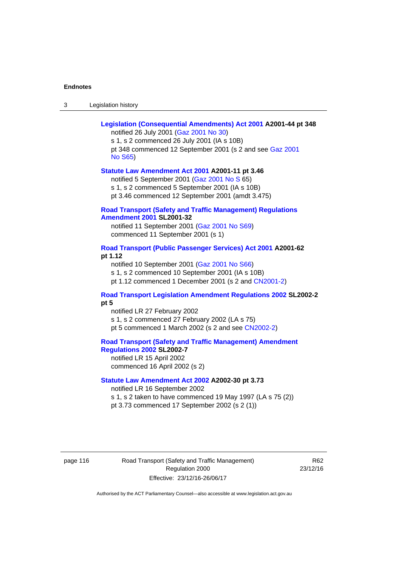| Legislation history<br>-3 |
|---------------------------|
|---------------------------|

| Legislation (Consequential Amendments) Act 2001 A2001-44 pt 348<br>notified 26 July 2001 (Gaz 2001 No 30)<br>s 1, s 2 commenced 26 July 2001 (IA s 10B)                                                                            |
|------------------------------------------------------------------------------------------------------------------------------------------------------------------------------------------------------------------------------------|
| pt 348 commenced 12 September 2001 (s 2 and see Gaz 2001<br><b>No S65)</b>                                                                                                                                                         |
| Statute Law Amendment Act 2001 A2001-11 pt 3.46<br>notified 5 September 2001 (Gaz 2001 No S 65)<br>s 1, s 2 commenced 5 September 2001 (IA s 10B)<br>pt 3.46 commenced 12 September 2001 (amdt 3.475)                              |
| <b>Road Transport (Safety and Traffic Management) Regulations</b><br><b>Amendment 2001 SL2001-32</b>                                                                                                                               |
| notified 11 September 2001 (Gaz 2001 No S69)<br>commenced 11 September 2001 (s 1)                                                                                                                                                  |
| Road Transport (Public Passenger Services) Act 2001 A2001-62<br>pt 1.12<br>notified 10 September 2001 (Gaz 2001 No S66)<br>s 1, s 2 commenced 10 September 2001 (IA s 10B)<br>pt 1.12 commenced 1 December 2001 (s 2 and CN2001-2) |
| Road Transport Legislation Amendment Regulations 2002 SL2002-2<br>pt 5                                                                                                                                                             |
| notified LR 27 February 2002<br>s 1, s 2 commenced 27 February 2002 (LA s 75)<br>pt 5 commenced 1 March 2002 (s 2 and see CN2002-2)                                                                                                |
| <b>Road Transport (Safety and Traffic Management) Amendment</b><br>Regulations 2002 SL2002-7<br>notified LR 15 April 2002<br>commenced 16 April 2002 (s 2)                                                                         |
| Statute Law Amendment Act 2002 A2002-30 pt 3.73<br>notified LR 16 September 2002<br>s 1, s 2 taken to have commenced 19 May 1997 (LA s 75 (2))<br>pt 3.73 commenced 17 September 2002 (s 2 (1))                                    |

page 116 **Road Transport (Safety and Traffic Management)** Regulation 2000 Effective: 23/12/16-26/06/17

R62 23/12/16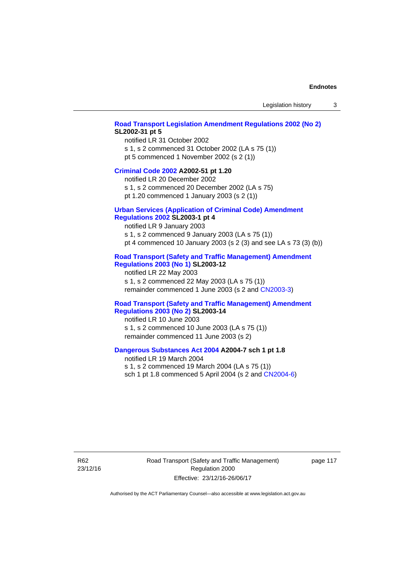## **[Road Transport Legislation Amendment Regulations 2002 \(No 2\)](http://www.legislation.act.gov.au/sl/2002-31) SL2002-31 pt 5**

notified LR 31 October 2002 s 1, s 2 commenced 31 October 2002 (LA s 75 (1)) pt 5 commenced 1 November 2002 (s 2 (1))

### **[Criminal Code 2002](http://www.legislation.act.gov.au/a/2002-51) A2002-51 pt 1.20**

notified LR 20 December 2002 s 1, s 2 commenced 20 December 2002 (LA s 75)

pt 1.20 commenced 1 January 2003 (s 2 (1))

# **[Urban Services \(Application of Criminal Code\) Amendment](http://www.legislation.act.gov.au/sl/2003-1)**

# **[Regulations 2002](http://www.legislation.act.gov.au/sl/2003-1) SL2003-1 pt 4**

notified LR 9 January 2003 s 1, s 2 commenced 9 January 2003 (LA s 75 (1)) pt 4 commenced 10 January 2003 (s 2 (3) and see LA s 73 (3) (b))

# **[Road Transport \(Safety and Traffic Management\) Amendment](http://www.legislation.act.gov.au/sl/2003-12)  [Regulations 2003 \(No 1\)](http://www.legislation.act.gov.au/sl/2003-12) SL2003-12**

notified LR 22 May 2003 s 1, s 2 commenced 22 May 2003 (LA s 75 (1)) remainder commenced 1 June 2003 (s 2 and [CN2003-3](http://www.legislation.act.gov.au/cn/2003-3/default.asp))

# **[Road Transport \(Safety and Traffic Management\) Amendment](http://www.legislation.act.gov.au/sl/2003-14)  [Regulations 2003 \(No 2\)](http://www.legislation.act.gov.au/sl/2003-14) SL2003-14**

notified LR 10 June 2003 s 1, s 2 commenced 10 June 2003 (LA s 75 (1)) remainder commenced 11 June 2003 (s 2)

## **[Dangerous Substances Act 2004](http://www.legislation.act.gov.au/a/2004-7) A2004-7 sch 1 pt 1.8**

notified LR 19 March 2004 s 1, s 2 commenced 19 March 2004 (LA s 75 (1)) sch 1 pt 1.8 commenced 5 April 2004 (s 2 and [CN2004-6](http://www.legislation.act.gov.au/cn/2004-6/default.asp))

R62 23/12/16 Road Transport (Safety and Traffic Management) Regulation 2000 Effective: 23/12/16-26/06/17

page 117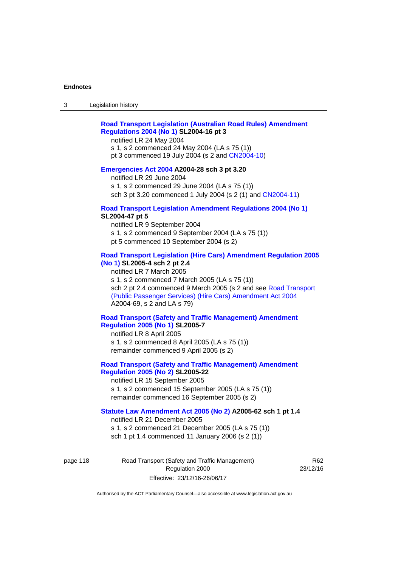# **[Road Transport Legislation \(Australian Road Rules\) Amendment](http://www.legislation.act.gov.au/sl/2004-16)  [Regulations 2004 \(No 1\)](http://www.legislation.act.gov.au/sl/2004-16) SL2004-16 pt 3**

notified LR 24 May 2004

s 1, s 2 commenced 24 May 2004 (LA s 75 (1)) pt 3 commenced 19 July 2004 (s 2 and [CN2004-10](http://www.legislation.act.gov.au/cn/2004-10/default.asp))

# **[Emergencies Act 2004](http://www.legislation.act.gov.au/a/2004-28) A2004-28 sch 3 pt 3.20**

notified LR 29 June 2004 s 1, s 2 commenced 29 June 2004 (LA s 75 (1)) sch 3 pt 3.20 commenced 1 July 2004 (s 2 (1) and [CN2004-11](http://www.legislation.act.gov.au/cn/2004-11/default.asp))

## **[Road Transport Legislation Amendment Regulations 2004 \(No 1\)](http://www.legislation.act.gov.au/sl/2004-47) SL2004-47 pt 5**

notified LR 9 September 2004 s 1, s 2 commenced 9 September 2004 (LA s 75 (1)) pt 5 commenced 10 September 2004 (s 2)

# **[Road Transport Legislation \(Hire Cars\) Amendment Regulation 2005](http://www.legislation.act.gov.au/sl/2005-4)  [\(No 1\)](http://www.legislation.act.gov.au/sl/2005-4) SL2005-4 sch 2 pt 2.4**

notified LR 7 March 2005 s 1, s 2 commenced 7 March 2005 (LA s 75 (1)) sch 2 pt 2.4 commenced 9 March 2005 (s 2 and see [Road Transport](http://www.legislation.act.gov.au/a/2004-69)  [\(Public Passenger Services\) \(Hire Cars\) Amendment Act 2004](http://www.legislation.act.gov.au/a/2004-69) A2004-69, s 2 and LA s 79)

# **[Road Transport \(Safety and Traffic Management\) Amendment](http://www.legislation.act.gov.au/sl/2005-7)  [Regulation 2005 \(No 1\)](http://www.legislation.act.gov.au/sl/2005-7) SL2005-7**

notified LR 8 April 2005 s 1, s 2 commenced 8 April 2005 (LA s 75 (1)) remainder commenced 9 April 2005 (s 2)

# **[Road Transport \(Safety and Traffic Management\) Amendment](http://www.legislation.act.gov.au/sl/2005-22)  [Regulation 2005 \(No 2\)](http://www.legislation.act.gov.au/sl/2005-22) SL2005-22**

notified LR 15 September 2005 s 1, s 2 commenced 15 September 2005 (LA s 75 (1)) remainder commenced 16 September 2005 (s 2)

# **[Statute Law Amendment Act 2005 \(No 2\)](http://www.legislation.act.gov.au/a/2005-62) A2005-62 sch 1 pt 1.4**

notified LR 21 December 2005 s 1, s 2 commenced 21 December 2005 (LA s 75 (1)) sch 1 pt 1.4 commenced 11 January 2006 (s 2 (1))

page 118 Road Transport (Safety and Traffic Management) Regulation 2000 Effective: 23/12/16-26/06/17

R62 23/12/16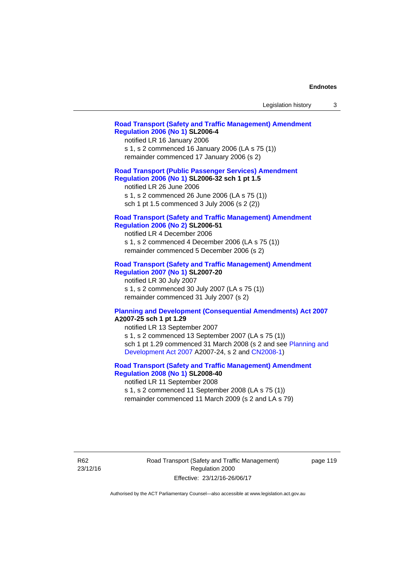| Legislation history |  |
|---------------------|--|
|---------------------|--|

# **[Road Transport \(Safety and Traffic Management\) Amendment](http://www.legislation.act.gov.au/sl/2006-4)  [Regulation 2006 \(No 1\)](http://www.legislation.act.gov.au/sl/2006-4) SL2006-4**

notified LR 16 January 2006 s 1, s 2 commenced 16 January 2006 (LA s 75 (1)) remainder commenced 17 January 2006 (s 2)

# **[Road Transport \(Public Passenger Services\) Amendment](http://www.legislation.act.gov.au/sl/2006-32)  [Regulation 2006 \(No 1\)](http://www.legislation.act.gov.au/sl/2006-32) SL2006-32 sch 1 pt 1.5**

notified LR 26 June 2006 s 1, s 2 commenced 26 June 2006 (LA s 75 (1)) sch 1 pt 1.5 commenced 3 July 2006 (s 2 (2))

## **[Road Transport \(Safety and Traffic Management\) Amendment](http://www.legislation.act.gov.au/sl/2006-51)  [Regulation 2006 \(No 2\)](http://www.legislation.act.gov.au/sl/2006-51) SL2006-51**

notified LR 4 December 2006 s 1, s 2 commenced 4 December 2006 (LA s 75 (1)) remainder commenced 5 December 2006 (s 2)

# **[Road Transport \(Safety and Traffic Management\) Amendment](http://www.legislation.act.gov.au/sl/2007-20)**

**[Regulation 2007 \(No 1\)](http://www.legislation.act.gov.au/sl/2007-20) SL2007-20**  notified LR 30 July 2007 s 1, s 2 commenced 30 July 2007 (LA s 75 (1)) remainder commenced 31 July 2007 (s 2)

### **[Planning and Development \(Consequential Amendments\) Act 2007](http://www.legislation.act.gov.au/a/2007-25) A2007-25 sch 1 pt 1.29**

notified LR 13 September 2007 s 1, s 2 commenced 13 September 2007 (LA s 75 (1)) sch 1 pt 1.29 commenced 31 March 2008 (s 2 and see [Planning and](http://www.legislation.act.gov.au/a/2007-24)  [Development Act 2007](http://www.legislation.act.gov.au/a/2007-24) A2007-24, s 2 and [CN2008-1](http://www.legislation.act.gov.au/cn/2008-1/default.asp))

# **[Road Transport \(Safety and Traffic Management\) Amendment](http://www.legislation.act.gov.au/sl/2008-40)  [Regulation 2008 \(No 1\)](http://www.legislation.act.gov.au/sl/2008-40) SL2008-40**

notified LR 11 September 2008 s 1, s 2 commenced 11 September 2008 (LA s 75 (1)) remainder commenced 11 March 2009 (s 2 and LA s 79)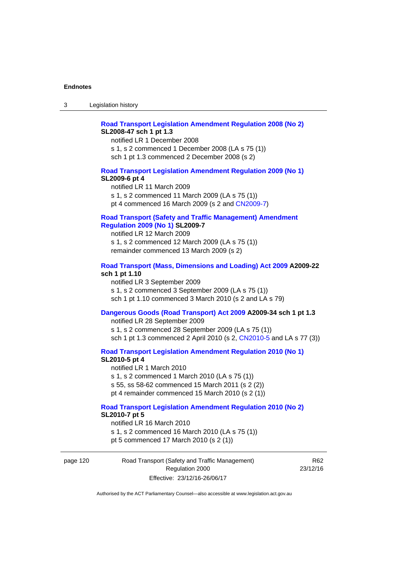# **[Road Transport Legislation Amendment Regulation 2008 \(No 2\)](http://www.legislation.act.gov.au/sl/2008-47) SL2008-47 sch 1 pt 1.3**

notified LR 1 December 2008 s 1, s 2 commenced 1 December 2008 (LA s 75 (1)) sch 1 pt 1.3 commenced 2 December 2008 (s 2)

## **[Road Transport Legislation Amendment Regulation 2009 \(No 1\)](http://www.legislation.act.gov.au/sl/2009-6) SL2009-6 pt 4**

notified LR 11 March 2009 s 1, s 2 commenced 11 March 2009 (LA s 75 (1)) pt 4 commenced 16 March 2009 (s 2 and [CN2009-7\)](http://www.legislation.act.gov.au/cn/2009-7/default.asp)

# **[Road Transport \(Safety and Traffic Management\) Amendment](http://www.legislation.act.gov.au/sl/2009-7)  [Regulation 2009 \(No 1\)](http://www.legislation.act.gov.au/sl/2009-7) SL2009-7**

notified LR 12 March 2009 s 1, s 2 commenced 12 March 2009 (LA s 75 (1)) remainder commenced 13 March 2009 (s 2)

#### **[Road Transport \(Mass, Dimensions and Loading\) Act 2009](http://www.legislation.act.gov.au/a/2009-22/default.asp) A2009-22 sch 1 pt 1.10**

notified LR 3 September 2009 s 1, s 2 commenced 3 September 2009 (LA s 75 (1)) sch 1 pt 1.10 commenced 3 March 2010 (s 2 and LA s 79)

# **[Dangerous Goods \(Road Transport\) Act 2009](http://www.legislation.act.gov.au/a/2009-34) A2009-34 sch 1 pt 1.3**

notified LR 28 September 2009 s 1, s 2 commenced 28 September 2009 (LA s 75 (1)) sch 1 pt 1.3 commenced 2 April 2010 (s 2, [CN2010-5 a](http://www.legislation.act.gov.au/cn/2010-5/default.asp)nd LA s 77 (3))

**[Road Transport Legislation Amendment Regulation 2010 \(No 1\)](http://www.legislation.act.gov.au/sl/2010-5)**

#### **SL2010-5 pt 4**

notified LR 1 March 2010 s 1, s 2 commenced 1 March 2010 (LA s 75 (1)) s 55, ss 58-62 commenced 15 March 2011 (s 2 (2)) pt 4 remainder commenced 15 March 2010 (s 2 (1))

#### **[Road Transport Legislation Amendment Regulation 2010 \(No 2\)](http://www.legislation.act.gov.au/sl/2010-7) SL2010-7 pt 5**  notified LR 16 March 2010

s 1, s 2 commenced 16 March 2010 (LA s 75 (1)) pt 5 commenced 17 March 2010 (s 2 (1))

page 120 Road Transport (Safety and Traffic Management) Regulation 2000 Effective: 23/12/16-26/06/17

R62 23/12/16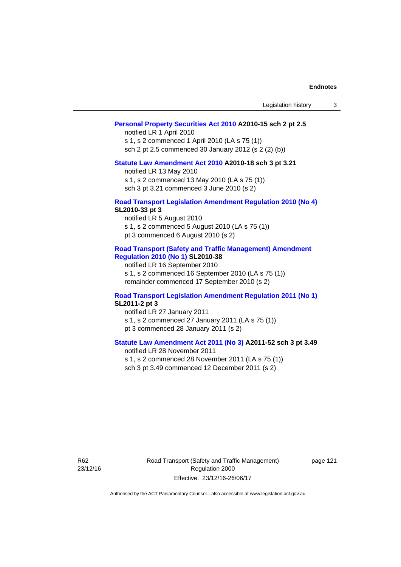| Legislation history |  |
|---------------------|--|
|---------------------|--|

# **[Personal Property Securities Act 2010](http://www.legislation.act.gov.au/a/2010-15) A2010-15 sch 2 pt 2.5**

notified LR 1 April 2010 s 1, s 2 commenced 1 April 2010 (LA s 75 (1)) sch 2 pt 2.5 commenced 30 January 2012 (s 2 (2) (b))

# **[Statute Law Amendment Act 2010](http://www.legislation.act.gov.au/a/2010-18) A2010-18 sch 3 pt 3.21**

notified LR 13 May 2010 s 1, s 2 commenced 13 May 2010 (LA s 75 (1)) sch 3 pt 3.21 commenced 3 June 2010 (s 2)

#### **[Road Transport Legislation Amendment Regulation 2010 \(No 4\)](http://www.legislation.act.gov.au/sl/2010-33) SL2010-33 pt 3**

notified LR 5 August 2010 s 1, s 2 commenced 5 August 2010 (LA s 75 (1)) pt 3 commenced 6 August 2010 (s 2)

## **[Road Transport \(Safety and Traffic Management\) Amendment](http://www.legislation.act.gov.au/sl/2010-38)  [Regulation 2010 \(No 1\)](http://www.legislation.act.gov.au/sl/2010-38) SL2010-38**

notified LR 16 September 2010 s 1, s 2 commenced 16 September 2010 (LA s 75 (1)) remainder commenced 17 September 2010 (s 2)

## **[Road Transport Legislation Amendment Regulation 2011 \(No 1\)](http://www.legislation.act.gov.au/sl/2011-2) SL2011-2 pt 3**

notified LR 27 January 2011 s 1, s 2 commenced 27 January 2011 (LA s 75 (1)) pt 3 commenced 28 January 2011 (s 2)

# **[Statute Law Amendment Act 2011 \(No 3\)](http://www.legislation.act.gov.au/a/2011-52) A2011-52 sch 3 pt 3.49**

notified LR 28 November 2011 s 1, s 2 commenced 28 November 2011 (LA s 75 (1)) sch 3 pt 3.49 commenced 12 December 2011 (s 2)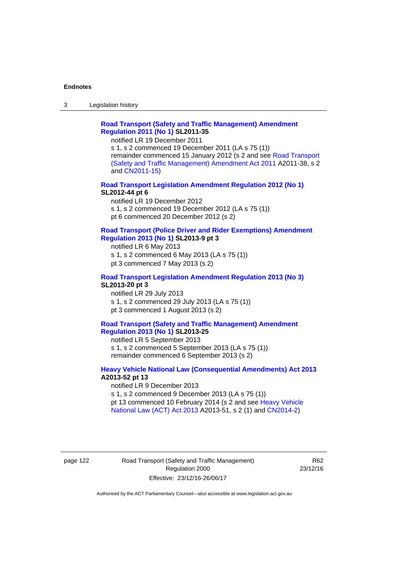3 Legislation history

# **[Road Transport \(Safety and Traffic Management\) Amendment](http://www.legislation.act.gov.au/sl/2011-35)  [Regulation 2011 \(No 1\)](http://www.legislation.act.gov.au/sl/2011-35) SL2011-35**

notified LR 19 December 2011

s 1, s 2 commenced 19 December 2011 (LA s 75 (1)) remainder commenced 15 January 2012 (s 2 and see [Road Transport](http://www.legislation.act.gov.au/a/2011-38)  [\(Safety and Traffic Management\) Amendment Act 2011](http://www.legislation.act.gov.au/a/2011-38) A2011-38, s 2 and [CN2011-15\)](http://www.legislation.act.gov.au/cn/2011-15/default.asp)

# **[Road Transport Legislation Amendment Regulation 2012 \(No 1\)](http://www.legislation.act.gov.au/sl/2012-44/default.asp) SL2012-44 pt 6**

notified LR 19 December 2012 s 1, s 2 commenced 19 December 2012 (LA s 75 (1)) pt 6 commenced 20 December 2012 (s 2)

#### **[Road Transport \(Police Driver and Rider Exemptions\) Amendment](http://www.legislation.act.gov.au/sl/2013-9/default.asp)  [Regulation 2013 \(No 1\)](http://www.legislation.act.gov.au/sl/2013-9/default.asp) SL2013-9 pt 3**

notified LR 6 May 2013 s 1, s 2 commenced 6 May 2013 (LA s 75 (1)) pt 3 commenced 7 May 2013 (s 2)

## **[Road Transport Legislation Amendment Regulation 2013 \(No 3\)](http://www.legislation.act.gov.au/sl/2013-20) SL2013-20 pt 3**  notified LR 29 July 2013

s 1, s 2 commenced 29 July 2013 (LA s 75 (1)) pt 3 commenced 1 August 2013 (s 2)

# **[Road Transport \(Safety and Traffic Management\) Amendment](http://www.legislation.act.gov.au/sl/2013-25)  [Regulation 2013 \(No 1\)](http://www.legislation.act.gov.au/sl/2013-25) SL2013-25**

notified LR 5 September 2013 s 1, s 2 commenced 5 September 2013 (LA s 75 (1)) remainder commenced 6 September 2013 (s 2)

## **[Heavy Vehicle National Law \(Consequential Amendments\) Act 2013](http://www.legislation.act.gov.au/a/2013-52) A2013-52 pt 13**  notified LR 9 December 2013

s 1, s 2 commenced 9 December 2013 (LA s 75 (1)) pt 13 commenced 10 February 2014 (s 2 and see [Heavy Vehicle](http://www.legislation.act.gov.au/a/2013-51/default.asp)  [National Law \(ACT\) Act 2013](http://www.legislation.act.gov.au/a/2013-51/default.asp) A2013-51, s 2 (1) and [CN2014-2](http://www.legislation.act.gov.au/cn/2014-2/default.asp))

page 122 Road Transport (Safety and Traffic Management) Regulation 2000 Effective: 23/12/16-26/06/17

R62 23/12/16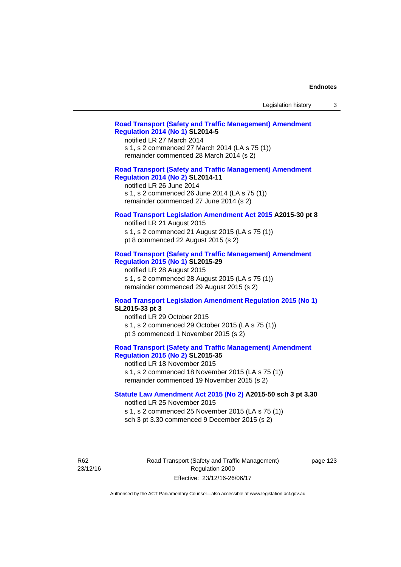| Legislation history |  |  |
|---------------------|--|--|
|---------------------|--|--|

# **[Road Transport \(Safety and Traffic Management\) Amendment](http://www.legislation.act.gov.au/sl/2014-5)  [Regulation 2014 \(No 1\)](http://www.legislation.act.gov.au/sl/2014-5) SL2014-5**

notified LR 27 March 2014 s 1, s 2 commenced 27 March 2014 (LA s 75 (1)) remainder commenced 28 March 2014 (s 2)

# **[Road Transport \(Safety and Traffic Management\) Amendment](http://www.legislation.act.gov.au/sl/2014-11)**

**[Regulation 2014 \(No 2\)](http://www.legislation.act.gov.au/sl/2014-11) SL2014-11**  notified LR 26 June 2014

s 1, s 2 commenced 26 June 2014 (LA s 75 (1)) remainder commenced 27 June 2014 (s 2)

### **[Road Transport Legislation Amendment Act 2015](http://www.legislation.act.gov.au/a/2015-30/default.asp) A2015-30 pt 8**

notified LR 21 August 2015 s 1, s 2 commenced 21 August 2015 (LA s 75 (1)) pt 8 commenced 22 August 2015 (s 2)

# **[Road Transport \(Safety and Traffic Management\) Amendment](http://www.legislation.act.gov.au/sl/2015-29)  [Regulation 2015 \(No 1\)](http://www.legislation.act.gov.au/sl/2015-29) SL2015-29**

notified LR 28 August 2015 s 1, s 2 commenced 28 August 2015 (LA s 75 (1)) remainder commenced 29 August 2015 (s 2)

## **[Road Transport Legislation Amendment Regulation 2015 \(No 1\)](http://www.legislation.act.gov.au/sl/2015-33) SL2015-33 pt 3**

notified LR 29 October 2015 s 1, s 2 commenced 29 October 2015 (LA s 75 (1)) pt 3 commenced 1 November 2015 (s 2)

# **[Road Transport \(Safety and Traffic Management\) Amendment](http://www.legislation.act.gov.au/sl/2015-35)  [Regulation 2015 \(No 2\)](http://www.legislation.act.gov.au/sl/2015-35) SL2015-35**

notified LR 18 November 2015 s 1, s 2 commenced 18 November 2015 (LA s 75 (1)) remainder commenced 19 November 2015 (s 2)

## **[Statute Law Amendment Act 2015 \(No 2\)](http://www.legislation.act.gov.au/a/2015-50) A2015-50 sch 3 pt 3.30**

notified LR 25 November 2015

s 1, s 2 commenced 25 November 2015 (LA s 75 (1)) sch 3 pt 3.30 commenced 9 December 2015 (s 2)

R62 23/12/16 Road Transport (Safety and Traffic Management) Regulation 2000 Effective: 23/12/16-26/06/17

page 123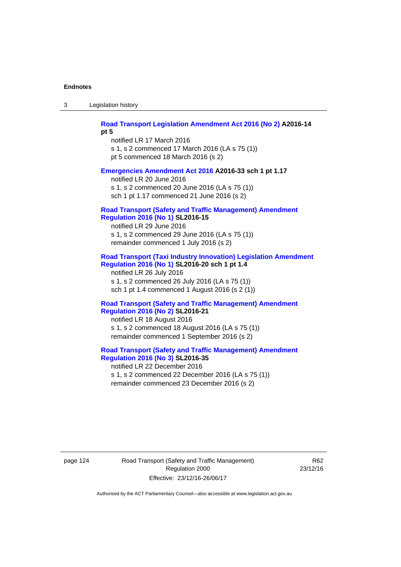3 Legislation history

# **[Road Transport Legislation Amendment Act 2016 \(No 2\)](http://www.legislation.act.gov.au/a/2016-14) A2016-14**

**pt 5** 

notified LR 17 March 2016 s 1, s 2 commenced 17 March 2016 (LA s 75 (1)) pt 5 commenced 18 March 2016 (s 2)

## **[Emergencies Amendment Act 2016](http://www.legislation.act.gov.au/a/2016-33) A2016-33 sch 1 pt 1.17**

notified LR 20 June 2016 s 1, s 2 commenced 20 June 2016 (LA s 75 (1)) sch 1 pt 1.17 commenced 21 June 2016 (s 2)

#### **[Road Transport \(Safety and Traffic Management\) Amendment](http://www.legislation.act.gov.au/sl/2016-15)  [Regulation 2016 \(No 1\)](http://www.legislation.act.gov.au/sl/2016-15) SL2016-15**

notified LR 29 June 2016 s 1, s 2 commenced 29 June 2016 (LA s 75 (1)) remainder commenced 1 July 2016 (s 2)

# **[Road Transport \(Taxi Industry Innovation\) Legislation Amendment](http://www.legislation.act.gov.au/sl/2016-20/default.asp)  [Regulation 2016 \(No 1\)](http://www.legislation.act.gov.au/sl/2016-20/default.asp) SL2016-20 sch 1 pt 1.4**

notified LR 26 July 2016 s 1, s 2 commenced 26 July 2016 (LA s 75 (1)) sch 1 pt 1.4 commenced 1 August 2016 (s 2 (1))

## **[Road Transport \(Safety and Traffic Management\) Amendment](http://www.legislation.act.gov.au/sl/2016-21/default.asp)  [Regulation 2016 \(No 2\)](http://www.legislation.act.gov.au/sl/2016-21/default.asp) SL2016-21**

notified LR 18 August 2016 s 1, s 2 commenced 18 August 2016 (LA s 75 (1)) remainder commenced 1 September 2016 (s 2)

# **[Road Transport \(Safety and Traffic Management\) Amendment](http://www.legislation.act.gov.au/sl/2016-35/default.asp)  [Regulation 2016 \(No 3\)](http://www.legislation.act.gov.au/sl/2016-35/default.asp) SL2016-35**

notified LR 22 December 2016 s 1, s 2 commenced 22 December 2016 (LA s 75 (1)) remainder commenced 23 December 2016 (s 2)

page 124 Road Transport (Safety and Traffic Management) Regulation 2000 Effective: 23/12/16-26/06/17

R62 23/12/16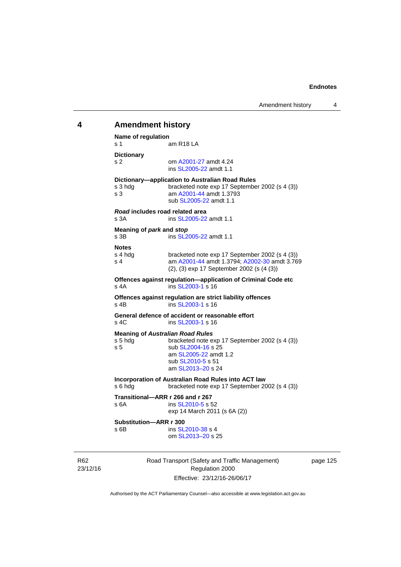# 23/12/16 Road Transport (Safety and Traffic Management) Regulation 2000 **4 Amendment history Name of regulation**  s 1 am R18 LA **Dictionary**  s 2 om [A2001-27](http://www.legislation.act.gov.au/a/2001-27) amdt 4.24 ins [SL2005-22](http://www.legislation.act.gov.au/sl/2005-22) amdt 1.1 **Dictionary—application to Australian Road Rules**  s 3 hdg bracketed note exp 17 September 2002 (s 4 (3)) s 3 am [A2001-44](http://www.legislation.act.gov.au/a/2001-44) amdt 1.3793 sub [SL2005-22](http://www.legislation.act.gov.au/sl/2005-22) amdt 1.1 *Road* **includes road related area**  s 3A **ins SL2005-22** amdt 1.1 **Meaning of** *park* **and** *stop* s 3B ins [SL2005-22](http://www.legislation.act.gov.au/sl/2005-22) amdt 1.1 **Notes**  s 4 hdg bracketed note exp 17 September 2002 (s 4 (3))<br>s 4 am A2001-44 amdt 1.3794: A2002-30 amdt 3.76 am [A2001-44](http://www.legislation.act.gov.au/a/2001-44) amdt 1.3794; [A2002-30](http://www.legislation.act.gov.au/a/2002-30) amdt 3.769 (2), (3) exp 17 September 2002 (s (4 (3)) **Offences against regulation—application of Criminal Code etc**  s 4A ins [SL2003-1](http://www.legislation.act.gov.au/sl/2003-1) s 16 **Offences against regulation are strict liability offences**  s 4B ins [SL2003-1](http://www.legislation.act.gov.au/sl/2003-1) s 16 **General defence of accident or reasonable effort**  s 4C ins [SL2003-1](http://www.legislation.act.gov.au/sl/2003-1) s 16 **Meaning of** *Australian Road Rules* s 5 hdg bracketed note exp 17 September 2002 (s 4 (3)) s 5 sub [SL2004-16](http://www.legislation.act.gov.au/sl/2004-16) s 25 am [SL2005-22](http://www.legislation.act.gov.au/sl/2005-22) amdt 1.2 sub [SL2010-5](http://www.legislation.act.gov.au/sl/2010-5) s 51 am [SL2013–20](http://www.legislation.act.gov.au/sl/2013-20) s 24 **Incorporation of Australian Road Rules into ACT law**  s 6 hdg bracketed note exp 17 September 2002 (s 4 (3)) **Transitional—ARR r 266 and r 267**  s 6A ins [SL2010-5](http://www.legislation.act.gov.au/sl/2010-5) s 52 exp 14 March 2011 (s 6A (2)) **Substitution—ARR r 300**  s 6B ins [SL2010-38](http://www.legislation.act.gov.au/sl/2010-38) s 4 om [SL2013–20](http://www.legislation.act.gov.au/sl/2013-20) s 25

page 125

Authorised by the ACT Parliamentary Counsel—also accessible at www.legislation.act.gov.au

Effective: 23/12/16-26/06/17

R62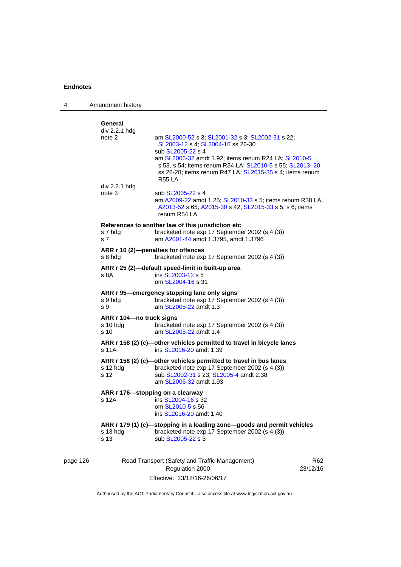| 4                                | Amendment history                                                                                                                                                                                                                                                                                                                                                         |                                                                                                                                                                                                                                                                                                             |                 |
|----------------------------------|---------------------------------------------------------------------------------------------------------------------------------------------------------------------------------------------------------------------------------------------------------------------------------------------------------------------------------------------------------------------------|-------------------------------------------------------------------------------------------------------------------------------------------------------------------------------------------------------------------------------------------------------------------------------------------------------------|-----------------|
|                                  | General<br>div 2.2.1 hdg<br>note 2<br>div 2.2.1 hdg                                                                                                                                                                                                                                                                                                                       | am SL2000-52 s 3; SL2001-32 s 3; SL2002-31 s 22;<br>SL2003-12 s 4; SL2004-16 ss 26-30<br>sub SL2005-22 s 4<br>am SL2006-32 amdt 1.92; items renum R24 LA; SL2010-5<br>s 53, s 54; items renum R34 LA; SL2010-5 s 55; SL2013-20<br>ss 26-28; items renum R47 LA; SL2015-35 s 4; items renum<br><b>R55 LA</b> |                 |
|                                  | note 3                                                                                                                                                                                                                                                                                                                                                                    | sub SL2005-22 s 4<br>am A2009-22 amdt 1.25; SL2010-33 s 5; items renum R38 LA;<br>A2013-52 s 65; A2015-30 s 42; SL2015-33 s 5, s 6; items<br>renum R54 LA                                                                                                                                                   |                 |
|                                  | References to another law of this jurisdiction etc<br>s 7 hdg<br>bracketed note exp 17 September 2002 (s 4 (3))<br>am A2001-44 amdt 1.3795, amdt 1.3796<br>s 7<br>ARR r 10 (2)-penalties for offences<br>s 8 hdg<br>bracketed note exp 17 September 2002 (s 4 (3))<br>ARR r 25 (2)-default speed-limit in built-up area<br>s 8A<br>ins SL2003-12 s 5<br>om SL2004-16 s 31 |                                                                                                                                                                                                                                                                                                             |                 |
|                                  |                                                                                                                                                                                                                                                                                                                                                                           |                                                                                                                                                                                                                                                                                                             |                 |
|                                  |                                                                                                                                                                                                                                                                                                                                                                           |                                                                                                                                                                                                                                                                                                             |                 |
|                                  | s 9 hdg<br>s 9                                                                                                                                                                                                                                                                                                                                                            | ARR r 95-emergency stopping lane only signs<br>bracketed note exp 17 September 2002 (s 4 (3))<br>am SL2005-22 amdt 1.3                                                                                                                                                                                      |                 |
|                                  | ARR r 104-no truck signs<br>s 10 hda<br>s 10                                                                                                                                                                                                                                                                                                                              | bracketed note exp 17 September 2002 (s 4 (3))<br>am SL2005-22 amdt 1.4                                                                                                                                                                                                                                     |                 |
| s 11A<br>ins SL2016-20 amdt 1.39 |                                                                                                                                                                                                                                                                                                                                                                           | ARR r 158 (2) (c)-other vehicles permitted to travel in bicycle lanes                                                                                                                                                                                                                                       |                 |
|                                  | $s$ 12 hdg<br>s 12                                                                                                                                                                                                                                                                                                                                                        | ARR r 158 (2) (c)-other vehicles permitted to travel in bus lanes<br>bracketed note exp 17 September 2002 (s 4 (3))<br>sub SL2002-31 s 23; SL2005-4 amdt 2.38<br>am SL2006-32 amdt 1.93                                                                                                                     |                 |
|                                  | ARR r 176—stopping on a clearway<br>s 12A                                                                                                                                                                                                                                                                                                                                 | ins SL2004-16 s 32<br>om SL2010-5 s 56<br>ins SL2016-20 amdt 1.40                                                                                                                                                                                                                                           |                 |
|                                  | s 13 hdg<br>s 13                                                                                                                                                                                                                                                                                                                                                          | ARR r 179 (1) (c)-stopping in a loading zone-goods and permit vehicles<br>bracketed note exp 17 September 2002 (s 4 (3))<br>sub SL2005-22 s 5                                                                                                                                                               |                 |
| page 126                         |                                                                                                                                                                                                                                                                                                                                                                           | Road Transport (Safety and Traffic Management)<br>Regulation 2000                                                                                                                                                                                                                                           | R62<br>23/12/16 |

Effective: 23/12/16-26/06/17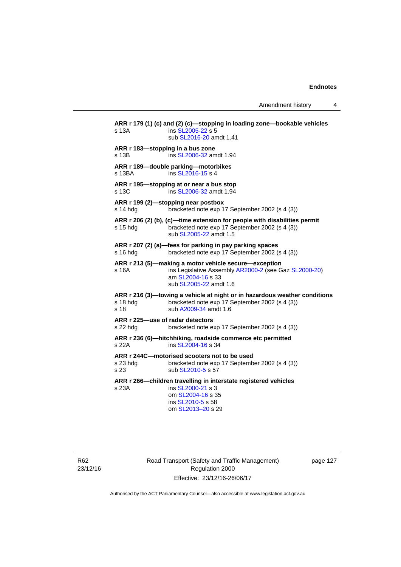Amendment history 4

**ARR r 179 (1) (c) and (2) (c)—stopping in loading zone—bookable vehicles**  s 13A **ins [SL2005-22](http://www.legislation.act.gov.au/sl/2005-22) s 5**  sub [SL2016-20](http://www.legislation.act.gov.au/sl/2016-20) amdt 1.41 **ARR r 183—stopping in a bus zone**  s 13B ins [SL2006-32](http://www.legislation.act.gov.au/sl/2006-32) amdt 1.94 **ARR r 189—double parking—motorbikes**  s 13BA ins [SL2016-15](http://www.legislation.act.gov.au/sl/2016-15) s 4 **ARR r 195—stopping at or near a bus stop**  s 13C ins [SL2006-32](http://www.legislation.act.gov.au/sl/2006-32) amdt 1.94 **ARR r 199 (2)—stopping near postbox**  s 14 hdg bracketed note exp 17 September 2002 (s 4 (3)) **ARR r 206 (2) (b), (c)—time extension for people with disabilities permit**  s 15 hdg bracketed note exp 17 September 2002 (s 4 (3)) sub [SL2005-22](http://www.legislation.act.gov.au/sl/2005-22) amdt 1.5 **ARR r 207 (2) (a)—fees for parking in pay parking spaces**  s 16 hdg bracketed note exp 17 September 2002 (s 4 (3)) **ARR r 213 (5)—making a motor vehicle secure—exception**  s 16A ins Legislative Assembly [AR2000-2](http://www.legislation.act.gov.au/ar/2000-2/default.asp) (see Gaz [SL2000-20\)](http://www.legislation.act.gov.au/sl/2000-20) am [SL2004-16](http://www.legislation.act.gov.au/sl/2004-16) s 33 sub [SL2005-22](http://www.legislation.act.gov.au/sl/2005-22) amdt 1.6 **ARR r 216 (3)—towing a vehicle at night or in hazardous weather conditions**  s 18 hdg bracketed note exp 17 September 2002 (s 4 (3)) s 18 sub [A2009-34](http://www.legislation.act.gov.au/a/2009-34) amdt 1.6 **ARR r 225—use of radar detectors**  s 22 hdg bracketed note exp 17 September 2002 (s 4 (3)) **ARR r 236 (6)—hitchhiking, roadside commerce etc permitted**  s 22A ins [SL2004-16](http://www.legislation.act.gov.au/sl/2004-16) s 34 **ARR r 244C—motorised scooters not to be used**  s 23 hdg bracketed note exp 17 September 2002 (s 4 (3)) s 23 sub [SL2010-5](http://www.legislation.act.gov.au/sl/2010-5) s 57 **ARR r 266—children travelling in interstate registered vehicles**  s 23A ins [SL2000-21](http://www.legislation.act.gov.au/sl/2000-21) s 3 om [SL2004-16](http://www.legislation.act.gov.au/sl/2004-16) s 35 ins [SL2010-5](http://www.legislation.act.gov.au/sl/2010-5) s 58 om [SL2013–20](http://www.legislation.act.gov.au/sl/2013-20) s 29

R62 23/12/16 Road Transport (Safety and Traffic Management) Regulation 2000 Effective: 23/12/16-26/06/17

page 127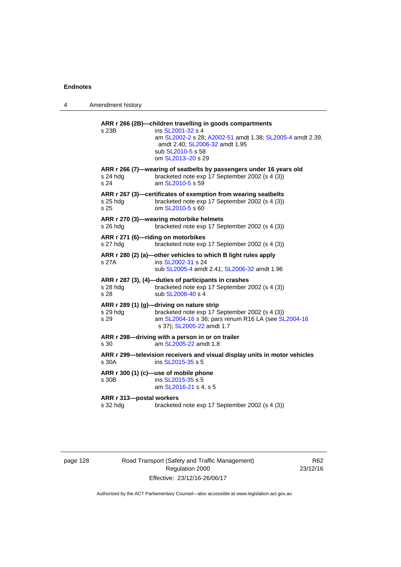| 4 | Amendment history                    |                                                                                                                                                                                                                        |
|---|--------------------------------------|------------------------------------------------------------------------------------------------------------------------------------------------------------------------------------------------------------------------|
|   | s 23B                                | ARR r 266 (2B)-children travelling in goods compartments<br>ins SL2001-32 s 4<br>am SL2002-2 s 28; A2002-51 amdt 1.38; SL2005-4 amdt 2.39,<br>amdt 2.40; SL2006-32 amdt 1.95<br>sub SL2010-5 s 58<br>om SL2013-20 s 29 |
|   | $s$ 24 hdg<br>s 24                   | ARR r 266 (7)-wearing of seatbelts by passengers under 16 years old<br>bracketed note exp 17 September 2002 (s 4 (3))<br>am SL2010-5 s 59                                                                              |
|   | s 25 hdg<br>s 25                     | ARR r 267 (3)-certificates of exemption from wearing seatbelts<br>bracketed note exp 17 September 2002 (s 4 (3))<br>om SL2010-5 s 60                                                                                   |
|   | s 26 hdg                             | ARR r 270 (3)-wearing motorbike helmets<br>bracketed note exp 17 September 2002 (s 4 (3))                                                                                                                              |
|   | s 27 hdg                             | ARR r 271 (6)-riding on motorbikes<br>bracketed note exp 17 September 2002 (s 4 (3))                                                                                                                                   |
|   | s 27A                                | ARR r 280 (2) (a)-other vehicles to which B light rules apply<br>ins SL2002-31 s 24<br>sub SL2005-4 amdt 2.41; SL2006-32 amdt 1.96                                                                                     |
|   | s 28 hdg<br>s 28                     | ARR r 287 (3), (4)-duties of participants in crashes<br>bracketed note exp 17 September 2002 (s 4 (3))<br>sub SL2008-40 s 4                                                                                            |
|   | s 29 hdg<br>s 29                     | ARR r 289 (1) (g)-driving on nature strip<br>bracketed note exp 17 September 2002 (s 4 (3))<br>am SL2004-16 s 36; pars renum R16 LA (see SL2004-16<br>s 37); SL2005-22 amdt 1.7                                        |
|   | s 30                                 | ARR r 298-driving with a person in or on trailer<br>am SL2005-22 amdt 1.8                                                                                                                                              |
|   | s 30A                                | ARR r 299—television receivers and visual display units in motor vehicles<br>ins SL2015-35 s 5                                                                                                                         |
|   | s 30B                                | ARR r 300 (1) (c)-use of mobile phone<br>ins SL2015-35 s 5<br>am SL2016-21 s 4, s 5                                                                                                                                    |
|   | ARR r 313-postal workers<br>s 32 hdg | bracketed note exp 17 September 2002 (s 4 (3))                                                                                                                                                                         |
|   |                                      |                                                                                                                                                                                                                        |

page 128 Road Transport (Safety and Traffic Management) Regulation 2000 Effective: 23/12/16-26/06/17

R62 23/12/16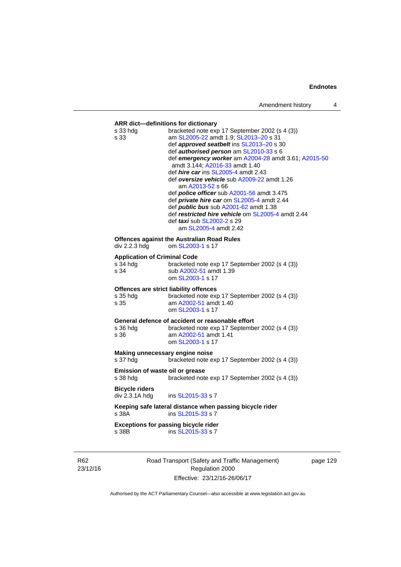| s 33                                | bracketed note exp 17 September 2002 (s 4 (3))<br>am SL2005-22 amdt 1.9; SL2013-20 s 31<br>def approved seatbelt ins SL2013-20 s 30<br>def authorised person am SL2010-33 s 6<br>def emergency worker am A2004-28 amdt 3.61; A2015-50<br>amdt 3.144; A2016-33 amdt 1.40<br>def <i>hire car</i> ins SL2005-4 amdt 2.43<br>def oversize vehicle sub A2009-22 amdt 1.26<br>am A2013-52 s 66<br>def <i>police officer</i> sub A2001-56 amdt 3.475<br>def private hire car om SL2005-4 amdt 2.44<br>def <i>public bus</i> sub A2001-62 amdt 1.38<br>def restricted hire vehicle om SL2005-4 amdt 2.44<br>def taxi sub SL2002-2 s 29<br>am SL2005-4 amdt 2.42<br><b>Offences against the Australian Road Rules</b><br>om SL2003-1 s 17 |
|-------------------------------------|----------------------------------------------------------------------------------------------------------------------------------------------------------------------------------------------------------------------------------------------------------------------------------------------------------------------------------------------------------------------------------------------------------------------------------------------------------------------------------------------------------------------------------------------------------------------------------------------------------------------------------------------------------------------------------------------------------------------------------|
|                                     |                                                                                                                                                                                                                                                                                                                                                                                                                                                                                                                                                                                                                                                                                                                                  |
|                                     |                                                                                                                                                                                                                                                                                                                                                                                                                                                                                                                                                                                                                                                                                                                                  |
|                                     |                                                                                                                                                                                                                                                                                                                                                                                                                                                                                                                                                                                                                                                                                                                                  |
|                                     |                                                                                                                                                                                                                                                                                                                                                                                                                                                                                                                                                                                                                                                                                                                                  |
|                                     |                                                                                                                                                                                                                                                                                                                                                                                                                                                                                                                                                                                                                                                                                                                                  |
|                                     |                                                                                                                                                                                                                                                                                                                                                                                                                                                                                                                                                                                                                                                                                                                                  |
|                                     |                                                                                                                                                                                                                                                                                                                                                                                                                                                                                                                                                                                                                                                                                                                                  |
|                                     |                                                                                                                                                                                                                                                                                                                                                                                                                                                                                                                                                                                                                                                                                                                                  |
|                                     |                                                                                                                                                                                                                                                                                                                                                                                                                                                                                                                                                                                                                                                                                                                                  |
|                                     |                                                                                                                                                                                                                                                                                                                                                                                                                                                                                                                                                                                                                                                                                                                                  |
|                                     |                                                                                                                                                                                                                                                                                                                                                                                                                                                                                                                                                                                                                                                                                                                                  |
|                                     |                                                                                                                                                                                                                                                                                                                                                                                                                                                                                                                                                                                                                                                                                                                                  |
| div 2.2.3 hdg                       |                                                                                                                                                                                                                                                                                                                                                                                                                                                                                                                                                                                                                                                                                                                                  |
| <b>Application of Criminal Code</b> |                                                                                                                                                                                                                                                                                                                                                                                                                                                                                                                                                                                                                                                                                                                                  |
| s 34 hda                            | bracketed note exp 17 September 2002 (s 4 (3))                                                                                                                                                                                                                                                                                                                                                                                                                                                                                                                                                                                                                                                                                   |
| s 34                                | sub A2002-51 amdt 1.39                                                                                                                                                                                                                                                                                                                                                                                                                                                                                                                                                                                                                                                                                                           |
|                                     | om SL2003-1 s 17                                                                                                                                                                                                                                                                                                                                                                                                                                                                                                                                                                                                                                                                                                                 |
|                                     | Offences are strict liability offences                                                                                                                                                                                                                                                                                                                                                                                                                                                                                                                                                                                                                                                                                           |
| s 35 hda                            | bracketed note exp 17 September 2002 (s 4 (3))                                                                                                                                                                                                                                                                                                                                                                                                                                                                                                                                                                                                                                                                                   |
| s 35                                | am A2002-51 amdt 1.40<br>om SL 2003-1 s 17                                                                                                                                                                                                                                                                                                                                                                                                                                                                                                                                                                                                                                                                                       |
|                                     | General defence of accident or reasonable effort                                                                                                                                                                                                                                                                                                                                                                                                                                                                                                                                                                                                                                                                                 |
| s 36 hdg                            | bracketed note exp 17 September 2002 (s 4 (3))                                                                                                                                                                                                                                                                                                                                                                                                                                                                                                                                                                                                                                                                                   |
| s 36                                | am A2002-51 amdt 1.41                                                                                                                                                                                                                                                                                                                                                                                                                                                                                                                                                                                                                                                                                                            |
|                                     | om SL2003-1 s 17                                                                                                                                                                                                                                                                                                                                                                                                                                                                                                                                                                                                                                                                                                                 |
|                                     | Making unnecessary engine noise                                                                                                                                                                                                                                                                                                                                                                                                                                                                                                                                                                                                                                                                                                  |
| s 37 hda                            | bracketed note exp 17 September 2002 (s 4 (3))                                                                                                                                                                                                                                                                                                                                                                                                                                                                                                                                                                                                                                                                                   |
| Emission of waste oil or grease     |                                                                                                                                                                                                                                                                                                                                                                                                                                                                                                                                                                                                                                                                                                                                  |
| s 38 hdg                            | bracketed note exp 17 September 2002 (s 4 (3))                                                                                                                                                                                                                                                                                                                                                                                                                                                                                                                                                                                                                                                                                   |
| <b>Bicycle riders</b>               |                                                                                                                                                                                                                                                                                                                                                                                                                                                                                                                                                                                                                                                                                                                                  |
| div 2.3.1A hdg                      | ins SL2015-33 s 7                                                                                                                                                                                                                                                                                                                                                                                                                                                                                                                                                                                                                                                                                                                |
|                                     | Keeping safe lateral distance when passing bicycle rider                                                                                                                                                                                                                                                                                                                                                                                                                                                                                                                                                                                                                                                                         |
| s 38A                               | ins SL2015-33 s 7                                                                                                                                                                                                                                                                                                                                                                                                                                                                                                                                                                                                                                                                                                                |
|                                     | <b>Exceptions for passing bicycle rider</b>                                                                                                                                                                                                                                                                                                                                                                                                                                                                                                                                                                                                                                                                                      |
| s 38B                               | ins SL2015-33 s 7                                                                                                                                                                                                                                                                                                                                                                                                                                                                                                                                                                                                                                                                                                                |
|                                     |                                                                                                                                                                                                                                                                                                                                                                                                                                                                                                                                                                                                                                                                                                                                  |

R62 23/12/16

Road Transport (Safety and Traffic Management) Regulation 2000 Effective: 23/12/16-26/06/17

page 129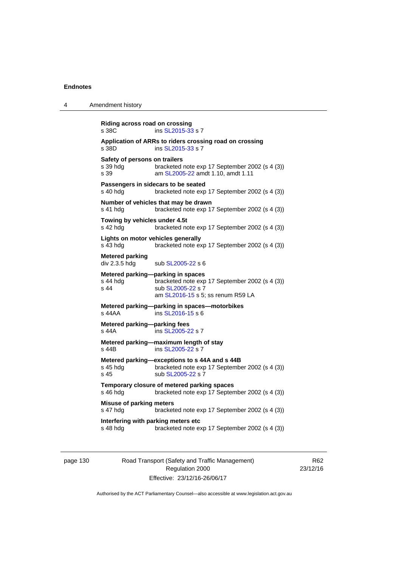| Riding across road on crossing<br>s 38C           | ins SL2015-33 s 7                                                                                                                             |
|---------------------------------------------------|-----------------------------------------------------------------------------------------------------------------------------------------------|
| s 38D                                             | Application of ARRs to riders crossing road on crossing<br>ins SL2015-33 s 7                                                                  |
| Safety of persons on trailers<br>s 39 hda<br>s 39 | bracketed note exp 17 September 2002 (s 4 (3))<br>am SL2005-22 amdt 1.10, amdt 1.11                                                           |
| s 40 hdg                                          | Passengers in sidecars to be seated<br>bracketed note exp 17 September 2002 (s 4 (3))                                                         |
| s 41 hdg                                          | Number of vehicles that may be drawn<br>bracketed note exp 17 September 2002 (s 4 (3))                                                        |
| Towing by vehicles under 4.5t<br>s 42 hdg         | bracketed note exp 17 September 2002 (s 4 (3))                                                                                                |
| Lights on motor vehicles generally<br>s 43 hda    | bracketed note exp 17 September 2002 (s 4 (3))                                                                                                |
| <b>Metered parking</b><br>div 2.3.5 hdg           | sub SL2005-22 s 6                                                                                                                             |
| s 44 hdg<br>s 44                                  | Metered parking-parking in spaces<br>bracketed note exp 17 September 2002 (s 4 (3))<br>sub SL2005-22 s 7<br>am SL2016-15 s 5; ss renum R59 LA |
| s 44AA                                            | Metered parking-parking in spaces-motorbikes<br>ins SL2016-15 s 6                                                                             |
| Metered parking-parking fees<br>s 44A             | ins SL2005-22 s 7                                                                                                                             |
| s 44B                                             | Metered parking-maximum length of stay<br>ins SL2005-22 s 7                                                                                   |
| s 45 hdg<br>s 45                                  | Metered parking-exceptions to s 44A and s 44B<br>bracketed note exp 17 September 2002 (s 4 (3))<br>sub SL2005-22 s 7                          |
| s 46 hdg                                          | Temporary closure of metered parking spaces<br>bracketed note exp 17 September 2002 (s 4 (3))                                                 |
| <b>Misuse of parking meters</b><br>s 47 hdg       | bracketed note exp 17 September 2002 (s 4 (3))                                                                                                |
| Interfering with parking meters etc<br>s 48 hdg   | bracketed note exp 17 September 2002 (s 4 (3))                                                                                                |
|                                                   | Amendment history                                                                                                                             |

page 130 Road Transport (Safety and Traffic Management) Regulation 2000 Effective: 23/12/16-26/06/17

R62 23/12/16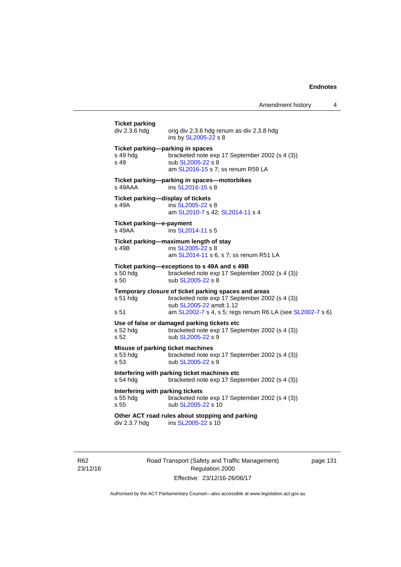| <b>Ticket parking</b><br>div 2.3.6 hdg               | orig div 2.3.6 hdg renum as div 2.3.8 hdg<br>ins by SL2005-22 s 8                                                                                                                              |
|------------------------------------------------------|------------------------------------------------------------------------------------------------------------------------------------------------------------------------------------------------|
| s 49 hdg<br>s <sub>49</sub>                          | Ticket parking-parking in spaces<br>bracketed note exp 17 September 2002 (s 4 (3))<br>sub SL2005-22 s 8<br>am SL2016-15 s 7; ss renum R59 LA                                                   |
| $s$ 49AAA                                            | Ticket parking-parking in spaces-motorbikes<br>ins SL2016-15 s 8                                                                                                                               |
| s 49A                                                | Ticket parking-display of tickets<br>ins SL2005-22 s 8<br>am SL2010-7 s 42; SL2014-11 s 4                                                                                                      |
| Ticket parking-e-payment<br>s 49AA                   | ins SL2014-11 s 5                                                                                                                                                                              |
| s 49B                                                | Ticket parking-maximum length of stay<br>ins SL2005-22 s 8<br>am SL2014-11 s 6, s 7; ss renum R51 LA                                                                                           |
| s 50 hda<br>s 50                                     | Ticket parking-exceptions to s 49A and s 49B<br>bracketed note exp 17 September 2002 (s 4 (3))<br>sub SL2005-22 s 8                                                                            |
| s 51 hdg<br>s 51                                     | Temporary closure of ticket parking spaces and areas<br>bracketed note exp 17 September 2002 (s 4 (3))<br>sub SL2005-22 amdt 1.12<br>am SL2002-7 s 4, s 5; regs renum R6 LA (see SL2002-7 s 6) |
| s 52 hdg<br>s 52                                     | Use of false or damaged parking tickets etc<br>bracketed note exp 17 September 2002 (s 4 (3))<br>sub SL2005-22 s 9                                                                             |
| s 53 hdg<br>s 53                                     | Misuse of parking ticket machines<br>bracketed note exp 17 September 2002 (s 4 (3))<br>sub SL2005-22 s 9                                                                                       |
| s 54 hdg                                             | Interfering with parking ticket machines etc<br>bracketed note exp 17 September 2002 (s 4 (3))                                                                                                 |
| Interfering with parking tickets<br>s 55 hdg<br>s 55 | bracketed note exp 17 September 2002 (s 4 (3))<br>sub SL2005-22 s 10                                                                                                                           |
| div 2.3.7 hdg                                        | Other ACT road rules about stopping and parking<br>ins SL2005-22 s 10                                                                                                                          |
|                                                      |                                                                                                                                                                                                |

R62 23/12/16 Road Transport (Safety and Traffic Management) Regulation 2000 Effective: 23/12/16-26/06/17

page 131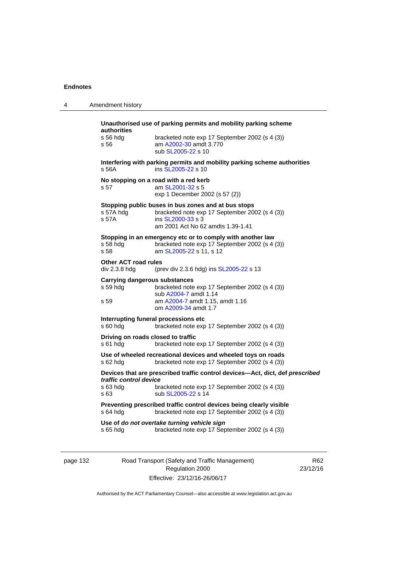| 4 | Amendment history                                                                                                                                                                                              |
|---|----------------------------------------------------------------------------------------------------------------------------------------------------------------------------------------------------------------|
|   | Unauthorised use of parking permits and mobility parking scheme<br>authorities<br>s 56 hda<br>bracketed note exp 17 September 2002 (s 4 (3))<br>am A2002-30 amdt 3.770<br>s 56<br>sub SL2005-22 s 10           |
|   | Interfering with parking permits and mobility parking scheme authorities<br>ins SL2005-22 s 10<br>s 56A                                                                                                        |
|   | No stopping on a road with a red kerb<br>am SL2001-32 s 5<br>s 57<br>exp 1 December 2002 (s 57 (2))                                                                                                            |
|   | Stopping public buses in bus zones and at bus stops<br>bracketed note exp 17 September 2002 (s 4 (3))<br>s 57A hdg<br>ins SL2000-33 s 3<br>s 57A<br>am 2001 Act No 62 amdts 1.39-1.41                          |
|   | Stopping in an emergency etc or to comply with another law<br>bracketed note exp 17 September 2002 (s 4 (3))<br>s 58 hda<br>s 58<br>am SL2005-22 s 11, s 12                                                    |
|   | <b>Other ACT road rules</b><br>div 2.3.8 hdg<br>(prev div 2.3.6 hdg) ins SL2005-22 s 13                                                                                                                        |
|   | Carrying dangerous substances<br>s 59 hdg<br>bracketed note exp 17 September 2002 (s 4 (3))<br>sub A2004-7 amdt 1.14<br>am A2004-7 amdt 1.15, amdt 1.16<br>s 59<br>om A2009-34 amdt 1.7                        |
|   | Interrupting funeral processions etc.<br>s 60 hdg<br>bracketed note exp 17 September 2002 (s 4 (3))                                                                                                            |
|   | Driving on roads closed to traffic<br>s 61 hdg<br>bracketed note exp 17 September 2002 (s 4 (3))                                                                                                               |
|   | Use of wheeled recreational devices and wheeled toys on roads<br>s 62 hdg<br>bracketed note exp 17 September 2002 (s 4 (3))                                                                                    |
|   | Devices that are prescribed traffic control devices-Act, dict, def prescribed<br>traffic control device<br>s 63 hdg<br>bracketed note exp 17 September 2002 (s 4 (3))<br>sub SL2005-22 s 14<br>s <sub>63</sub> |
|   | Preventing prescribed traffic control devices being clearly visible<br>bracketed note exp 17 September 2002 (s 4 (3))<br>s 64 hdg                                                                              |
|   | Use of do not overtake turning vehicle sign<br>bracketed note exp 17 September 2002 (s 4 (3))<br>s 65 hdg                                                                                                      |

page 132 Road Transport (Safety and Traffic Management) Regulation 2000 Effective: 23/12/16-26/06/17

R62 23/12/16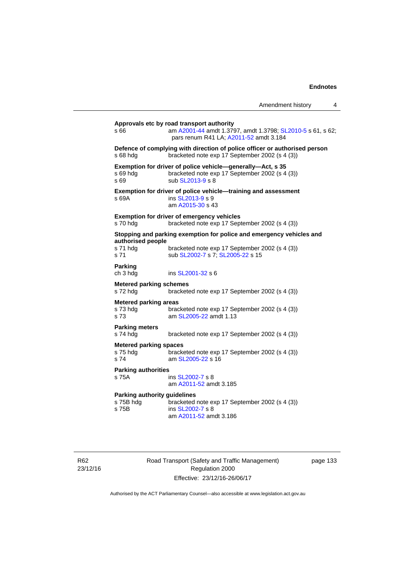|                                                           |                                                                                                                                                   | Amendment history | 4 |
|-----------------------------------------------------------|---------------------------------------------------------------------------------------------------------------------------------------------------|-------------------|---|
| s 66                                                      | Approvals etc by road transport authority<br>am A2001-44 amdt 1.3797, amdt 1.3798; SL2010-5 s 61, s 62;<br>pars renum R41 LA; A2011-52 amdt 3.184 |                   |   |
| s 68 hda                                                  | Defence of complying with direction of police officer or authorised person<br>bracketed note exp 17 September 2002 (s 4 (3))                      |                   |   |
| s 69 hda<br>s 69                                          | Exemption for driver of police vehicle-generally-Act, s 35<br>bracketed note exp 17 September 2002 (s 4 (3))<br>sub SL2013-9 s 8                  |                   |   |
| s 69A                                                     | Exemption for driver of police vehicle-training and assessment<br>ins SL2013-9 s 9<br>am A2015-30 s 43                                            |                   |   |
| s 70 hdg                                                  | <b>Exemption for driver of emergency vehicles</b><br>bracketed note exp 17 September 2002 (s 4 (3))                                               |                   |   |
| authorised people                                         | Stopping and parking exemption for police and emergency vehicles and                                                                              |                   |   |
| s 71 hdg<br>s 71                                          | bracketed note exp 17 September 2002 (s 4 (3))<br>sub SL2002-7 s 7; SL2005-22 s 15                                                                |                   |   |
| Parking<br>ch 3 hdg                                       | ins SL2001-32 s 6                                                                                                                                 |                   |   |
| <b>Metered parking schemes</b><br>s 72 hdg                | bracketed note exp 17 September 2002 (s 4 (3))                                                                                                    |                   |   |
| <b>Metered parking areas</b><br>s 73 hda<br>s 73          | bracketed note exp 17 September 2002 (s 4 (3))<br>am SL2005-22 amdt 1.13                                                                          |                   |   |
| <b>Parking meters</b><br>s 74 hdg                         | bracketed note exp 17 September 2002 (s 4 (3))                                                                                                    |                   |   |
| <b>Metered parking spaces</b><br>s 75 hdg<br>s 74         | bracketed note exp 17 September 2002 (s 4 (3))<br>am SL2005-22 s 16                                                                               |                   |   |
| <b>Parking authorities</b><br>s 75A                       | ins SL2002-7 s 8<br>am A2011-52 amdt 3.185                                                                                                        |                   |   |
| <b>Parking authority guidelines</b><br>s 75B hdg<br>s 75B | bracketed note exp 17 September 2002 (s 4 (3))<br>ins SL2002-7 s 8<br>am A2011-52 amdt 3.186                                                      |                   |   |

R62 23/12/16 Road Transport (Safety and Traffic Management) Regulation 2000 Effective: 23/12/16-26/06/17

page 133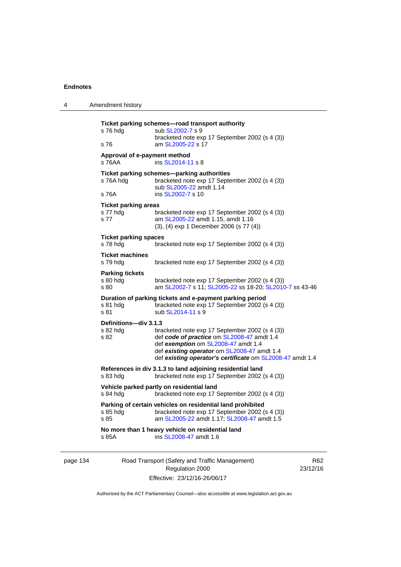| 4        | Amendment history                               |                                                                                                                                                                                                                                                 |     |
|----------|-------------------------------------------------|-------------------------------------------------------------------------------------------------------------------------------------------------------------------------------------------------------------------------------------------------|-----|
|          | s 76 hdg<br>s 76                                | Ticket parking schemes-road transport authority<br>sub SL2002-7 s 9<br>bracketed note exp 17 September 2002 (s 4 (3))<br>am SL2005-22 s 17                                                                                                      |     |
|          | Approval of e-payment method<br>s 76AA          | ins SL2014-11 s 8                                                                                                                                                                                                                               |     |
|          | s 76A hdg<br>s 76A                              | Ticket parking schemes-parking authorities<br>bracketed note exp 17 September 2002 (s 4 (3))<br>sub SL2005-22 amdt 1.14<br>ins SL2002-7 s 10                                                                                                    |     |
|          | <b>Ticket parking areas</b><br>s 77 hdg<br>s 77 | bracketed note exp 17 September 2002 (s 4 (3))<br>am SL2005-22 amdt 1.15, amdt 1.16<br>(3), (4) exp 1 December 2006 (s 77 (4))                                                                                                                  |     |
|          | <b>Ticket parking spaces</b><br>s 78 hdg        | bracketed note exp 17 September 2002 (s 4 (3))                                                                                                                                                                                                  |     |
|          | <b>Ticket machines</b><br>s 79 hdg              | bracketed note exp 17 September 2002 (s 4 (3))                                                                                                                                                                                                  |     |
|          | <b>Parking tickets</b><br>$s80h$ dg<br>s 80     | bracketed note exp 17 September 2002 (s 4 (3))<br>am SL2002-7 s 11; SL2005-22 ss 18-20; SL2010-7 ss 43-46                                                                                                                                       |     |
|          | s 81 hdg<br>s 81                                | Duration of parking tickets and e-payment parking period<br>bracketed note exp 17 September 2002 (s 4 (3))<br>sub SL2014-11 s 9                                                                                                                 |     |
|          | Definitions-div 3.1.3<br>s 82 hdg<br>s 82       | bracketed note exp 17 September 2002 (s 4 (3))<br>def code of practice om SL2008-47 amdt 1.4<br>def exemption om SL2008-47 amdt 1.4<br>def existing operator om SL2008-47 amdt 1.4<br>def existing operator's certificate om SL2008-47 amdt 1.4 |     |
|          | $s$ 83 hdg                                      | References in div 3.1.3 to land adjoining residential land<br>bracketed note exp 17 September 2002 (s 4 (3))                                                                                                                                    |     |
|          | s 84 hdg                                        | Vehicle parked partly on residential land<br>bracketed note exp 17 September 2002 (s 4 (3))                                                                                                                                                     |     |
|          | s 85 hdg<br>s 85                                | Parking of certain vehicles on residential land prohibited<br>bracketed note exp 17 September 2002 (s 4 (3))<br>am SL2005-22 amdt 1.17; SL2008-47 amdt 1.5                                                                                      |     |
|          | s 85A                                           | No more than 1 heavy vehicle on residential land<br>ins SL2008-47 amdt 1.6                                                                                                                                                                      |     |
| page 134 |                                                 | Road Transport (Safety and Traffic Management)                                                                                                                                                                                                  | R62 |

Authorised by the ACT Parliamentary Counsel—also accessible at www.legislation.act.gov.au

Regulation 2000 Effective: 23/12/16-26/06/17 23/12/16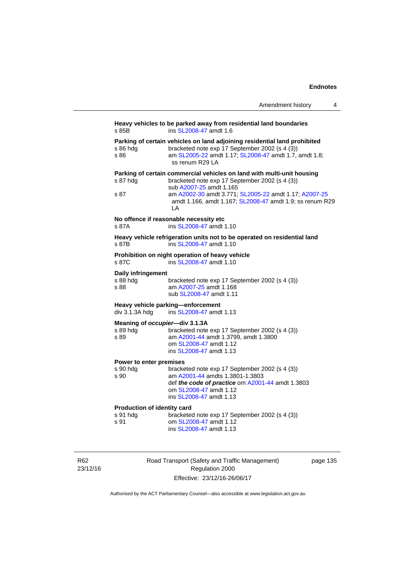|                                                            | Amendment history                                                                                                                                                                                                                                                              | 4 |
|------------------------------------------------------------|--------------------------------------------------------------------------------------------------------------------------------------------------------------------------------------------------------------------------------------------------------------------------------|---|
| s 85B                                                      | Heavy vehicles to be parked away from residential land boundaries<br>ins SL2008-47 amdt 1.6                                                                                                                                                                                    |   |
| s 86 hdg<br>s 86                                           | Parking of certain vehicles on land adjoining residential land prohibited<br>bracketed note exp 17 September 2002 (s 4 (3))<br>am SL2005-22 amdt 1.17; SL2008-47 amdt 1.7, amdt 1.8;<br>ss renum R29 LA                                                                        |   |
| s 87 hdg<br>s 87                                           | Parking of certain commercial vehicles on land with multi-unit housing<br>bracketed note exp 17 September 2002 (s 4 (3))<br>sub A2007-25 amdt 1.165<br>am A2002-30 amdt 3.771; SL2005-22 amdt 1.17; A2007-25<br>amdt 1.166, amdt 1.167; SL2008-47 amdt 1.9; ss renum R29<br>LА |   |
| s 87A                                                      | No offence if reasonable necessity etc<br>ins SL2008-47 amdt 1.10                                                                                                                                                                                                              |   |
| s 87B                                                      | Heavy vehicle refrigeration units not to be operated on residential land<br>ins SL2008-47 amdt 1.10                                                                                                                                                                            |   |
| s 87C                                                      | Prohibition on night operation of heavy vehicle<br>ins SL2008-47 amdt 1.10                                                                                                                                                                                                     |   |
| Daily infringement<br>s 88 hdg<br>s 88                     | bracketed note exp 17 September 2002 (s 4 (3))<br>am A2007-25 amdt 1.168<br>sub SL2008-47 amdt 1.11                                                                                                                                                                            |   |
| div 3.1.3A hdg                                             | Heavy vehicle parking—enforcement<br>ins SL2008-47 amdt 1.13                                                                                                                                                                                                                   |   |
| Meaning of <i>occupier</i> —div 3.1.3A<br>s 89 hdg<br>s 89 | bracketed note exp 17 September 2002 (s 4 (3))<br>am A2001-44 amdt 1.3799, amdt 1.3800<br>om SL2008-47 amdt 1.12<br>ins SL2008-47 amdt 1.13                                                                                                                                    |   |
| Power to enter premises<br>s 90 hdg<br>s 90                | bracketed note exp 17 September 2002 (s 4 (3))<br>am A2001-44 amdts 1.3801-1.3803<br>def the code of practice om A2001-44 amdt 1.3803<br>om SL2008-47 amdt 1.12<br>ins SL2008-47 amdt 1.13                                                                                     |   |
| <b>Production of identity card</b><br>s 91 hdg<br>s 91     | bracketed note exp 17 September 2002 (s 4 (3))<br>om SL2008-47 amdt 1.12<br>ins SL2008-47 amdt 1.13                                                                                                                                                                            |   |

R62 23/12/16 Road Transport (Safety and Traffic Management) Regulation 2000 Effective: 23/12/16-26/06/17

page 135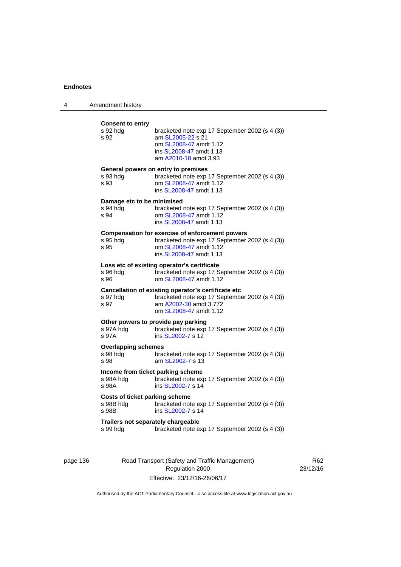| 4 | Amendment history                                       |                                                                                                                                                               |
|---|---------------------------------------------------------|---------------------------------------------------------------------------------------------------------------------------------------------------------------|
|   | <b>Consent to entry</b><br>s 92 hdg<br>s 92             | bracketed note exp 17 September 2002 (s 4 (3))<br>am SL2005-22 s 21<br>om SL2008-47 amdt 1.12<br>ins SL2008-47 amdt 1.13<br>am A2010-18 amdt 3.93             |
|   | s 93 hdg<br>s 93                                        | General powers on entry to premises<br>bracketed note exp 17 September 2002 (s 4 (3))<br>om SL2008-47 amdt 1.12<br>ins SL2008-47 amdt 1.13                    |
|   | Damage etc to be minimised<br>s 94 hdg<br>s 94          | bracketed note exp 17 September 2002 (s 4 (3))<br>om SL2008-47 amdt 1.12<br>ins SL2008-47 amdt 1.13                                                           |
|   | s 95 hdg<br>s 95                                        | <b>Compensation for exercise of enforcement powers</b><br>bracketed note exp 17 September 2002 (s 4 (3))<br>om SL2008-47 amdt 1.12<br>ins SL2008-47 amdt 1.13 |
|   | s 96 hdg<br>s 96                                        | Loss etc of existing operator's certificate<br>bracketed note exp 17 September 2002 (s 4 (3))<br>om SL2008-47 amdt 1.12                                       |
|   | s 97 hdg<br>s 97                                        | Cancellation of existing operator's certificate etc<br>bracketed note exp 17 September 2002 (s 4 (3))<br>am A2002-30 amdt 3.772<br>om SL2008-47 amdt 1.12     |
|   | s 97A hdg<br>s 97A                                      | Other powers to provide pay parking<br>bracketed note exp 17 September 2002 (s 4 (3))<br>ins SL2002-7 s 12                                                    |
|   | <b>Overlapping schemes</b><br>s 98 hdg<br>s 98          | bracketed note exp 17 September 2002 (s 4 (3))<br>am SL2002-7 s 13                                                                                            |
|   | Income from ticket parking scheme<br>s 98A hdg<br>s 98A | bracketed note exp 17 September 2002 (s 4 (3))<br>ins SL2002-7 s 14                                                                                           |
|   | Costs of ticket parking scheme<br>s 98B hdg<br>s 98B    | bracketed note exp 17 September 2002 (s 4 (3))<br>ins SL2002-7 s 14                                                                                           |
|   | Trailers not separately chargeable<br>s 99 hdg          | bracketed note exp 17 September 2002 (s 4 (3))                                                                                                                |

page 136 Road Transport (Safety and Traffic Management) Regulation 2000 Effective: 23/12/16-26/06/17

R62 23/12/16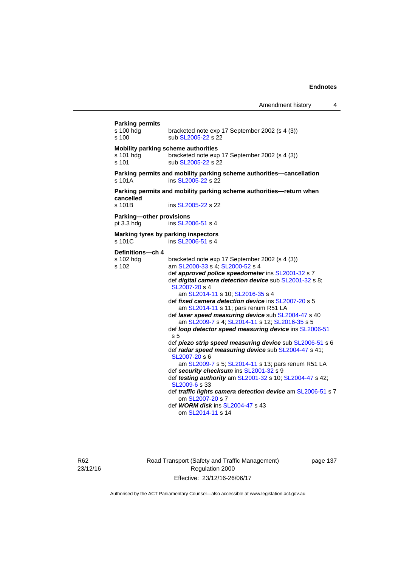| <b>Parking permits</b><br>s 100 hdg<br>s 100                                                                                                                                                                                                                                                                                                                                                                                                                                                                                                                                                                                                                                                                                                                                                                                                                                                                                                                                                                                                                                                                      | bracketed note exp 17 September 2002 (s 4 (3))<br>sub SL2005-22 s 22                       |
|-------------------------------------------------------------------------------------------------------------------------------------------------------------------------------------------------------------------------------------------------------------------------------------------------------------------------------------------------------------------------------------------------------------------------------------------------------------------------------------------------------------------------------------------------------------------------------------------------------------------------------------------------------------------------------------------------------------------------------------------------------------------------------------------------------------------------------------------------------------------------------------------------------------------------------------------------------------------------------------------------------------------------------------------------------------------------------------------------------------------|--------------------------------------------------------------------------------------------|
| Mobility parking scheme authorities<br>s 101 hdg<br>s 101                                                                                                                                                                                                                                                                                                                                                                                                                                                                                                                                                                                                                                                                                                                                                                                                                                                                                                                                                                                                                                                         | bracketed note exp 17 September 2002 (s 4 (3))<br>sub SL2005-22 s 22                       |
| s 101A                                                                                                                                                                                                                                                                                                                                                                                                                                                                                                                                                                                                                                                                                                                                                                                                                                                                                                                                                                                                                                                                                                            | Parking permits and mobility parking scheme authorities-cancellation<br>ins SL2005-22 s 22 |
| cancelled<br>s 101B                                                                                                                                                                                                                                                                                                                                                                                                                                                                                                                                                                                                                                                                                                                                                                                                                                                                                                                                                                                                                                                                                               | Parking permits and mobility parking scheme authorities-return when<br>ins SL2005-22 s 22  |
| Parking-other provisions<br>pt 3.3 hdg                                                                                                                                                                                                                                                                                                                                                                                                                                                                                                                                                                                                                                                                                                                                                                                                                                                                                                                                                                                                                                                                            | ins SL2006-51 s 4                                                                          |
|                                                                                                                                                                                                                                                                                                                                                                                                                                                                                                                                                                                                                                                                                                                                                                                                                                                                                                                                                                                                                                                                                                                   | ins SL2006-51 s 4                                                                          |
| Marking tyres by parking inspectors<br>s 101C<br>Definitions-ch 4<br>s 102 hdg<br>bracketed note exp 17 September 2002 (s 4 (3))<br>s 102<br>am SL2000-33 s 4; SL2000-52 s 4<br>def approved police speedometer ins SL2001-32 s 7<br>def digital camera detection device sub SL2001-32 s 8;<br>SL2007-20 s 4<br>am SL2014-11 s 10; SL2016-35 s 4<br>def fixed camera detection device ins SL2007-20 s 5<br>am SL2014-11 s 11; pars renum R51 LA<br>def <i>laser speed measuring device</i> sub SL2004-47 s 40<br>am SL2009-7 s 4; SL2014-11 s 12; SL2016-35 s 5<br>def loop detector speed measuring device ins SL2006-51<br>s <sub>5</sub><br>def piezo strip speed measuring device sub SL2006-51 s 6<br>def radar speed measuring device sub SL2004-47 s 41;<br>SL2007-20 s 6<br>am SL2009-7 s 5; SL2014-11 s 13; pars renum R51 LA<br>def security checksum ins SL2001-32 s 9<br>def testing authority am SL2001-32 s 10; SL2004-47 s 42;<br>SL2009-6 s 33<br>def <i>traffic lights camera detection device</i> am SL2006-51 s 7<br>om SL2007-20 s 7<br>def WORM disk ins SL2004-47 s 43<br>om SL2014-11 s 14 |                                                                                            |

R62 23/12/16 Road Transport (Safety and Traffic Management) Regulation 2000 Effective: 23/12/16-26/06/17

page 137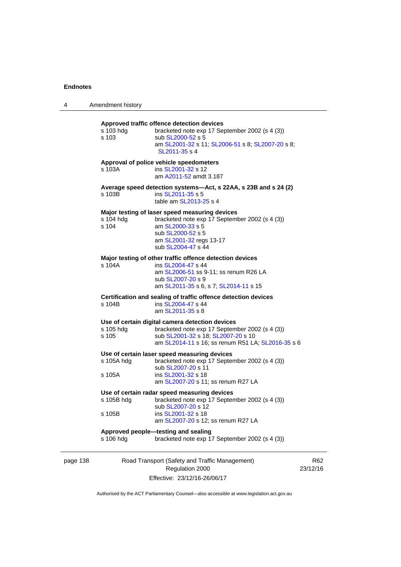| 4        | Amendment history    |                                                                                                                                                                                              |       |
|----------|----------------------|----------------------------------------------------------------------------------------------------------------------------------------------------------------------------------------------|-------|
|          | s 103 hdg<br>s 103   | Approved traffic offence detection devices<br>bracketed note exp 17 September 2002 (s 4 (3))<br>sub SL2000-52 s 5<br>am SL2001-32 s 11; SL2006-51 s 8; SL2007-20 s 8;<br>SL2011-35 s 4       |       |
|          | s 103A               | Approval of police vehicle speedometers<br>ins SL2001-32 s 12<br>am A2011-52 amdt 3.187                                                                                                      |       |
|          | s 103B               | Average speed detection systems-Act, s 22AA, s 23B and s 24 (2)<br>ins SL2011-35 s 5<br>table am SL2013-25 s 4                                                                               |       |
|          | s 104 hdg<br>s 104   | Major testing of laser speed measuring devices<br>bracketed note exp 17 September 2002 (s 4 (3))<br>am SL2000-33 s 5<br>sub SL2000-52 s 5<br>am SL2001-32 regs 13-17<br>sub SL2004-47 s 44   |       |
|          | s 104A               | Major testing of other traffic offence detection devices<br>ins SL2004-47 s 44<br>am SL2006-51 ss 9-11; ss renum R26 LA<br>sub SL2007-20 s 9<br>am SL2011-35 s 6, s 7; SL2014-11 s 15        |       |
|          | s 104B               | Certification and sealing of traffic offence detection devices<br>ins SL2004-47 s 44<br>am SL2011-35 s 8                                                                                     |       |
|          | s 105 hdg<br>s 105   | Use of certain digital camera detection devices<br>bracketed note exp 17 September 2002 (s 4 (3))<br>sub SL2001-32 s 18; SL2007-20 s 10<br>am SL2014-11 s 16; ss renum R51 LA; SL2016-35 s 6 |       |
|          | s 105A hdg<br>s 105A | Use of certain laser speed measuring devices<br>bracketed note exp 17 September 2002 (s 4 (3))<br>sub SL2007-20 s 11<br>ins SL2001-32 s 18<br>am SL2007-20 s 11; ss renum R27 LA             |       |
|          | s 105B hdg<br>s 105B | Use of certain radar speed measuring devices<br>bracketed note exp 17 September 2002 (s 4 (3))<br>sub SL2007-20 s 12<br>ins SL2001-32 s 18                                                   |       |
|          | s 106 hdg            | am SL2007-20 s 12; ss renum R27 LA<br>Approved people-testing and sealing<br>bracketed note exp 17 September 2002 (s 4 (3))                                                                  |       |
| page 138 |                      | Road Transport (Safety and Traffic Management)<br>Regulation 2000                                                                                                                            | 23/12 |

Effective: 23/12/16-26/06/17

R62  $2/16$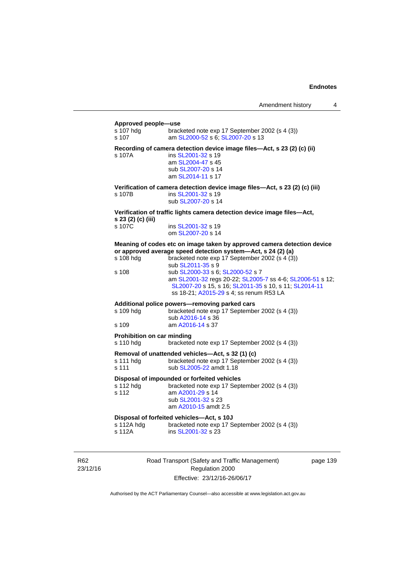#### **Approved people—use**

| s 107 hdg<br>s 107                             | bracketed note exp 17 September 2002 (s 4 (3))<br>am SL2000-52 s 6; SL2007-20 s 13                                                                                                                                                                                                                                                                                                                                  |
|------------------------------------------------|---------------------------------------------------------------------------------------------------------------------------------------------------------------------------------------------------------------------------------------------------------------------------------------------------------------------------------------------------------------------------------------------------------------------|
| s 107A                                         | Recording of camera detection device image files-Act, s 23 (2) (c) (ii)<br>ins SL2001-32 s 19<br>am SL2004-47 s 45<br>sub SL2007-20 s 14<br>am SL2014-11 s 17                                                                                                                                                                                                                                                       |
| s 107B                                         | Verification of camera detection device image files-Act, s 23 (2) (c) (iii)<br>ins SL2001-32 s 19<br>sub SL2007-20 s 14                                                                                                                                                                                                                                                                                             |
| s 23 (2) (c) (iii)                             | Verification of traffic lights camera detection device image files-Act,                                                                                                                                                                                                                                                                                                                                             |
| s 107C                                         | ins SL2001-32 s 19<br>om SL2007-20 s 14                                                                                                                                                                                                                                                                                                                                                                             |
| s 108 hdg<br>s 108                             | Meaning of codes etc on image taken by approved camera detection device<br>or approved average speed detection system-Act, s 24 (2) (a)<br>bracketed note exp 17 September 2002 (s 4 (3))<br>sub SL2011-35 s 9<br>sub SL2000-33 s 6; SL2000-52 s 7<br>am SL2001-32 regs 20-22; SL2005-7 ss 4-6; SL2006-51 s 12;<br>SL2007-20 s 15, s 16; SL2011-35 s 10, s 11; SL2014-11<br>ss 18-21; A2015-29 s 4; ss renum R53 LA |
| s 109 hdg<br>s 109                             | Additional police powers-removing parked cars<br>bracketed note exp 17 September 2002 (s 4 (3))<br>sub A2016-14 s 36<br>am A2016-14 s 37                                                                                                                                                                                                                                                                            |
| <b>Prohibition on car minding</b><br>s 110 hdg | bracketed note exp 17 September 2002 (s 4 (3))                                                                                                                                                                                                                                                                                                                                                                      |
| s 111 hdg<br>s 111                             | Removal of unattended vehicles-Act, s 32 (1) (c)<br>bracketed note exp 17 September 2002 (s 4 (3))<br>sub SL2005-22 amdt 1.18                                                                                                                                                                                                                                                                                       |
| s 112 hdg<br>s 112                             | Disposal of impounded or forfeited vehicles<br>bracketed note exp 17 September 2002 (s 4 (3))<br>am A2001-29 s 14<br>sub SL2001-32 s 23<br>am A2010-15 amdt 2.5                                                                                                                                                                                                                                                     |
| s 112A hdg<br>s 112A                           | Disposal of forfeited vehicles-Act, s 10J<br>bracketed note exp 17 September 2002 (s 4 (3))<br>ins SL2001-32 s 23                                                                                                                                                                                                                                                                                                   |

R62 23/12/16 Road Transport (Safety and Traffic Management) Regulation 2000 Effective: 23/12/16-26/06/17

page 139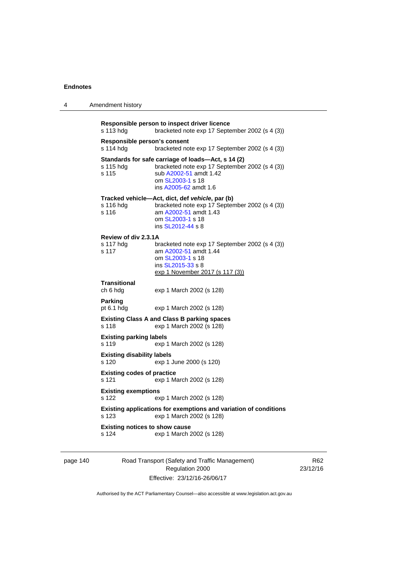4 Amendment history

| Responsible person to inspect driver licence<br>s 113 hdg<br>bracketed note exp 17 September 2002 (s 4 (3)) |                                                                                                                                                                             |  |  |
|-------------------------------------------------------------------------------------------------------------|-----------------------------------------------------------------------------------------------------------------------------------------------------------------------------|--|--|
| Responsible person's consent<br>s 114 hdg<br>bracketed note exp 17 September 2002 (s 4 (3))                 |                                                                                                                                                                             |  |  |
| s 115 hdg<br>s 115                                                                                          | Standards for safe carriage of loads—Act, s 14 (2)<br>bracketed note exp 17 September 2002 (s 4 (3))<br>sub A2002-51 amdt 1.42<br>om SL2003-1 s 18<br>ins A2005-62 amdt 1.6 |  |  |
| s 116 hdg<br>s 116                                                                                          | Tracked vehicle—Act, dict, def vehicle, par (b)<br>bracketed note exp 17 September 2002 (s 4 (3))<br>am A2002-51 amdt 1.43<br>om SL2003-1 s 18<br>ins SL2012-44 s 8         |  |  |
| Review of div 2.3.1A                                                                                        |                                                                                                                                                                             |  |  |
| s 117 hdg<br>s 117                                                                                          | bracketed note exp 17 September 2002 (s 4 (3))<br>am A2002-51 amdt 1.44<br>om SL2003-1 s 18<br>ins SL2015-33 s 8<br>exp 1 November 2017 (s 117 (3))                         |  |  |
|                                                                                                             |                                                                                                                                                                             |  |  |
| <b>Transitional</b><br>ch 6 hdg                                                                             | exp 1 March 2002 (s 128)                                                                                                                                                    |  |  |
| <b>Parking</b><br>pt $6.1$ hdg                                                                              | exp 1 March 2002 (s 128)                                                                                                                                                    |  |  |
| s 118                                                                                                       | <b>Existing Class A and Class B parking spaces</b><br>exp 1 March 2002 (s 128)                                                                                              |  |  |
|                                                                                                             |                                                                                                                                                                             |  |  |
| <b>Existing parking labels</b><br>s 119                                                                     | exp 1 March 2002 (s 128)                                                                                                                                                    |  |  |
| <b>Existing disability labels</b><br>s 120                                                                  | exp 1 June 2000 (s 120)                                                                                                                                                     |  |  |
| <b>Existing codes of practice</b><br>s 121                                                                  | exp 1 March 2002 (s 128)                                                                                                                                                    |  |  |
|                                                                                                             |                                                                                                                                                                             |  |  |
| <b>Existing exemptions</b><br>s 122                                                                         | exp 1 March 2002 (s 128)                                                                                                                                                    |  |  |
| s 123                                                                                                       | Existing applications for exemptions and variation of conditions<br>exp 1 March 2002 (s 128)                                                                                |  |  |
|                                                                                                             |                                                                                                                                                                             |  |  |
| <b>Existing notices to show cause</b><br>s 124                                                              | exp 1 March 2002 (s 128)                                                                                                                                                    |  |  |
|                                                                                                             |                                                                                                                                                                             |  |  |

page 140 Road Transport (Safety and Traffic Management) Regulation 2000 Effective: 23/12/16-26/06/17

R62 23/12/16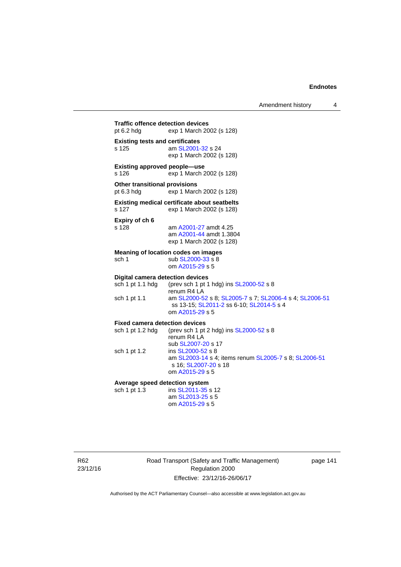Amendment history 4

| <b>Traffic offence detection devices</b><br>pt $6.2$ hdg<br>exp 1 March 2002 (s 128) |                                                                                                                                                                                                       |
|--------------------------------------------------------------------------------------|-------------------------------------------------------------------------------------------------------------------------------------------------------------------------------------------------------|
| <b>Existing tests and certificates</b><br>s 125                                      | am SL2001-32 s 24<br>exp 1 March 2002 (s 128)                                                                                                                                                         |
| <b>Existing approved people-use</b><br>s 126                                         | exp 1 March 2002 (s 128)                                                                                                                                                                              |
| <b>Other transitional provisions</b><br>pt 6.3 hdg                                   | exp 1 March 2002 (s 128)                                                                                                                                                                              |
| s 127                                                                                | <b>Existing medical certificate about seatbelts</b><br>exp 1 March 2002 (s 128)                                                                                                                       |
| Expiry of ch 6<br>s 128                                                              | am A2001-27 amdt 4.25<br>am A2001-44 amdt 1.3804<br>exp 1 March 2002 (s 128)                                                                                                                          |
| sch 1                                                                                | <b>Meaning of location codes on images</b><br>sub SL2000-33 s 8<br>om A2015-29 s 5                                                                                                                    |
| <b>Digital camera detection devices</b><br>sch 1 pt 1.1 hdg<br>sch 1 pt 1.1          | (prev sch 1 pt 1 hdg) ins SL2000-52 s 8<br>renum R4 LA<br>am SL2000-52 s 8; SL2005-7 s 7; SL2006-4 s 4; SL2006-51<br>ss 13-15; SL2011-2 ss 6-10; SL2014-5 s 4<br>om A2015-29 s 5                      |
| <b>Fixed camera detection devices</b><br>sch 1 pt 1.2 hdg<br>sch 1 pt 1.2            | (prev sch 1 pt 2 hdg) ins SL2000-52 s 8<br>renum R4 LA<br>sub SL2007-20 s 17<br>ins SL2000-52 s 8<br>am SL2003-14 s 4; items renum SL2005-7 s 8; SL2006-51<br>s 16; SL2007-20 s 18<br>om A2015-29 s 5 |
| Average speed detection system<br>sch 1 pt 1.3                                       | ins SL2011-35 s 12<br>am SL2013-25 s 5<br>om A2015-29 s 5                                                                                                                                             |

R62 23/12/16 Road Transport (Safety and Traffic Management) Regulation 2000 Effective: 23/12/16-26/06/17

page 141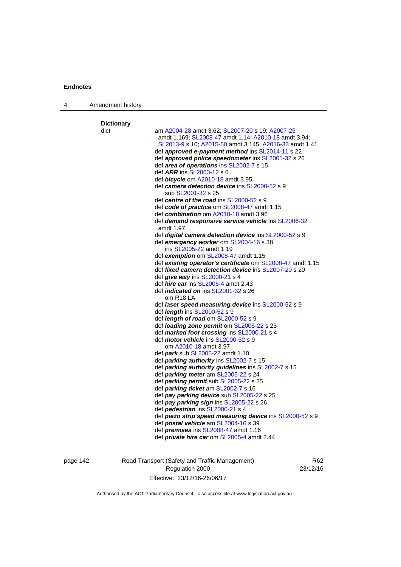| 4 | Amendment history |                                                                                               |
|---|-------------------|-----------------------------------------------------------------------------------------------|
|   | <b>Dictionary</b> |                                                                                               |
|   | dict              | am A2004-28 amdt 3.62; SL2007-20 s 19; A2007-25                                               |
|   |                   | amdt 1.169; SL2008-47 amdt 1.14; A2010-18 amdt 3.94;                                          |
|   |                   | SL2013-9 s 10; A2015-50 amdt 3.145; A2016-33 amdt 1.41                                        |
|   |                   | def approved e-payment method ins SL2014-11 s 22                                              |
|   |                   | def approved police speedometer ins SL2001-32 s 26                                            |
|   |                   | def area of operations ins SL2002-7 s 15                                                      |
|   |                   | def <i>ARR</i> ins SL2003-12 s 6                                                              |
|   |                   | def bicycle om A2010-18 amdt 3.95                                                             |
|   |                   | def camera detection device ins SL2000-52 s 9                                                 |
|   |                   | sub SL2001-32 s 25                                                                            |
|   |                   | def centre of the road ins SL2000-52 s 9                                                      |
|   |                   | def code of practice om SL2008-47 amdt 1.15                                                   |
|   |                   | def combination om A2010-18 amdt 3.96                                                         |
|   |                   | def demand responsive service vehicle ins SL2006-32                                           |
|   |                   | amdt 1.97                                                                                     |
|   |                   | def <i>digital camera detection device</i> ins SL2000-52 s 9                                  |
|   |                   | def emergency worker om SL2004-16 s 38                                                        |
|   |                   | ins SL2005-22 amdt 1.19                                                                       |
|   |                   | def exemption om SL2008-47 amdt 1.15                                                          |
|   |                   | def existing operator's certificate om SL2008-47 amdt 1.15                                    |
|   |                   | def <i>fixed camera detection device</i> ins SL2007-20 s 20                                   |
|   |                   | def give way ins SL2000-21 s 4                                                                |
|   |                   | def <i>hire car</i> ins SL2005-4 amdt 2.43                                                    |
|   |                   | def <i>indicated on</i> ins SL2001-32 s 26                                                    |
|   |                   | om R <sub>18</sub> LA                                                                         |
|   |                   | def laser speed measuring device ins SL2000-52 s 9                                            |
|   |                   | def <i>length</i> ins SL2000-52 s 9                                                           |
|   |                   | def <i>length of road</i> om SL2000-52 s 9                                                    |
|   |                   | def <i>loading zone permit</i> om SL2005-22 s 23                                              |
|   |                   | def marked foot crossing ins SL2000-21 s 4                                                    |
|   |                   | def <i>motor vehicle</i> ins SL2000-52 s 9<br>om A2010-18 amdt 3.97                           |
|   |                   | def <i>park</i> sub SL2005-22 amdt 1.10                                                       |
|   |                   |                                                                                               |
|   |                   | def parking authority ins SL2002-7 s 15<br>def parking authority guidelines ins SL2002-7 s 15 |
|   |                   | def parking meter am SL2005-22 s 24                                                           |
|   |                   | def <b>parking permit</b> sub SL2005-22 s 25                                                  |
|   |                   | def <i>parking ticket</i> am SL2002-7 s 16                                                    |
|   |                   | def pay parking device sub SL2005-22 s 25                                                     |
|   |                   | def pay parking sign ins SL2005-22 s 26                                                       |
|   |                   | def pedestrian ins SL2000-21 s 4                                                              |
|   |                   | def piezo strip speed measuring device ins SL2000-52 s 9                                      |
|   |                   | def postal vehicle am SL2004-16 s 39                                                          |
|   |                   | def <i>premises</i> ins SL2008-47 amdt 1.16                                                   |
|   |                   | def <i>private hire car</i> om SL2005-4 amdt 2.44                                             |
|   |                   |                                                                                               |

page 142 Road Transport (Safety and Traffic Management) Regulation 2000 Effective: 23/12/16-26/06/17

R62 23/12/16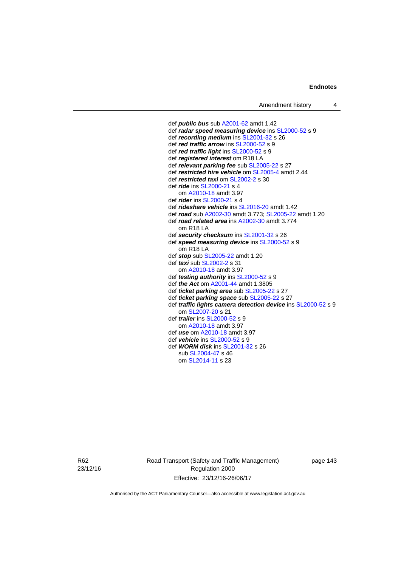def *public bus* sub [A2001-62](http://www.legislation.act.gov.au/a/2001-62) amdt 1.42 def *radar speed measuring device* ins [SL2000-52](http://www.legislation.act.gov.au/sl/2000-52) s 9 def *recording medium* ins [SL2001-32](http://www.legislation.act.gov.au/sl/2001-32) s 26 def *red traffic arrow* ins [SL2000-52](http://www.legislation.act.gov.au/sl/2000-52) s 9 def *red traffic light* ins [SL2000-52](http://www.legislation.act.gov.au/sl/2000-52) s 9 def *registered interest* om R18 LA def *relevant parking fee* sub [SL2005-22](http://www.legislation.act.gov.au/sl/2005-22) s 27 def *restricted hire vehicle* om [SL2005-4](http://www.legislation.act.gov.au/sl/2005-4) amdt 2.44 def *restricted taxi* om [SL2002-2](http://www.legislation.act.gov.au/sl/2002-2) s 30 def *ride* ins [SL2000-21](http://www.legislation.act.gov.au/sl/2000-21) s 4 om [A2010-18](http://www.legislation.act.gov.au/a/2010-18) amdt 3.97 def *rider* ins [SL2000-21](http://www.legislation.act.gov.au/sl/2000-21) s 4 def *rideshare vehicle* ins [SL2016-20](http://www.legislation.act.gov.au/sl/2016-20) amdt 1.42 def *road* sub [A2002-30](http://www.legislation.act.gov.au/a/2002-30) amdt 3.773; [SL2005-22](http://www.legislation.act.gov.au/sl/2005-22) amdt 1.20 def *road related area* ins [A2002-30](http://www.legislation.act.gov.au/a/2002-30) amdt 3.774 om R18 LA def *security checksum* ins [SL2001-32](http://www.legislation.act.gov.au/sl/2001-32) s 26 def *speed measuring device* ins [SL2000-52](http://www.legislation.act.gov.au/sl/2000-52) s 9 om R18 LA def *stop* sub [SL2005-22](http://www.legislation.act.gov.au/sl/2005-22) amdt 1.20 def *taxi* sub [SL2002-2](http://www.legislation.act.gov.au/sl/2002-2) s 31 om [A2010-18](http://www.legislation.act.gov.au/a/2010-18) amdt 3.97 def *testing authority* ins [SL2000-52](http://www.legislation.act.gov.au/sl/2000-52) s 9 def *the Act* om [A2001-44](http://www.legislation.act.gov.au/a/2001-44) amdt 1.3805 def *ticket parking area* sub [SL2005-22](http://www.legislation.act.gov.au/sl/2005-22) s 27 def *ticket parking space* sub [SL2005-22](http://www.legislation.act.gov.au/sl/2005-22) s 27 def *traffic lights camera detection device* ins [SL2000-52](http://www.legislation.act.gov.au/sl/2000-52) s 9 om [SL2007-20](http://www.legislation.act.gov.au/sl/2007-20) s 21 def *trailer* ins [SL2000-52](http://www.legislation.act.gov.au/sl/2000-52) s 9 om [A2010-18](http://www.legislation.act.gov.au/a/2010-18) amdt 3.97 def *use* om [A2010-18](http://www.legislation.act.gov.au/a/2010-18) amdt 3.97 def *vehicle* ins [SL2000-52](http://www.legislation.act.gov.au/sl/2000-52) s 9 def *WORM disk* ins [SL2001-32](http://www.legislation.act.gov.au/sl/2001-32) s 26 sub [SL2004-47](http://www.legislation.act.gov.au/sl/2004-47) s 46 om [SL2014-11](http://www.legislation.act.gov.au/sl/2014-11) s 23

R62 23/12/16 Road Transport (Safety and Traffic Management) Regulation 2000 Effective: 23/12/16-26/06/17

page 143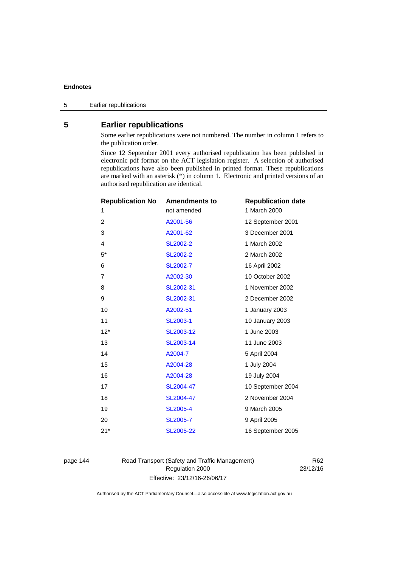# **5 Earlier republications**

Some earlier republications were not numbered. The number in column 1 refers to the publication order.

Since 12 September 2001 every authorised republication has been published in electronic pdf format on the ACT legislation register. A selection of authorised republications have also been published in printed format. These republications are marked with an asterisk (\*) in column 1. Electronic and printed versions of an authorised republication are identical.

| <b>Republication No</b> | <b>Amendments to</b> | <b>Republication date</b> |
|-------------------------|----------------------|---------------------------|
| 1                       | not amended          | 1 March 2000              |
| $\overline{2}$          | A2001-56             | 12 September 2001         |
| 3                       | A2001-62             | 3 December 2001           |
| 4                       | SL2002-2             | 1 March 2002              |
| $5^*$                   | <b>SL2002-2</b>      | 2 March 2002              |
| 6                       | SL2002-7             | 16 April 2002             |
| $\overline{7}$          | A2002-30             | 10 October 2002           |
| 8                       | SL2002-31            | 1 November 2002           |
| 9                       | SL2002-31            | 2 December 2002           |
| 10                      | A2002-51             | 1 January 2003            |
| 11                      | SL2003-1             | 10 January 2003           |
| $12*$                   | SL2003-12            | 1 June 2003               |
| 13                      | SL2003-14            | 11 June 2003              |
| 14                      | A2004-7              | 5 April 2004              |
| 15                      | A2004-28             | 1 July 2004               |
| 16                      | A2004-28             | 19 July 2004              |
| 17                      | SL2004-47            | 10 September 2004         |
| 18                      | SL2004-47            | 2 November 2004           |
| 19                      | <b>SL2005-4</b>      | 9 March 2005              |
| 20                      | SL2005-7             | 9 April 2005              |
| $21*$                   | SL2005-22            | 16 September 2005         |
|                         |                      |                           |

page 144 Road Transport (Safety and Traffic Management) Regulation 2000 Effective: 23/12/16-26/06/17

R62 23/12/16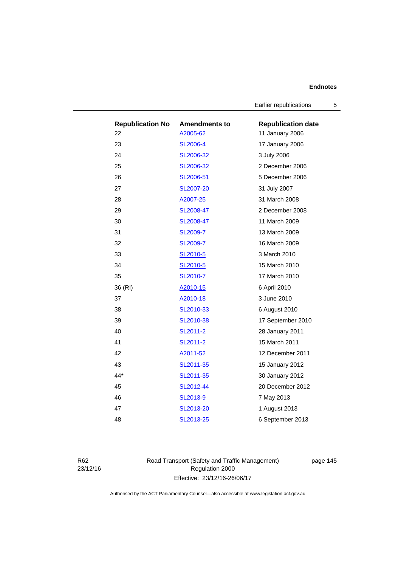Earlier republications 5

| <b>Republication No</b> | <b>Amendments to</b> | <b>Republication date</b> |
|-------------------------|----------------------|---------------------------|
| 22                      | A2005-62             | 11 January 2006           |
| 23                      | <b>SL2006-4</b>      | 17 January 2006           |
| 24                      | SL2006-32            | 3 July 2006               |
| 25                      | SL2006-32            | 2 December 2006           |
| 26                      | SL2006-51            | 5 December 2006           |
| 27                      | <b>SL2007-20</b>     | 31 July 2007              |
| 28                      | A2007-25             | 31 March 2008             |
| 29                      | SL2008-47            | 2 December 2008           |
| 30                      | SL2008-47            | 11 March 2009             |
| 31                      | SL2009-7             | 13 March 2009             |
| 32                      | <b>SL2009-7</b>      | 16 March 2009             |
| 33                      | SL2010-5             | 3 March 2010              |
| 34                      | SL2010-5             | 15 March 2010             |
| 35                      | SL2010-7             | 17 March 2010             |
| 36 (RI)                 | A2010-15             | 6 April 2010              |
| 37                      | A2010-18             | 3 June 2010               |
| 38                      | SL2010-33            | 6 August 2010             |
| 39                      | SL2010-38            | 17 September 2010         |
| 40                      | SL2011-2             | 28 January 2011           |
| 41                      | SL2011-2             | 15 March 2011             |
| 42                      | A2011-52             | 12 December 2011          |
| 43                      | SL2011-35            | 15 January 2012           |
| 44*                     | SL2011-35            | 30 January 2012           |
| 45                      | SL2012-44            | 20 December 2012          |
| 46                      | SL2013-9             | 7 May 2013                |
| 47                      | SL2013-20            | 1 August 2013             |
| 48                      | SL2013-25            | 6 September 2013          |

R62 23/12/16 Road Transport (Safety and Traffic Management) Regulation 2000 Effective: 23/12/16-26/06/17

page 145